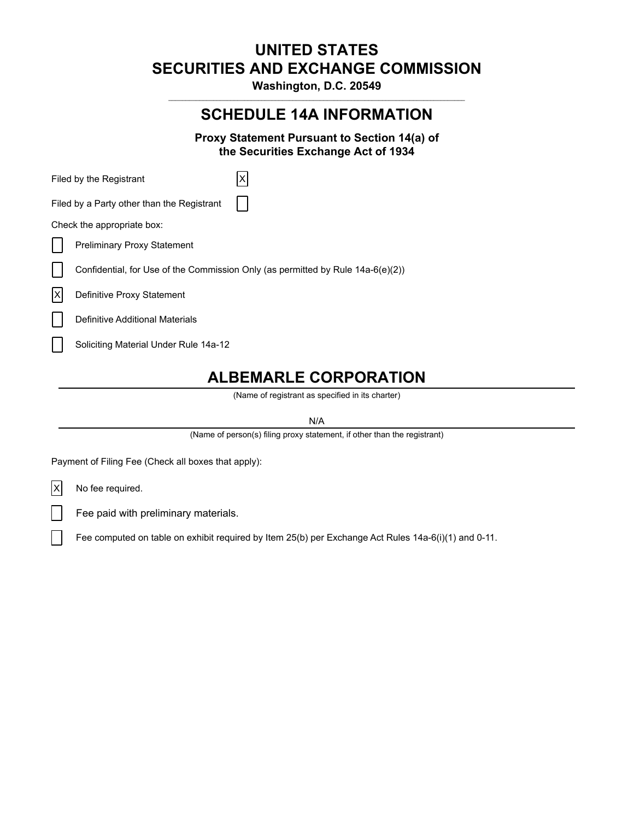# **UNITED STATES SECURITIES AND EXCHANGE COMMISSION**

**Washington, D.C. 20549**  $\mathcal{L}_\text{max}$ 

# **SCHEDULE 14A INFORMATION**

**Proxy Statement Pursuant to Section 14(a) of the Securities Exchange Act of 1934**

| Filed by the Registrant                    |                                                                                 |
|--------------------------------------------|---------------------------------------------------------------------------------|
| Filed by a Party other than the Registrant |                                                                                 |
| Check the appropriate box:                 |                                                                                 |
| <b>Preliminary Proxy Statement</b>         |                                                                                 |
|                                            | Confidential, for Use of the Commission Only (as permitted by Rule 14a-6(e)(2)) |
| Definitive Proxy Statement                 |                                                                                 |
| Definitive Additional Materials            |                                                                                 |
| Soliciting Material Under Rule 14a-12      |                                                                                 |
|                                            |                                                                                 |

# **ALBEMARLE CORPORATION**

(Name of registrant as specified in its charter)

N/A

(Name of person(s) filing proxy statement, if other than the registrant)

Payment of Filing Fee (Check all boxes that apply):

 $|X|$  No fee required.

Fee paid with preliminary materials.

Fee computed on table on exhibit required by Item 25(b) per Exchange Act Rules 14a-6(i)(1) and 0-11.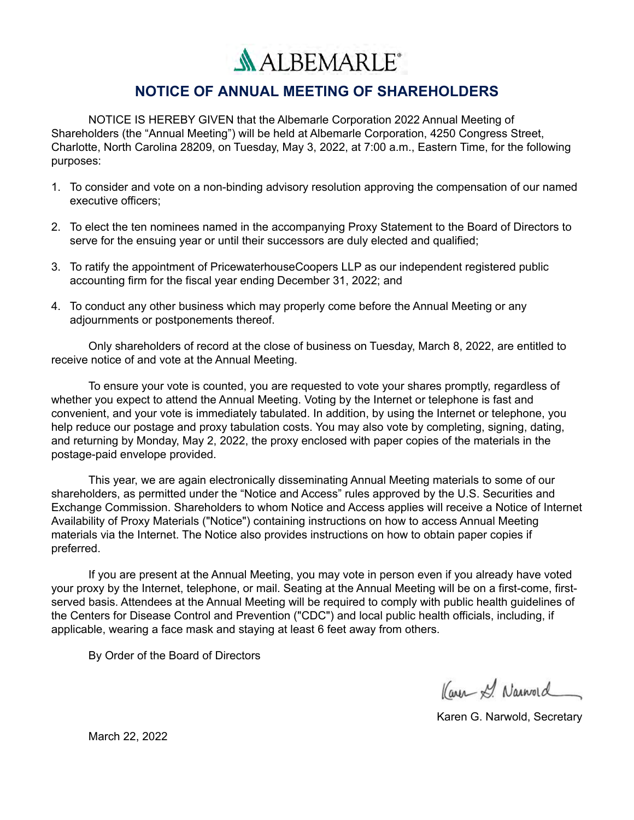**ALBEMARLE** 

## **NOTICE OF ANNUAL MEETING OF SHAREHOLDERS**

NOTICE IS HEREBY GIVEN that the Albemarle Corporation 2022 Annual Meeting of Shareholders (the "Annual Meeting") will be held at Albemarle Corporation, 4250 Congress Street, Charlotte, North Carolina 28209, on Tuesday, May 3, 2022, at 7:00 a.m., Eastern Time, for the following purposes:

- 1. To consider and vote on a non-binding advisory resolution approving the compensation of our named executive officers;
- 2. To elect the ten nominees named in the accompanying Proxy Statement to the Board of Directors to serve for the ensuing year or until their successors are duly elected and qualified;
- 3. To ratify the appointment of PricewaterhouseCoopers LLP as our independent registered public accounting firm for the fiscal year ending December 31, 2022; and
- 4. To conduct any other business which may properly come before the Annual Meeting or any adjournments or postponements thereof.

Only shareholders of record at the close of business on Tuesday, March 8, 2022, are entitled to receive notice of and vote at the Annual Meeting.

To ensure your vote is counted, you are requested to vote your shares promptly, regardless of whether you expect to attend the Annual Meeting. Voting by the Internet or telephone is fast and convenient, and your vote is immediately tabulated. In addition, by using the Internet or telephone, you help reduce our postage and proxy tabulation costs. You may also vote by completing, signing, dating, and returning by Monday, May 2, 2022, the proxy enclosed with paper copies of the materials in the postage-paid envelope provided.

This year, we are again electronically disseminating Annual Meeting materials to some of our shareholders, as permitted under the "Notice and Access" rules approved by the U.S. Securities and Exchange Commission. Shareholders to whom Notice and Access applies will receive a Notice of Internet Availability of Proxy Materials ("Notice") containing instructions on how to access Annual Meeting materials via the Internet. The Notice also provides instructions on how to obtain paper copies if preferred.

If you are present at the Annual Meeting, you may vote in person even if you already have voted your proxy by the Internet, telephone, or mail. Seating at the Annual Meeting will be on a first-come, firstserved basis. Attendees at the Annual Meeting will be required to comply with public health guidelines of the Centers for Disease Control and Prevention ("CDC") and local public health officials, including, if applicable, wearing a face mask and staying at least 6 feet away from others.

By Order of the Board of Directors

Karen S. Narword

Karen G. Narwold, Secretary

March 22, 2022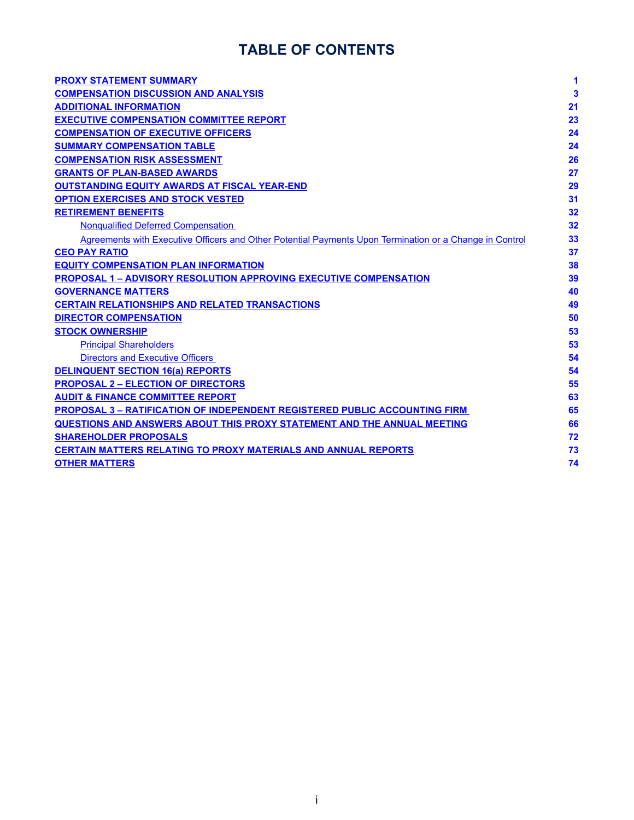# **TABLE OF CONTENTS**

| <b>PROXY STATEMENT SUMMARY</b>                                                                          | 1  |
|---------------------------------------------------------------------------------------------------------|----|
| <b>COMPENSATION DISCUSSION AND ANALYSIS</b>                                                             | 3  |
| <b>ADDITIONAL INFORMATION</b>                                                                           | 21 |
| <b>EXECUTIVE COMPENSATION COMMITTEE REPORT</b>                                                          | 23 |
| <b>COMPENSATION OF EXECUTIVE OFFICERS</b>                                                               | 24 |
| <b>SUMMARY COMPENSATION TABLE</b>                                                                       | 24 |
| <b>COMPENSATION RISK ASSESSMENT</b>                                                                     | 26 |
| <b>GRANTS OF PLAN-BASED AWARDS</b>                                                                      | 27 |
| <b>OUTSTANDING EQUITY AWARDS AT FISCAL YEAR-END</b>                                                     | 29 |
| <b>OPTION EXERCISES AND STOCK VESTED</b>                                                                | 31 |
| <b>RETIREMENT BENEFITS</b>                                                                              | 32 |
| <b>Nonqualified Deferred Compensation</b>                                                               | 32 |
| Agreements with Executive Officers and Other Potential Payments Upon Termination or a Change in Control | 33 |
| <b>CEO PAY RATIO</b>                                                                                    | 37 |
| <b>EQUITY COMPENSATION PLAN INFORMATION</b>                                                             | 38 |
| <b>PROPOSAL 1 - ADVISORY RESOLUTION APPROVING EXECUTIVE COMPENSATION</b>                                | 39 |
| <b>GOVERNANCE MATTERS</b>                                                                               | 40 |
| <b>CERTAIN RELATIONSHIPS AND RELATED TRANSACTIONS</b>                                                   | 49 |
| <b>DIRECTOR COMPENSATION</b>                                                                            | 50 |
| <b>STOCK OWNERSHIP</b>                                                                                  | 53 |
| <b>Principal Shareholders</b>                                                                           | 53 |
| <b>Directors and Executive Officers</b>                                                                 | 54 |
| <b>DELINQUENT SECTION 16(a) REPORTS</b>                                                                 | 54 |
| <b>PROPOSAL 2 - ELECTION OF DIRECTORS</b>                                                               | 55 |
| <b>AUDIT &amp; FINANCE COMMITTEE REPORT</b>                                                             | 63 |
| <b>PROPOSAL 3 - RATIFICATION OF INDEPENDENT REGISTERED PUBLIC ACCOUNTING FIRM</b>                       | 65 |
| QUESTIONS AND ANSWERS ABOUT THIS PROXY STATEMENT AND THE ANNUAL MEETING                                 | 66 |
| <b>SHAREHOLDER PROPOSALS</b>                                                                            | 72 |
| <b>CERTAIN MATTERS RELATING TO PROXY MATERIALS AND ANNUAL REPORTS</b>                                   | 73 |
| <b>OTHER MATTERS</b>                                                                                    | 74 |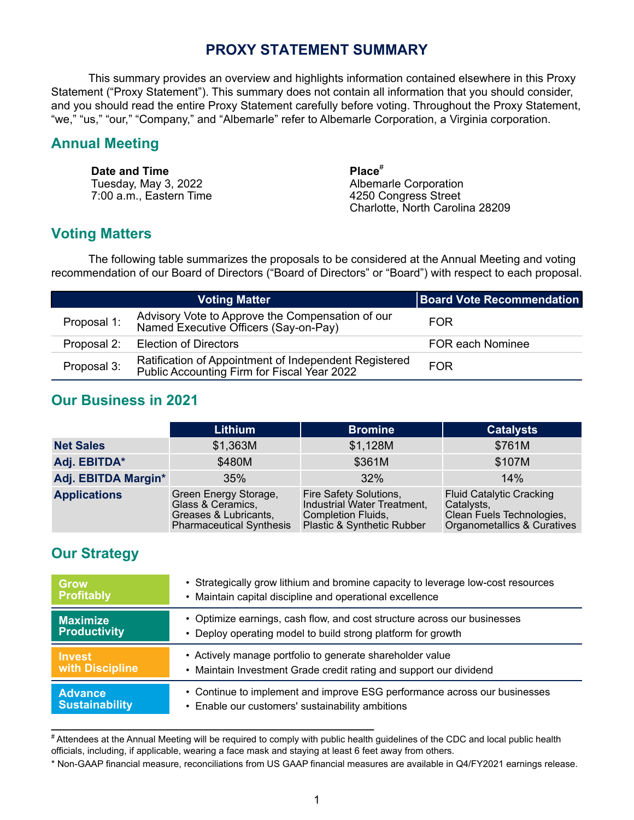### **PROXY STATEMENT SUMMARY**

<span id="page-3-0"></span>This summary provides an overview and highlights information contained elsewhere in this Proxy Statement ("Proxy Statement"). This summary does not contain all information that you should consider, and you should read the entire Proxy Statement carefully before voting. Throughout the Proxy Statement, "we," "us," "our," "Company," and "Albemarle" refer to Albemarle Corporation, a Virginia corporation.

### **Annual Meeting**

**Date and Time**<br> **Place**<sup>#</sup><br> **Place**<sup>#</sup><br>
Albemarle Corporation Tuesday, May 3, 2022<br>
7:00 a.m.. Eastern Time<br>
7:00 a.m.. Eastern Time<br>
A250 Congress Street 7:00 a.m., Eastern Time

Charlotte, North Carolina 28209

# **Voting Matters**

The following table summarizes the proposals to be considered at the Annual Meeting and voting recommendation of our Board of Directors ("Board of Directors" or "Board") with respect to each proposal.

|             | <b>Voting Matter</b>                                                                                 | <b>Board Vote Recommendation</b> |
|-------------|------------------------------------------------------------------------------------------------------|----------------------------------|
| Proposal 1: | Advisory Vote to Approve the Compensation of our<br>Named Executive Officers (Say-on-Pay)            | <b>FOR</b>                       |
| Proposal 2: | <b>Election of Directors</b>                                                                         | FOR each Nominee                 |
| Proposal 3: | Ratification of Appointment of Independent Registered<br>Public Accounting Firm for Fiscal Year 2022 | <b>FOR</b>                       |

## **Our Business in 2021**

|                     | <b>Lithium</b>                                                                                         | <b>Bromine</b>                                                                                            | <b>Catalysts</b>                                                                                          |
|---------------------|--------------------------------------------------------------------------------------------------------|-----------------------------------------------------------------------------------------------------------|-----------------------------------------------------------------------------------------------------------|
| <b>Net Sales</b>    | \$1,363M                                                                                               | \$1,128M                                                                                                  | \$761M                                                                                                    |
| Adj. EBITDA*        | \$480M                                                                                                 | \$361M                                                                                                    | \$107M                                                                                                    |
| Adj. EBITDA Margin* | 35%                                                                                                    | 32%                                                                                                       | 14%                                                                                                       |
| <b>Applications</b> | Green Energy Storage,<br>Glass & Ceramics,<br>Greases & Lubricants,<br><b>Pharmaceutical Synthesis</b> | Fire Safety Solutions,<br>Industrial Water Treatment,<br>Completion Fluids,<br>Plastic & Synthetic Rubber | <b>Fluid Catalytic Cracking</b><br>Catalysts,<br>Clean Fuels Technologies,<br>Organometallics & Curatives |

## **Our Strategy**

| Grow                  | • Strategically grow lithium and bromine capacity to leverage low-cost resources |  |  |
|-----------------------|----------------------------------------------------------------------------------|--|--|
| <b>Profitably</b>     | • Maintain capital discipline and operational excellence                         |  |  |
| <b>Maximize</b>       | • Optimize earnings, cash flow, and cost structure across our businesses         |  |  |
| <b>Productivity</b>   | • Deploy operating model to build strong platform for growth                     |  |  |
| <b>Invest</b>         | • Actively manage portfolio to generate shareholder value                        |  |  |
| with Discipline       | • Maintain Investment Grade credit rating and support our dividend               |  |  |
| <b>Advance</b>        | • Continue to implement and improve ESG performance across our businesses        |  |  |
| <b>Sustainability</b> | • Enable our customers' sustainability ambitions                                 |  |  |

# Attendees at the Annual Meeting will be required to comply with public health guidelines of the CDC and local public health officials, including, if applicable, wearing a face mask and staying at least 6 feet away from others.

**\_\_\_\_\_\_\_\_\_\_\_\_\_\_\_\_\_\_\_\_\_\_\_\_\_\_\_\_\_\_\_\_\_\_\_\_\_\_\_\_\_\_\_\_\_\_\_\_\_\_\_**

\* Non-GAAP financial measure, reconciliations from US GAAP financial measures are available in Q4/FY2021 earnings release.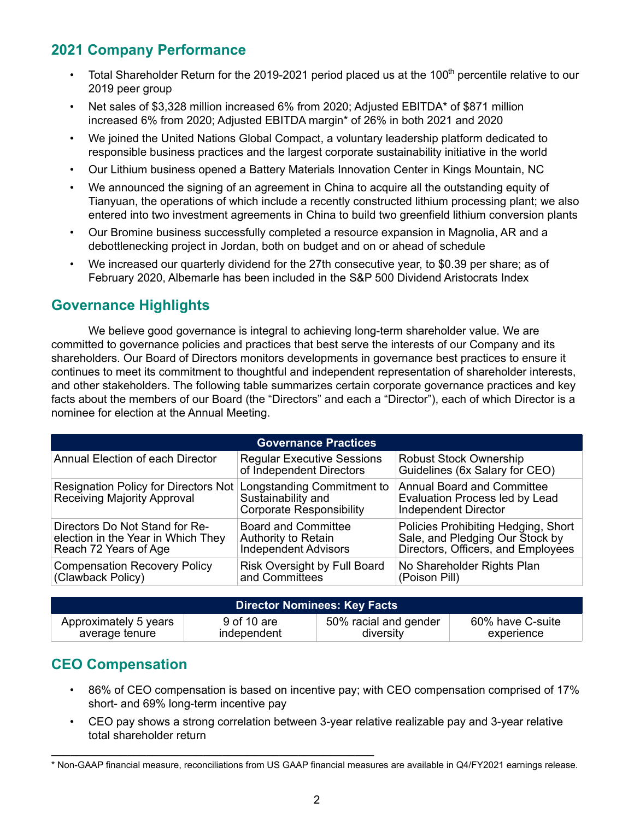# **2021 Company Performance**

- Total Shareholder Return for the 2019-2021 period placed us at the 100<sup>th</sup> percentile relative to our 2019 peer group
- Net sales of \$3,328 million increased 6% from 2020; Adjusted EBITDA\* of \$871 million increased 6% from 2020; Adjusted EBITDA margin\* of 26% in both 2021 and 2020
- We joined the United Nations Global Compact, a voluntary leadership platform dedicated to responsible business practices and the largest corporate sustainability initiative in the world
- Our Lithium business opened a Battery Materials Innovation Center in Kings Mountain, NC
- We announced the signing of an agreement in China to acquire all the outstanding equity of Tianyuan, the operations of which include a recently constructed lithium processing plant; we also entered into two investment agreements in China to build two greenfield lithium conversion plants
- Our Bromine business successfully completed a resource expansion in Magnolia, AR and a debottlenecking project in Jordan, both on budget and on or ahead of schedule
- We increased our quarterly dividend for the 27th consecutive year, to \$0.39 per share; as of February 2020, Albemarle has been included in the S&P 500 Dividend Aristocrats Index

# **Governance Highlights**

We believe good governance is integral to achieving long-term shareholder value. We are committed to governance policies and practices that best serve the interests of our Company and its shareholders. Our Board of Directors monitors developments in governance best practices to ensure it continues to meet its commitment to thoughtful and independent representation of shareholder interests, and other stakeholders. The following table summarizes certain corporate governance practices and key facts about the members of our Board (the "Directors" and each a "Director"), each of which Director is a nominee for election at the Annual Meeting.

| <b>Governance Practices</b>                                                                   |                                                                                         |                                                                                                              |  |  |  |
|-----------------------------------------------------------------------------------------------|-----------------------------------------------------------------------------------------|--------------------------------------------------------------------------------------------------------------|--|--|--|
| <b>Annual Election of each Director</b>                                                       | <b>Regular Executive Sessions</b><br>of Independent Directors                           | <b>Robust Stock Ownership</b><br>Guidelines (6x Salary for CEO)                                              |  |  |  |
| <b>Resignation Policy for Directors Not</b><br><b>Receiving Majority Approval</b>             | Longstanding Commitment to<br>Sustainability and<br><b>Corporate Responsibility</b>     | <b>Annual Board and Committee</b><br><b>Evaluation Process led by Lead</b><br>Independent Director           |  |  |  |
| Directors Do Not Stand for Re-<br>election in the Year in Which They<br>Reach 72 Years of Age | <b>Board and Committee</b><br><b>Authority to Retain</b><br><b>Independent Advisors</b> | Policies Prohibiting Hedging, Short<br>Sale, and Pledging Our Stock by<br>Directors, Officers, and Employees |  |  |  |
| <b>Compensation Recovery Policy</b><br>(Clawback Policy)                                      | <b>Risk Oversight by Full Board</b><br>and Committees                                   | No Shareholder Rights Plan<br>(Poison Pill)                                                                  |  |  |  |

| <b>Director Nominees: Key Facts</b> |             |                       |                  |
|-------------------------------------|-------------|-----------------------|------------------|
| Approximately 5 years               | 9 of 10 are | 50% racial and gender | 60% have C-suite |
| average tenure                      | independent | diversity             | experience       |

# **CEO Compensation**

- 86% of CEO compensation is based on incentive pay; with CEO compensation comprised of 17% short- and 69% long-term incentive pay
- CEO pay shows a strong correlation between 3-year relative realizable pay and 3-year relative total shareholder return

**\_\_\_\_\_\_\_\_\_\_\_\_\_\_\_\_\_\_\_\_\_\_\_\_\_\_\_\_\_\_\_\_\_\_\_\_\_\_\_\_\_\_\_\_\_\_\_\_\_\_\_**

<sup>\*</sup> Non-GAAP financial measure, reconciliations from US GAAP financial measures are available in Q4/FY2021 earnings release.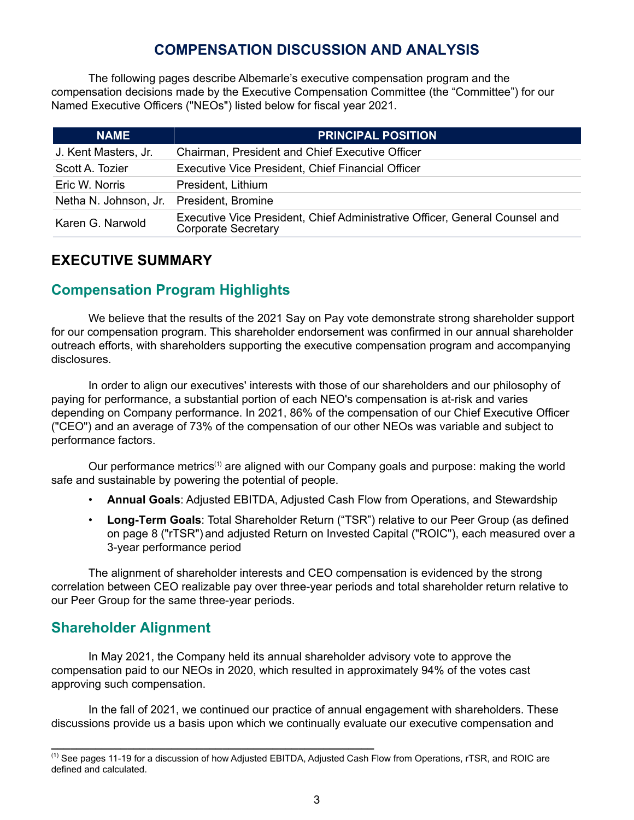# **COMPENSATION DISCUSSION AND ANALYSIS**

<span id="page-5-0"></span>The following pages describe Albemarle's executive compensation program and the compensation decisions made by the Executive Compensation Committee (the "Committee") for our Named Executive Officers ("NEOs") listed below for fiscal year 2021.

| <b>NAME</b>           | <b>PRINCIPAL POSITION</b>                                                                                 |
|-----------------------|-----------------------------------------------------------------------------------------------------------|
| J. Kent Masters, Jr.  | Chairman, President and Chief Executive Officer                                                           |
| Scott A. Tozier       | <b>Executive Vice President, Chief Financial Officer</b>                                                  |
| Eric W. Norris        | President, Lithium                                                                                        |
| Netha N. Johnson, Jr. | President, Bromine                                                                                        |
| Karen G. Narwold      | Executive Vice President, Chief Administrative Officer, General Counsel and<br><b>Corporate Secretary</b> |

### **EXECUTIVE SUMMARY**

# **Compensation Program Highlights**

We believe that the results of the 2021 Say on Pay vote demonstrate strong shareholder support for our compensation program. This shareholder endorsement was confirmed in our annual shareholder outreach efforts, with shareholders supporting the executive compensation program and accompanying disclosures.

In order to align our executives' interests with those of our shareholders and our philosophy of paying for performance, a substantial portion of each NEO's compensation is at-risk and varies depending on Company performance. In 2021, 86% of the compensation of our Chief Executive Officer ("CEO") and an average of 73% of the compensation of our other NEOs was variable and subject to performance factors.

Our performance metrics<sup>(1)</sup> are aligned with our Company goals and purpose: making the world safe and sustainable by powering the potential of people.

- **Annual Goals**: Adjusted EBITDA, Adjusted Cash Flow from Operations, and Stewardship
- **Long-Term Goals**: Total Shareholder Return ("TSR") relative to our Peer Group (as defined on page 8 ("rTSR") and adjusted Return on Invested Capital ("ROIC"), each measured over a 3-year performance period

The alignment of shareholder interests and CEO compensation is evidenced by the strong correlation between CEO realizable pay over three-year periods and total shareholder return relative to our Peer Group for the same three-year periods.

## **Shareholder Alignment**

In May 2021, the Company held its annual shareholder advisory vote to approve the compensation paid to our NEOs in 2020, which resulted in approximately 94% of the votes cast approving such compensation.

In the fall of 2021, we continued our practice of annual engagement with shareholders. These discussions provide us a basis upon which we continually evaluate our executive compensation and

**\_\_\_\_\_\_\_\_\_\_\_\_\_\_\_\_\_\_\_\_\_\_\_\_\_\_\_\_\_\_\_\_\_\_\_\_\_\_\_\_\_\_\_\_\_\_\_\_\_\_\_**

<sup>(1)</sup> See pages 11-19 for a discussion of how Adjusted EBITDA, Adjusted Cash Flow from Operations, rTSR, and ROIC are defined and calculated.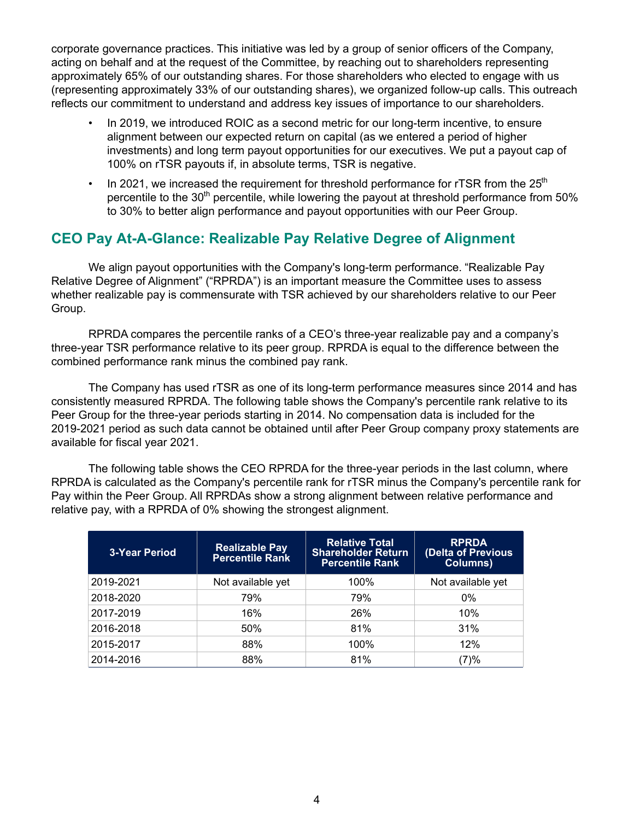corporate governance practices. This initiative was led by a group of senior officers of the Company, acting on behalf and at the request of the Committee, by reaching out to shareholders representing approximately 65% of our outstanding shares. For those shareholders who elected to engage with us (representing approximately 33% of our outstanding shares), we organized follow-up calls. This outreach reflects our commitment to understand and address key issues of importance to our shareholders.

- In 2019, we introduced ROIC as a second metric for our long-term incentive, to ensure alignment between our expected return on capital (as we entered a period of higher investments) and long term payout opportunities for our executives. We put a payout cap of 100% on rTSR payouts if, in absolute terms, TSR is negative.
- In 2021, we increased the requirement for threshold performance for rTSR from the  $25<sup>th</sup>$ percentile to the  $30<sup>th</sup>$  percentile, while lowering the payout at threshold performance from 50% to 30% to better align performance and payout opportunities with our Peer Group.

# **CEO Pay At-A-Glance: Realizable Pay Relative Degree of Alignment**

We align payout opportunities with the Company's long-term performance. "Realizable Pay Relative Degree of Alignment" ("RPRDA") is an important measure the Committee uses to assess whether realizable pay is commensurate with TSR achieved by our shareholders relative to our Peer Group.

RPRDA compares the percentile ranks of a CEO's three-year realizable pay and a company's three-year TSR performance relative to its peer group. RPRDA is equal to the difference between the combined performance rank minus the combined pay rank.

The Company has used rTSR as one of its long-term performance measures since 2014 and has consistently measured RPRDA. The following table shows the Company's percentile rank relative to its Peer Group for the three-year periods starting in 2014. No compensation data is included for the 2019-2021 period as such data cannot be obtained until after Peer Group company proxy statements are available for fiscal year 2021.

The following table shows the CEO RPRDA for the three-year periods in the last column, where RPRDA is calculated as the Company's percentile rank for rTSR minus the Company's percentile rank for Pay within the Peer Group. All RPRDAs show a strong alignment between relative performance and relative pay, with a RPRDA of 0% showing the strongest alignment.

| <b>3-Year Period</b> | <b>Realizable Pay</b><br><b>Percentile Rank</b> | <b>Relative Total</b><br><b>Shareholder Return</b><br><b>Percentile Rank</b> | <b>RPRDA</b><br>(Delta of Previous<br><b>Columns)</b> |
|----------------------|-------------------------------------------------|------------------------------------------------------------------------------|-------------------------------------------------------|
| 2019-2021            | Not available yet                               | 100%                                                                         | Not available yet                                     |
| 2018-2020            | 79%                                             | 79%                                                                          | $0\%$                                                 |
| 2017-2019            | 16%                                             | 26%                                                                          | 10%                                                   |
| 2016-2018            | 50%                                             | 81%                                                                          | 31%                                                   |
| 2015-2017            | 88%                                             | 100%                                                                         | 12%                                                   |
| 2014-2016            | 88%                                             | 81%                                                                          | (7)%                                                  |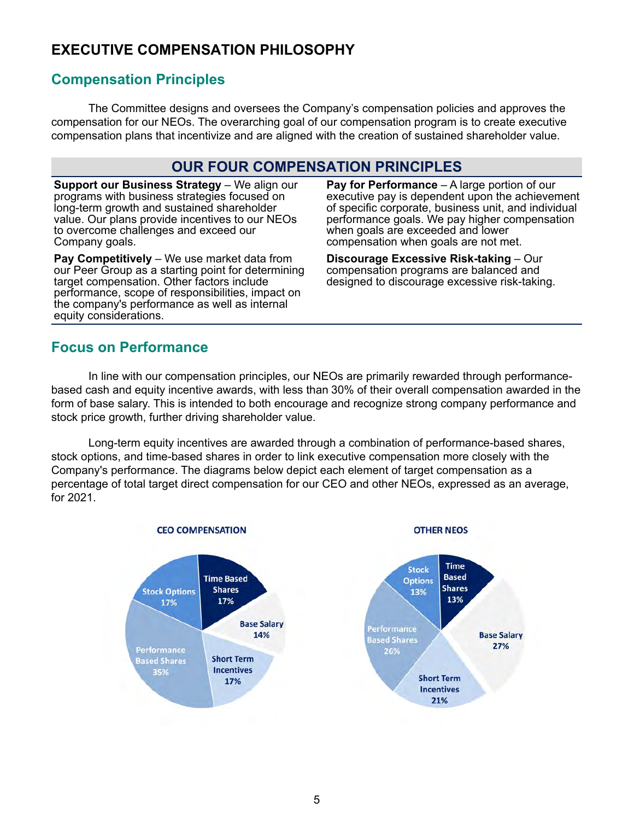# **EXECUTIVE COMPENSATION PHILOSOPHY**

## **Compensation Principles**

The Committee designs and oversees the Company's compensation policies and approves the compensation for our NEOs. The overarching goal of our compensation program is to create executive compensation plans that incentivize and are aligned with the creation of sustained shareholder value.

### **OUR FOUR COMPENSATION PRINCIPLES**

**Support our Business Strategy - We align our** programs with business strategies focused on long-term growth and sustained shareholder value. Our plans provide incentives to our NEOs to overcome challenges and exceed our Company goals.

**Pay Competitively** – We use market data from our Peer Group as a starting point for determining target compensation. Other factors include performance, scope of responsibilities, impact on the company's performance as well as internal equity considerations.

**Pay for Performance** – A large portion of our executive pay is dependent upon the achievement of specific corporate, business unit, and individual performance goals. We pay higher compensation when goals are exceeded and lower compensation when goals are not met.

**Discourage Excessive Risk-taking** – Our compensation programs are balanced and designed to discourage excessive risk-taking.

### **Focus on Performance**

In line with our compensation principles, our NEOs are primarily rewarded through performancebased cash and equity incentive awards, with less than 30% of their overall compensation awarded in the form of base salary. This is intended to both encourage and recognize strong company performance and stock price growth, further driving shareholder value.

Long-term equity incentives are awarded through a combination of performance-based shares, stock options, and time-based shares in order to link executive compensation more closely with the Company's performance. The diagrams below depict each element of target compensation as a percentage of total target direct compensation for our CEO and other NEOs, expressed as an average, for 2021.

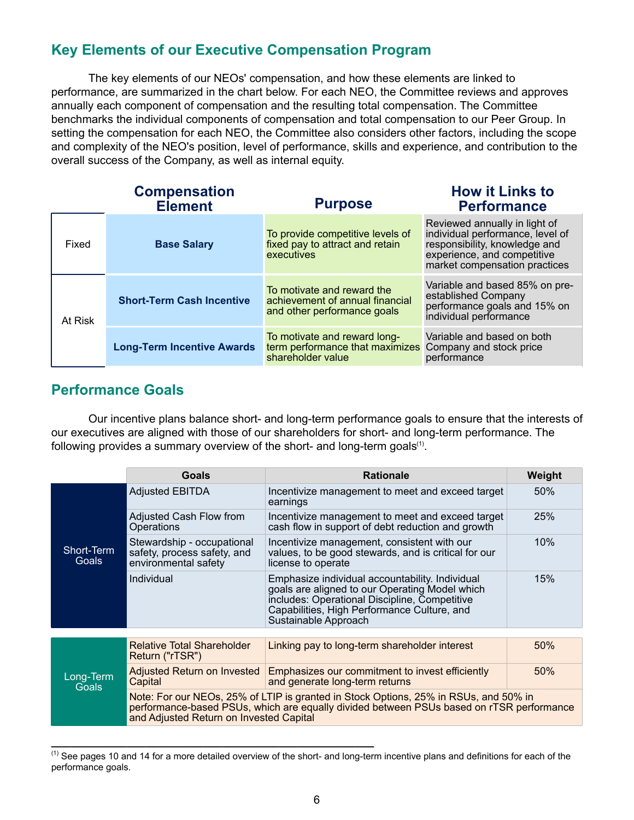# **Key Elements of our Executive Compensation Program**

The key elements of our NEOs' compensation, and how these elements are linked to performance, are summarized in the chart below. For each NEO, the Committee reviews and approves annually each component of compensation and the resulting total compensation. The Committee benchmarks the individual components of compensation and total compensation to our Peer Group. In setting the compensation for each NEO, the Committee also considers other factors, including the scope and complexity of the NEO's position, level of performance, skills and experience, and contribution to the overall success of the Company, as well as internal equity.

|         | <b>Compensation</b><br><b>Element</b> | <b>Purpose</b>                                                                               | <b>How it Links to</b><br><b>Performance</b>                                                                                                                       |
|---------|---------------------------------------|----------------------------------------------------------------------------------------------|--------------------------------------------------------------------------------------------------------------------------------------------------------------------|
| Fixed   | <b>Base Salary</b>                    | To provide competitive levels of<br>fixed pay to attract and retain<br>executives            | Reviewed annually in light of<br>individual performance, level of<br>responsibility, knowledge and<br>experience, and competitive<br>market compensation practices |
| At Risk | <b>Short-Term Cash Incentive</b>      | To motivate and reward the<br>achievement of annual financial<br>and other performance goals | Variable and based 85% on pre-<br>established Company<br>performance goals and 15% on<br>individual performance                                                    |
|         | <b>Long-Term Incentive Awards</b>     | To motivate and reward long-<br>term performance that maximizes<br>shareholder value         | Variable and based on both<br>Company and stock price<br>performance                                                                                               |

### **Performance Goals**

Our incentive plans balance short- and long-term performance goals to ensure that the interests of our executives are aligned with those of our shareholders for short- and long-term performance. The following provides a summary overview of the short- and long-term goals $(1)$ .

|                           | Goals                                                                             | <b>Rationale</b>                                                                                                                                                                                                          | Weight |
|---------------------------|-----------------------------------------------------------------------------------|---------------------------------------------------------------------------------------------------------------------------------------------------------------------------------------------------------------------------|--------|
|                           | <b>Adjusted EBITDA</b>                                                            | Incentivize management to meet and exceed target<br>earnings                                                                                                                                                              | 50%    |
|                           | Adjusted Cash Flow from<br>Operations                                             | Incentivize management to meet and exceed target<br>cash flow in support of debt reduction and growth                                                                                                                     | 25%    |
| Short-Term<br>Goals       | Stewardship - occupational<br>safety, process safety, and<br>environmental safety | Incentivize management, consistent with our<br>values, to be good stewards, and is critical for our<br>license to operate                                                                                                 | 10%    |
|                           | Individual                                                                        | Emphasize individual accountability. Individual<br>goals are aligned to our Operating Model which<br>includes: Operational Discipline, Competitive<br>Capabilities, High Performance Culture, and<br>Sustainable Approach | 15%    |
|                           |                                                                                   |                                                                                                                                                                                                                           |        |
|                           | <b>Relative Total Shareholder</b><br>Return ("rTSR")                              | Linking pay to long-term shareholder interest                                                                                                                                                                             | 50%    |
| Long-Term<br><b>Goals</b> | Adjusted Return on Invested<br>Capital                                            | Emphasizes our commitment to invest efficiently<br>and generate long-term returns                                                                                                                                         | 50%    |
|                           | and Adjusted Return on Invested Capital                                           | Note: For our NEOs, 25% of LTIP is granted in Stock Options, 25% in RSUs, and 50% in<br>performance-based PSUs, which are equally divided between PSUs based on rTSR performance                                          |        |

 $<sup>(1)</sup>$  See pages 10 and 14 for a more detailed overview of the short- and long-term incentive plans and definitions for each of the</sup> performance goals.

**\_\_\_\_\_\_\_\_\_\_\_\_\_\_\_\_\_\_\_\_\_\_\_\_\_\_\_\_\_\_\_\_\_\_\_\_\_\_\_\_\_\_\_\_\_\_\_\_\_\_\_**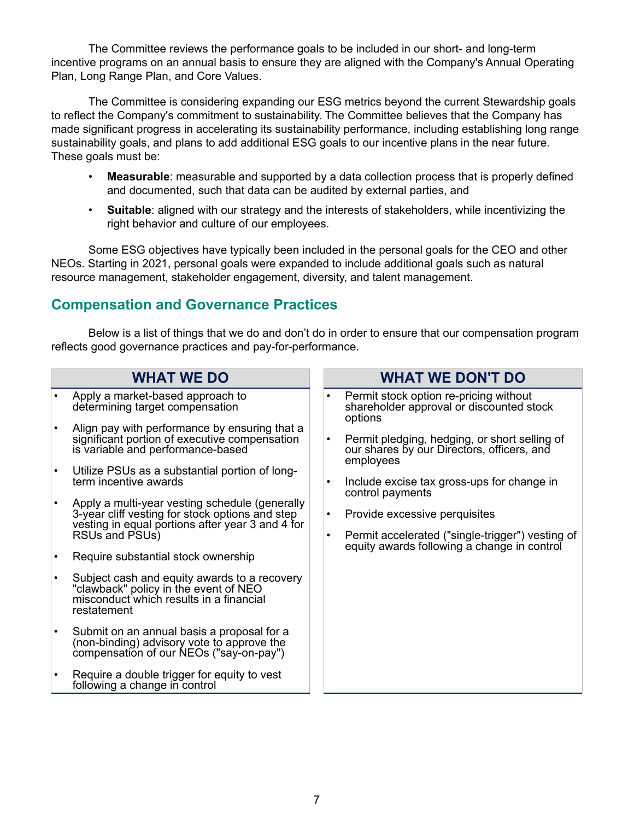The Committee reviews the performance goals to be included in our short- and long-term incentive programs on an annual basis to ensure they are aligned with the Company's Annual Operating Plan, Long Range Plan, and Core Values.

The Committee is considering expanding our ESG metrics beyond the current Stewardship goals to reflect the Company's commitment to sustainability. The Committee believes that the Company has made significant progress in accelerating its sustainability performance, including establishing long range sustainability goals, and plans to add additional ESG goals to our incentive plans in the near future. These goals must be:

- **Measurable**: measurable and supported by a data collection process that is properly defined and documented, such that data can be audited by external parties, and
- **Suitable**: aligned with our strategy and the interests of stakeholders, while incentivizing the right behavior and culture of our employees.

Some ESG objectives have typically been included in the personal goals for the CEO and other NEOs. Starting in 2021, personal goals were expanded to include additional goals such as natural resource management, stakeholder engagement, diversity, and talent management.

### **Compensation and Governance Practices**

Below is a list of things that we do and don't do in order to ensure that our compensation program reflects good governance practices and pay-for-performance.

| <b>WHAT WE DO</b> |                                                                                                                                                                         |                        | <b>WHAT WE DON'T DO</b>                                                                                                          |
|-------------------|-------------------------------------------------------------------------------------------------------------------------------------------------------------------------|------------------------|----------------------------------------------------------------------------------------------------------------------------------|
|                   | Apply a market-based approach to<br>determining target compensation                                                                                                     |                        | Permit stock option re-pricing without<br>shareholder approval or discounted stock<br>options                                    |
|                   | Align pay with performance by ensuring that a<br>significant portion of executive compensation<br>is variable and performance-based                                     |                        | Permit pledging, hedging, or short selling of<br>our shares by our Directors, officers, and<br>employees                         |
| $\bullet$         | Utilize PSUs as a substantial portion of long-<br>term incentive awards                                                                                                 |                        | Include excise tax gross-ups for change in<br>control payments                                                                   |
|                   | Apply a multi-year vesting schedule (generally<br>3-year cliff vesting for stock options and step<br>vesting in equal portions after year 3 and 4 for<br>RSUs and PSUs) | $\bullet$<br>$\bullet$ | Provide excessive perquisites<br>Permit accelerated ("single-trigger") vesting of<br>equity awards following a change in control |
|                   | Require substantial stock ownership                                                                                                                                     |                        |                                                                                                                                  |
|                   | Subject cash and equity awards to a recovery<br>"clawback" policy in the event of NEO<br>misconduct which results in a financial<br>restatement                         |                        |                                                                                                                                  |
|                   | Submit on an annual basis a proposal for a<br>(non-binding) advisory vote to approve the<br>compensation of our NEOs ("say-on-pay")                                     |                        |                                                                                                                                  |
|                   | Require a double trigger for equity to vest<br>following a change in control                                                                                            |                        |                                                                                                                                  |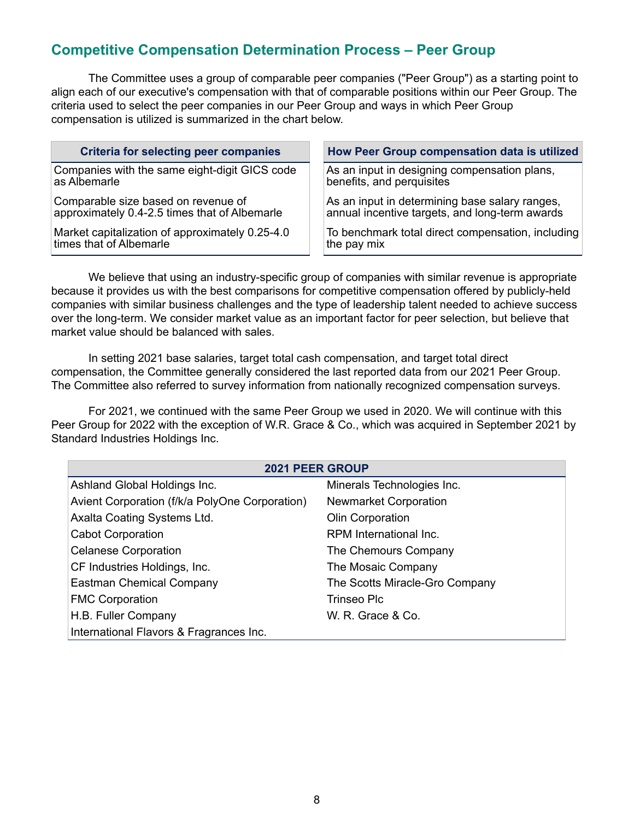# **Competitive Compensation Determination Process – Peer Group**

The Committee uses a group of comparable peer companies ("Peer Group") as a starting point to align each of our executive's compensation with that of comparable positions within our Peer Group. The criteria used to select the peer companies in our Peer Group and ways in which Peer Group compensation is utilized is summarized in the chart below.

| <b>Criteria for selecting peer companies</b>    | How Peer Group compensation data is utilized      |
|-------------------------------------------------|---------------------------------------------------|
| Companies with the same eight-digit GICS code   | As an input in designing compensation plans,      |
| as Albemarle                                    | benefits, and perquisites                         |
| Comparable size based on revenue of             | As an input in determining base salary ranges,    |
| approximately 0.4-2.5 times that of Albemarle   | annual incentive targets, and long-term awards    |
| Market capitalization of approximately 0.25-4.0 | To benchmark total direct compensation, including |
| times that of Albemarle                         | the pay mix                                       |

We believe that using an industry-specific group of companies with similar revenue is appropriate because it provides us with the best comparisons for competitive compensation offered by publicly-held companies with similar business challenges and the type of leadership talent needed to achieve success over the long-term. We consider market value as an important factor for peer selection, but believe that market value should be balanced with sales.

In setting 2021 base salaries, target total cash compensation, and target total direct compensation, the Committee generally considered the last reported data from our 2021 Peer Group. The Committee also referred to survey information from nationally recognized compensation surveys.

For 2021, we continued with the same Peer Group we used in 2020. We will continue with this Peer Group for 2022 with the exception of W.R. Grace & Co., which was acquired in September 2021 by Standard Industries Holdings Inc.

| <b>2021 PEER GROUP</b>                         |                                |  |  |  |  |  |  |
|------------------------------------------------|--------------------------------|--|--|--|--|--|--|
| Ashland Global Holdings Inc.                   | Minerals Technologies Inc.     |  |  |  |  |  |  |
| Avient Corporation (f/k/a PolyOne Corporation) | <b>Newmarket Corporation</b>   |  |  |  |  |  |  |
| Axalta Coating Systems Ltd.                    | Olin Corporation               |  |  |  |  |  |  |
| <b>Cabot Corporation</b>                       | RPM International Inc.         |  |  |  |  |  |  |
| <b>Celanese Corporation</b>                    | The Chemours Company           |  |  |  |  |  |  |
| CF Industries Holdings, Inc.                   | The Mosaic Company             |  |  |  |  |  |  |
| Eastman Chemical Company                       | The Scotts Miracle-Gro Company |  |  |  |  |  |  |
| <b>FMC Corporation</b>                         | <b>Trinseo Plc</b>             |  |  |  |  |  |  |
| H.B. Fuller Company                            | W. R. Grace & Co.              |  |  |  |  |  |  |
| International Flavors & Fragrances Inc.        |                                |  |  |  |  |  |  |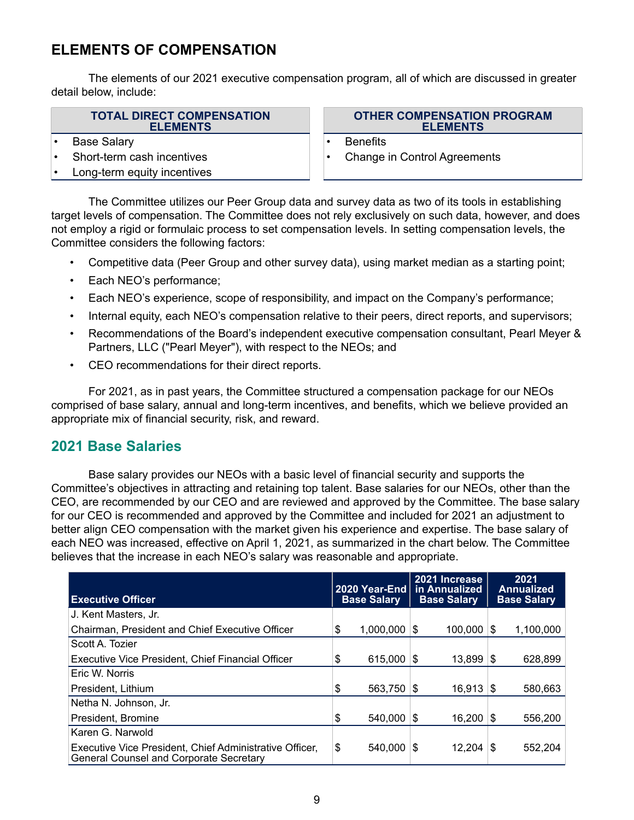# **ELEMENTS OF COMPENSATION**

The elements of our 2021 executive compensation program, all of which are discussed in greater detail below, include:

#### **TOTAL DIRECT COMPENSATION ELEMENTS**

- Base Salary  **Base Salary Benefits**
- 
- Long-term equity incentives

**OTHER COMPENSATION PROGRAM ELEMENTS**

- 
- Short-term cash incentives Change in Control Agreements

The Committee utilizes our Peer Group data and survey data as two of its tools in establishing target levels of compensation. The Committee does not rely exclusively on such data, however, and does not employ a rigid or formulaic process to set compensation levels. In setting compensation levels, the Committee considers the following factors:

- Competitive data (Peer Group and other survey data), using market median as a starting point;
- Each NEO's performance;
- Each NEO's experience, scope of responsibility, and impact on the Company's performance;
- Internal equity, each NEO's compensation relative to their peers, direct reports, and supervisors;
- Recommendations of the Board's independent executive compensation consultant, Pearl Meyer & Partners, LLC ("Pearl Meyer"), with respect to the NEOs; and
- CEO recommendations for their direct reports.

For 2021, as in past years, the Committee structured a compensation package for our NEOs comprised of base salary, annual and long-term incentives, and benefits, which we believe provided an appropriate mix of financial security, risk, and reward.

### **2021 Base Salaries**

Base salary provides our NEOs with a basic level of financial security and supports the Committee's objectives in attracting and retaining top talent. Base salaries for our NEOs, other than the CEO, are recommended by our CEO and are reviewed and approved by the Committee. The base salary for our CEO is recommended and approved by the Committee and included for 2021 an adjustment to better align CEO compensation with the market given his experience and expertise. The base salary of each NEO was increased, effective on April 1, 2021, as summarized in the chart below. The Committee believes that the increase in each NEO's salary was reasonable and appropriate.

| <b>Executive Officer</b>                                                                                  | 2020 Year-End<br><b>Base Salary</b> |      | 2021 Increase<br>in Annualized<br><b>Base Salary</b> |    | 2021<br>Annualized<br><b>Base Salary</b> |
|-----------------------------------------------------------------------------------------------------------|-------------------------------------|------|------------------------------------------------------|----|------------------------------------------|
| J. Kent Masters, Jr.                                                                                      |                                     |      |                                                      |    |                                          |
| Chairman, President and Chief Executive Officer                                                           | \$<br>1,000,000                     | - \$ | 100,000                                              | S  | 1,100,000                                |
| Scott A. Tozier                                                                                           |                                     |      |                                                      |    |                                          |
| Executive Vice President, Chief Financial Officer                                                         | \$<br>$615,000$ \\$                 |      | $13,899$ \\$                                         |    | 628,899                                  |
| Eric W. Norris                                                                                            |                                     |      |                                                      |    |                                          |
| President. Lithium                                                                                        | \$                                  |      | $16.913$ \\$                                         |    | 580.663                                  |
| Netha N. Johnson, Jr.                                                                                     |                                     |      |                                                      |    |                                          |
| President, Bromine                                                                                        | \$<br>540,000                       | - \$ | 16,200                                               | S. | 556,200                                  |
| Karen G. Narwold                                                                                          |                                     |      |                                                      |    |                                          |
| Executive Vice President, Chief Administrative Officer,<br><b>General Counsel and Corporate Secretary</b> | \$<br>540.000                       | - \$ | 12.204                                               | S  | 552,204                                  |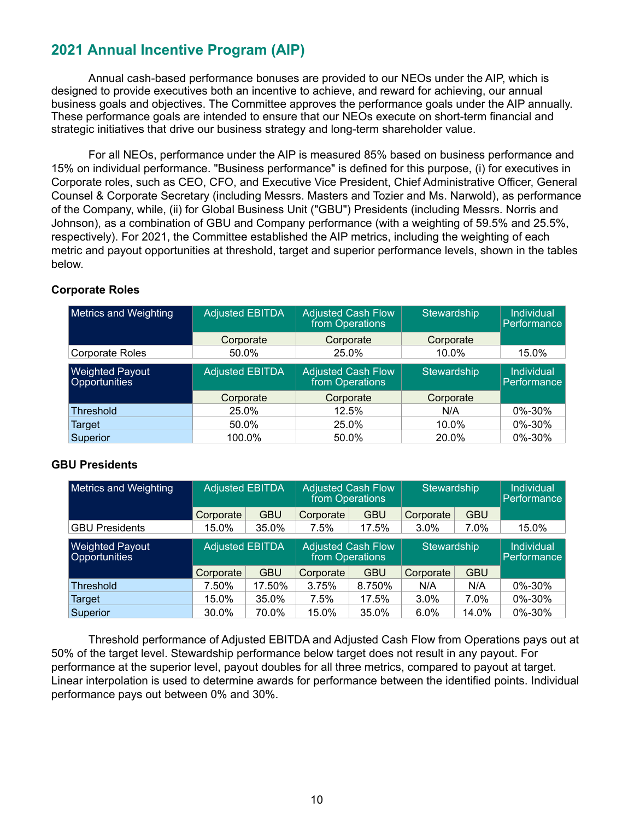# **2021 Annual Incentive Program (AIP)**

Annual cash-based performance bonuses are provided to our NEOs under the AIP, which is designed to provide executives both an incentive to achieve, and reward for achieving, our annual business goals and objectives. The Committee approves the performance goals under the AIP annually. These performance goals are intended to ensure that our NEOs execute on short-term financial and strategic initiatives that drive our business strategy and long-term shareholder value.

For all NEOs, performance under the AIP is measured 85% based on business performance and 15% on individual performance. "Business performance" is defined for this purpose, (i) for executives in Corporate roles, such as CEO, CFO, and Executive Vice President, Chief Administrative Officer, General Counsel & Corporate Secretary (including Messrs. Masters and Tozier and Ms. Narwold), as performance of the Company, while, (ii) for Global Business Unit ("GBU") Presidents (including Messrs. Norris and Johnson), as a combination of GBU and Company performance (with a weighting of 59.5% and 25.5%, respectively). For 2021, the Committee established the AIP metrics, including the weighting of each metric and payout opportunities at threshold, target and superior performance levels, shown in the tables below.

| <b>Metrics and Weighting</b>            | <b>Adjusted EBITDA</b> | <b>Adjusted Cash Flow</b><br>from Operations | Stewardship | <b>Individual</b><br>Performance |
|-----------------------------------------|------------------------|----------------------------------------------|-------------|----------------------------------|
|                                         | Corporate              | Corporate                                    | Corporate   |                                  |
| <b>Corporate Roles</b>                  | 50.0%                  | 25.0%                                        | $10.0\%$    | 15.0%                            |
| <b>Weighted Payout</b><br>Opportunities | <b>Adjusted EBITDA</b> | <b>Adjusted Cash Flow</b><br>from Operations | Stewardship | <b>Individual</b><br>Performance |
|                                         | Corporate              | Corporate                                    | Corporate   |                                  |
| <b>Threshold</b>                        | 25.0%                  | 12.5%                                        | N/A         | 0%-30%                           |
| Target                                  | 50.0%                  | 25.0%                                        | 10.0%       | 0%-30%                           |
| Superior                                | 100.0%                 | 50.0%                                        | 20.0%       | 0%-30%                           |

### **Corporate Roles**

### **GBU Presidents**

| <b>Metrics and Weighting</b>            | <b>Adjusted EBITDA</b><br><b>Adjusted Cash Flow</b><br>from Operations |            |           | Stewardship                                  |           |             | <b>Individual</b><br>Performance |
|-----------------------------------------|------------------------------------------------------------------------|------------|-----------|----------------------------------------------|-----------|-------------|----------------------------------|
|                                         | Corporate                                                              | <b>GBU</b> | Corporate | <b>GBU</b>                                   | Corporate | <b>GBU</b>  |                                  |
| <b>GBU Presidents</b>                   | 15.0%                                                                  | 35.0%      | 7.5%      | 17.5%                                        | 3.0%      | 7.0%        | 15.0%                            |
| <b>Weighted Payout</b><br>Opportunities | <b>Adjusted EBITDA</b>                                                 |            |           | <b>Adjusted Cash Flow</b><br>from Operations |           | Stewardship |                                  |
|                                         | Corporate                                                              | <b>GBU</b> | Corporate | <b>GBU</b>                                   | Corporate | <b>GBU</b>  |                                  |
| <b>Threshold</b>                        | 7.50%                                                                  | 17.50%     | 3.75%     | 8.750%                                       | N/A       | N/A         | $0\% - 30\%$                     |
| Target                                  | 15.0%                                                                  | 35.0%      | 7.5%      | 17.5%                                        | 3.0%      | 7.0%        | 0%-30%                           |
| Superior                                | 30.0%                                                                  | 70.0%      | 15.0%     | 35.0%                                        | 6.0%      | 14.0%       | 0%-30%                           |

Threshold performance of Adjusted EBITDA and Adjusted Cash Flow from Operations pays out at 50% of the target level. Stewardship performance below target does not result in any payout. For performance at the superior level, payout doubles for all three metrics, compared to payout at target. Linear interpolation is used to determine awards for performance between the identified points. Individual performance pays out between 0% and 30%.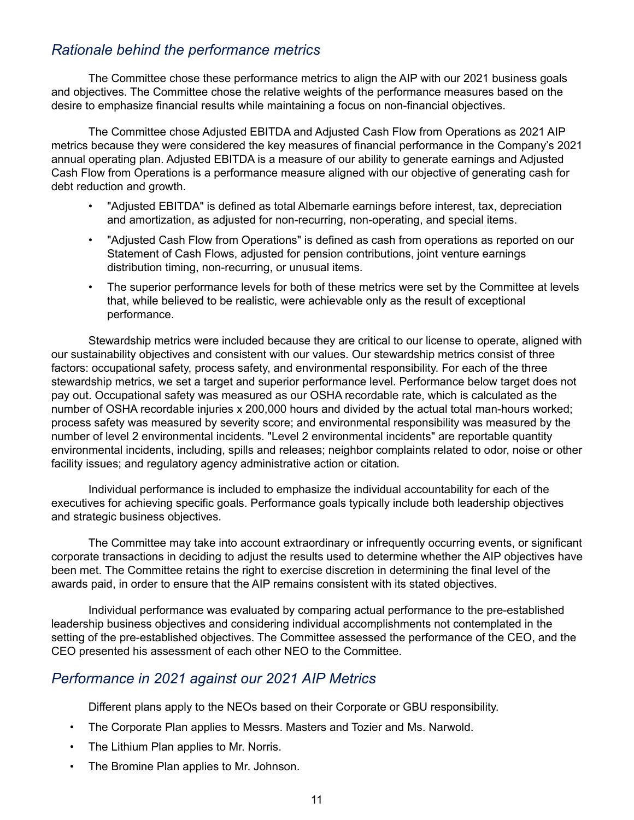### *Rationale behind the performance metrics*

The Committee chose these performance metrics to align the AIP with our 2021 business goals and objectives. The Committee chose the relative weights of the performance measures based on the desire to emphasize financial results while maintaining a focus on non-financial objectives.

The Committee chose Adjusted EBITDA and Adjusted Cash Flow from Operations as 2021 AIP metrics because they were considered the key measures of financial performance in the Company's 2021 annual operating plan. Adjusted EBITDA is a measure of our ability to generate earnings and Adjusted Cash Flow from Operations is a performance measure aligned with our objective of generating cash for debt reduction and growth.

- "Adjusted EBITDA" is defined as total Albemarle earnings before interest, tax, depreciation and amortization, as adjusted for non-recurring, non-operating, and special items.
- "Adjusted Cash Flow from Operations" is defined as cash from operations as reported on our Statement of Cash Flows, adjusted for pension contributions, joint venture earnings distribution timing, non-recurring, or unusual items.
- The superior performance levels for both of these metrics were set by the Committee at levels that, while believed to be realistic, were achievable only as the result of exceptional performance.

Stewardship metrics were included because they are critical to our license to operate, aligned with our sustainability objectives and consistent with our values. Our stewardship metrics consist of three factors: occupational safety, process safety, and environmental responsibility. For each of the three stewardship metrics, we set a target and superior performance level. Performance below target does not pay out. Occupational safety was measured as our OSHA recordable rate, which is calculated as the number of OSHA recordable injuries x 200,000 hours and divided by the actual total man-hours worked; process safety was measured by severity score; and environmental responsibility was measured by the number of level 2 environmental incidents. "Level 2 environmental incidents" are reportable quantity environmental incidents, including, spills and releases; neighbor complaints related to odor, noise or other facility issues; and regulatory agency administrative action or citation.

Individual performance is included to emphasize the individual accountability for each of the executives for achieving specific goals. Performance goals typically include both leadership objectives and strategic business objectives.

The Committee may take into account extraordinary or infrequently occurring events, or significant corporate transactions in deciding to adjust the results used to determine whether the AIP objectives have been met. The Committee retains the right to exercise discretion in determining the final level of the awards paid, in order to ensure that the AIP remains consistent with its stated objectives.

Individual performance was evaluated by comparing actual performance to the pre-established leadership business objectives and considering individual accomplishments not contemplated in the setting of the pre-established objectives. The Committee assessed the performance of the CEO, and the CEO presented his assessment of each other NEO to the Committee.

### *Performance in 2021 against our 2021 AIP Metrics*

Different plans apply to the NEOs based on their Corporate or GBU responsibility.

- The Corporate Plan applies to Messrs. Masters and Tozier and Ms. Narwold.
- The Lithium Plan applies to Mr. Norris.
- The Bromine Plan applies to Mr. Johnson.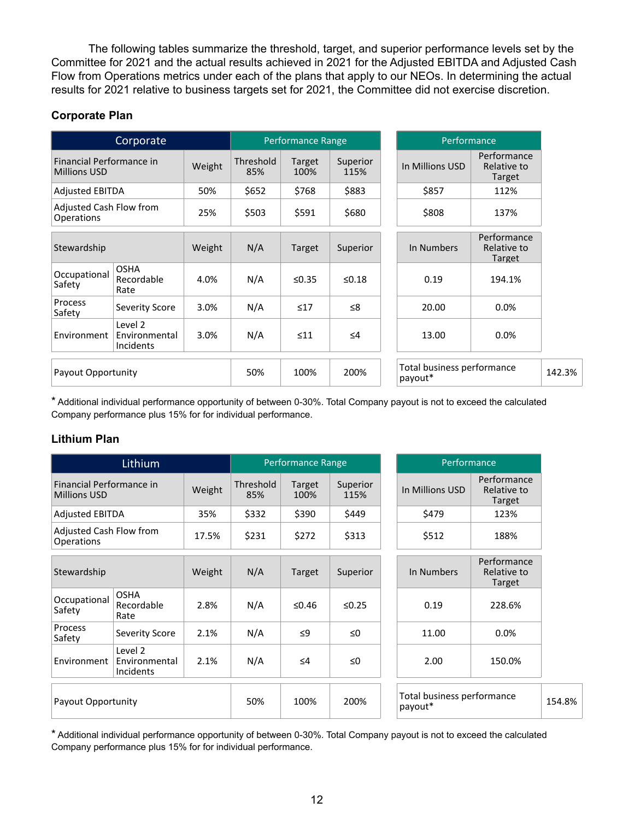The following tables summarize the threshold, target, and superior performance levels set by the Committee for 2021 and the actual results achieved in 2021 for the Adjusted EBITDA and Adjusted Cash Flow from Operations metrics under each of the plans that apply to our NEOs. In determining the actual results for 2021 relative to business targets set for 2021, the Committee did not exercise discretion.

### **Corporate Plan**

|                                                 | Corporate                             |        |                  | Performance Range |                  | Performance                           |                                      |  |
|-------------------------------------------------|---------------------------------------|--------|------------------|-------------------|------------------|---------------------------------------|--------------------------------------|--|
| Financial Performance in<br><b>Millions USD</b> |                                       | Weight | Threshold<br>85% | Target<br>100%    | Superior<br>115% | In Millions USD                       | Performance<br>Relative to<br>Target |  |
| <b>Adjusted EBITDA</b>                          |                                       | 50%    | \$652            | \$768             | \$883            | \$857                                 | 112%                                 |  |
| Adjusted Cash Flow from<br>Operations           |                                       | 25%    | \$503            | \$591             | \$680            | \$808<br>137%                         |                                      |  |
| Stewardship                                     |                                       | Weight | N/A              | Target            | Superior         | In Numbers                            | Performance<br>Relative to<br>Target |  |
| Occupational<br>Safety                          | <b>OSHA</b><br>Recordable<br>Rate     | 4.0%   | N/A              | $\leq 0.35$       | $≤0.18$          | 0.19                                  | 194.1%                               |  |
| <b>Process</b><br>Safety                        | Severity Score                        | 3.0%   | N/A              | $\leq 17$         | ≤8               | 20.00                                 | 0.0%                                 |  |
| Environment                                     | Level 2<br>Environmental<br>Incidents | 3.0%   | N/A              | $\leq 11$         | $\leq 4$         | 13.00<br>0.0%                         |                                      |  |
| Payout Opportunity                              |                                       |        | 50%              | 100%              | 200%             | Total business performance<br>payout* |                                      |  |

\* Additional individual performance opportunity of between 0-30%. Total Company payout is not to exceed the calculated Company performance plus 15% for for individual performance.

### **Lithium Plan**

|                                                 | Lithium                                      |        |                  | Performance Range |                  | Performance                           |                                      |  |
|-------------------------------------------------|----------------------------------------------|--------|------------------|-------------------|------------------|---------------------------------------|--------------------------------------|--|
| Financial Performance in<br><b>Millions USD</b> |                                              | Weight | Threshold<br>85% | Target<br>100%    | Superior<br>115% | In Millions USD                       | Performance<br>Relative to<br>Target |  |
| <b>Adjusted EBITDA</b>                          |                                              | 35%    | \$332            | \$390             | \$449            | \$479                                 | 123%                                 |  |
| Adjusted Cash Flow from<br><b>Operations</b>    |                                              | 17.5%  | \$231            | \$272             | \$313            | \$512<br>188%                         |                                      |  |
| Stewardship                                     |                                              | Weight | N/A              | Target            | Superior         | In Numbers                            | Performance<br>Relative to<br>Target |  |
| Occupational<br>Safety                          | <b>OSHA</b><br>Recordable<br>Rate            | 2.8%   | N/A              | ≤0.46             | $\leq 0.25$      | 0.19                                  | 228.6%                               |  |
| <b>Process</b><br>Safety                        | Severity Score                               | 2.1%   | N/A              | $\leq$ 9          | $\leq 0$         | 11.00                                 | 0.0%                                 |  |
| Environment                                     | Level 2<br>Environmental<br><b>Incidents</b> | 2.1%   | N/A              | $\leq 4$          | $\leq 0$         | 2.00<br>150.0%                        |                                      |  |
| Payout Opportunity                              |                                              |        | 50%              | 100%              | 200%             | Total business performance<br>payout* |                                      |  |

\* Additional individual performance opportunity of between 0-30%. Total Company payout is not to exceed the calculated Company performance plus 15% for for individual performance.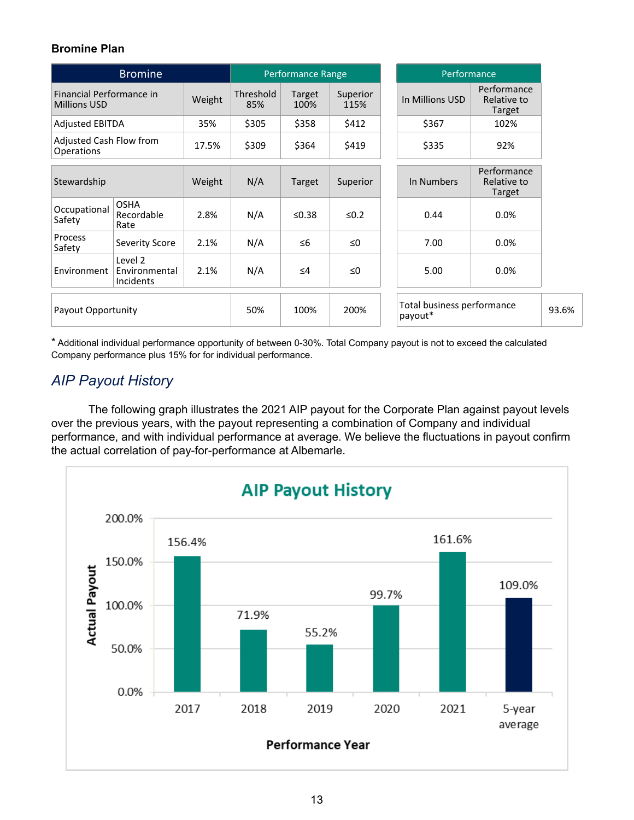### **Bromine Plan**

|                                                 | <b>Bromine</b>                        |        |                  | Performance Range |                  | Performance                           |                                      |  |
|-------------------------------------------------|---------------------------------------|--------|------------------|-------------------|------------------|---------------------------------------|--------------------------------------|--|
| Financial Performance in<br><b>Millions USD</b> |                                       | Weight | Threshold<br>85% | Target<br>100%    | Superior<br>115% | In Millions USD                       | Performance<br>Relative to<br>Target |  |
| <b>Adjusted EBITDA</b>                          |                                       | 35%    | \$305            | \$358             | \$412            | \$367                                 | 102%                                 |  |
| Adjusted Cash Flow from<br>Operations           |                                       | 17.5%  | \$309            | \$364             | \$419            | \$335                                 | 92%                                  |  |
| Stewardship                                     |                                       | Weight | N/A              | Target            | Superior         | In Numbers                            | Performance<br>Relative to<br>Target |  |
| Occupational<br>Safety                          | <b>OSHA</b><br>Recordable<br>Rate     | 2.8%   | N/A              | $≤0.38$           | $≤0.2$           | 0.44                                  | 0.0%                                 |  |
| <b>Process</b><br>Safety                        | <b>Severity Score</b>                 | 2.1%   | N/A              | $\leq 6$          | $\leq 0$         | 7.00                                  | 0.0%                                 |  |
| Environment                                     | Level 2<br>Environmental<br>Incidents | 2.1%   | N/A              | $\leq 4$          | $\leq 0$         | 5.00                                  | 0.0%                                 |  |
| Payout Opportunity                              |                                       |        | 50%              | 100%              | 200%             | Total business performance<br>payout* |                                      |  |

\* Additional individual performance opportunity of between 0-30%. Total Company payout is not to exceed the calculated Company performance plus 15% for for individual performance.

# *AIP Payout History*

The following graph illustrates the 2021 AIP payout for the Corporate Plan against payout levels over the previous years, with the payout representing a combination of Company and individual performance, and with individual performance at average. We believe the fluctuations in payout confirm the actual correlation of pay-for-performance at Albemarle.

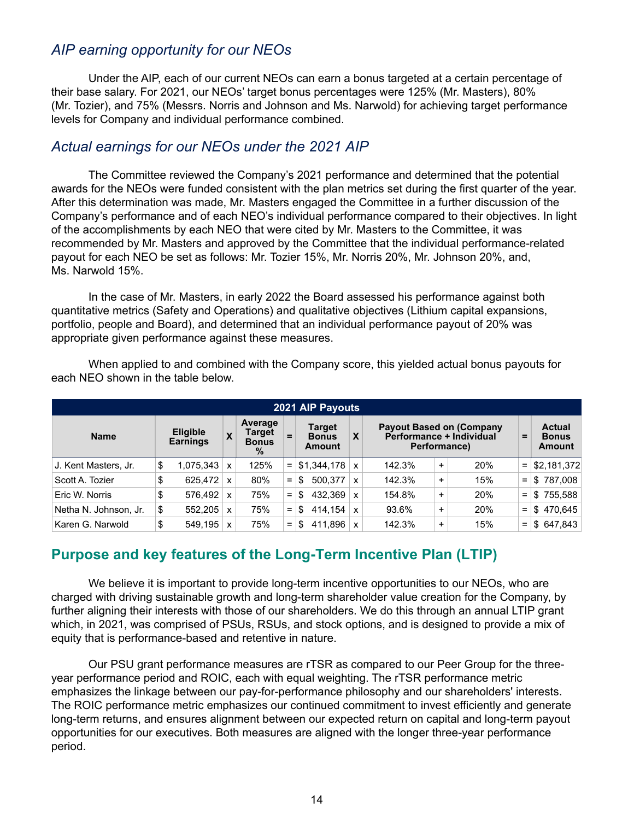### *AIP earning opportunity for our NEOs*

Under the AIP, each of our current NEOs can earn a bonus targeted at a certain percentage of their base salary. For 2021, our NEOs' target bonus percentages were 125% (Mr. Masters), 80% (Mr. Tozier), and 75% (Messrs. Norris and Johnson and Ms. Narwold) for achieving target performance levels for Company and individual performance combined.

### *Actual earnings for our NEOs under the 2021 AIP*

The Committee reviewed the Company's 2021 performance and determined that the potential awards for the NEOs were funded consistent with the plan metrics set during the first quarter of the year. After this determination was made, Mr. Masters engaged the Committee in a further discussion of the Company's performance and of each NEO's individual performance compared to their objectives. In light of the accomplishments by each NEO that were cited by Mr. Masters to the Committee, it was recommended by Mr. Masters and approved by the Committee that the individual performance-related payout for each NEO be set as follows: Mr. Tozier 15%, Mr. Norris 20%, Mr. Johnson 20%, and, Ms. Narwold 15%.

In the case of Mr. Masters, in early 2022 the Board assessed his performance against both quantitative metrics (Safety and Operations) and qualitative objectives (Lithium capital expansions, portfolio, people and Board), and determined that an individual performance payout of 20% was appropriate given performance against these measures.

| 2021 AIP Payouts      |    |                                    |   |                                           |          |                                         |              |                                                                             |           |     |          |                                         |
|-----------------------|----|------------------------------------|---|-------------------------------------------|----------|-----------------------------------------|--------------|-----------------------------------------------------------------------------|-----------|-----|----------|-----------------------------------------|
| <b>Name</b>           |    | <b>Eligible</b><br><b>Earnings</b> | X | Average<br>Target<br><b>Bonus</b><br>$\%$ | $=$      | <b>Target</b><br><b>Bonus</b><br>Amount | X            | <b>Payout Based on (Company</b><br>Performance + Individual<br>Performance) |           |     |          | <b>Actual</b><br><b>Bonus</b><br>Amount |
| J. Kent Masters, Jr.  | \$ | 1.075.343                          | x | 125%                                      | $=$      | \$1,344,178                             | $\mathsf{x}$ | 142.3%                                                                      | $\ddot{}$ | 20% | $\equiv$ | \$2,181,372                             |
| Scott A. Tozier       | \$ | 625.472                            | x | 80%                                       | $=$      | 500.377<br>\$                           | x            | 142.3%                                                                      | $\ddot{}$ | 15% | $=$      | \$787,008                               |
| Eric W. Norris        | \$ | 576,492                            | x | 75%                                       | $=$      | 432.369<br>\$                           | x            | 154.8%                                                                      | $\ddot{}$ | 20% | $=$      | \$755,588                               |
| Netha N. Johnson, Jr. | \$ | 552.205                            | x | 75%                                       | $\equiv$ | 414.154<br>\$                           | X            | 93.6%                                                                       | $\ddot{}$ | 20% | $=$      | \$470.645                               |
| Karen G. Narwold      | \$ | 549,195                            | x | 75%                                       | $\equiv$ | 411.896<br>\$                           |              | 142.3%                                                                      | ÷         | 15% | $=$      | \$647.843                               |

When applied to and combined with the Company score, this yielded actual bonus payouts for each NEO shown in the table below.

# **Purpose and key features of the Long-Term Incentive Plan (LTIP)**

We believe it is important to provide long-term incentive opportunities to our NEOs, who are charged with driving sustainable growth and long-term shareholder value creation for the Company, by further aligning their interests with those of our shareholders. We do this through an annual LTIP grant which, in 2021, was comprised of PSUs, RSUs, and stock options, and is designed to provide a mix of equity that is performance-based and retentive in nature.

Our PSU grant performance measures are rTSR as compared to our Peer Group for the threeyear performance period and ROIC, each with equal weighting. The rTSR performance metric emphasizes the linkage between our pay-for-performance philosophy and our shareholders' interests. The ROIC performance metric emphasizes our continued commitment to invest efficiently and generate long-term returns, and ensures alignment between our expected return on capital and long-term payout opportunities for our executives. Both measures are aligned with the longer three-year performance period.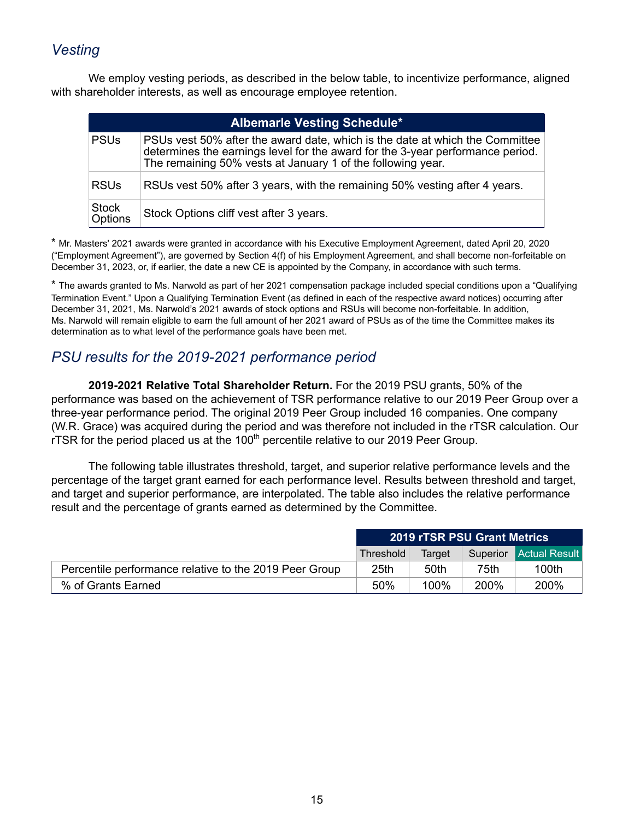# *Vesting*

We employ vesting periods, as described in the below table, to incentivize performance, aligned with shareholder interests, as well as encourage employee retention.

|                         | <b>Albemarle Vesting Schedule*</b>                                                                                                                                                                                            |  |  |  |  |  |  |  |  |
|-------------------------|-------------------------------------------------------------------------------------------------------------------------------------------------------------------------------------------------------------------------------|--|--|--|--|--|--|--|--|
| <b>PSUs</b>             | PSUs vest 50% after the award date, which is the date at which the Committee<br>determines the earnings level for the award for the 3-year performance period.<br>The remaining 50% vests at January 1 of the following year. |  |  |  |  |  |  |  |  |
| <b>RSUs</b>             | RSUs vest 50% after 3 years, with the remaining 50% vesting after 4 years.                                                                                                                                                    |  |  |  |  |  |  |  |  |
| <b>Stock</b><br>Options | Stock Options cliff vest after 3 years.                                                                                                                                                                                       |  |  |  |  |  |  |  |  |

\* Mr. Masters' 2021 awards were granted in accordance with his Executive Employment Agreement, dated April 20, 2020 ("Employment Agreement"), are governed by Section 4(f) of his Employment Agreement, and shall become non-forfeitable on December 31, 2023, or, if earlier, the date a new CE is appointed by the Company, in accordance with such terms.

\* The awards granted to Ms. Narwold as part of her 2021 compensation package included special conditions upon a "Qualifying Termination Event." Upon a Qualifying Termination Event (as defined in each of the respective award notices) occurring after December 31, 2021, Ms. Narwold's 2021 awards of stock options and RSUs will become non-forfeitable. In addition, Ms. Narwold will remain eligible to earn the full amount of her 2021 award of PSUs as of the time the Committee makes its determination as to what level of the performance goals have been met.

# *PSU results for the 2019-2021 performance period*

**2019-2021 Relative Total Shareholder Return.** For the 2019 PSU grants, 50% of the performance was based on the achievement of TSR performance relative to our 2019 Peer Group over a three-year performance period. The original 2019 Peer Group included 16 companies. One company (W.R. Grace) was acquired during the period and was therefore not included in the rTSR calculation. Our rTSR for the period placed us at the  $100<sup>th</sup>$  percentile relative to our 2019 Peer Group.

The following table illustrates threshold, target, and superior relative performance levels and the percentage of the target grant earned for each performance level. Results between threshold and target, and target and superior performance, are interpolated. The table also includes the relative performance result and the percentage of grants earned as determined by the Committee.

|                                                        | <b>2019 rTSR PSU Grant Metrics</b> |        |      |                               |  |
|--------------------------------------------------------|------------------------------------|--------|------|-------------------------------|--|
|                                                        | Threshold                          | Target |      | <b>Superior</b> Actual Result |  |
| Percentile performance relative to the 2019 Peer Group | 25 <sub>th</sub>                   | 50th   | 75th | 100th                         |  |
| % of Grants Earned                                     | 50%                                | 100%   | 200% | 200%                          |  |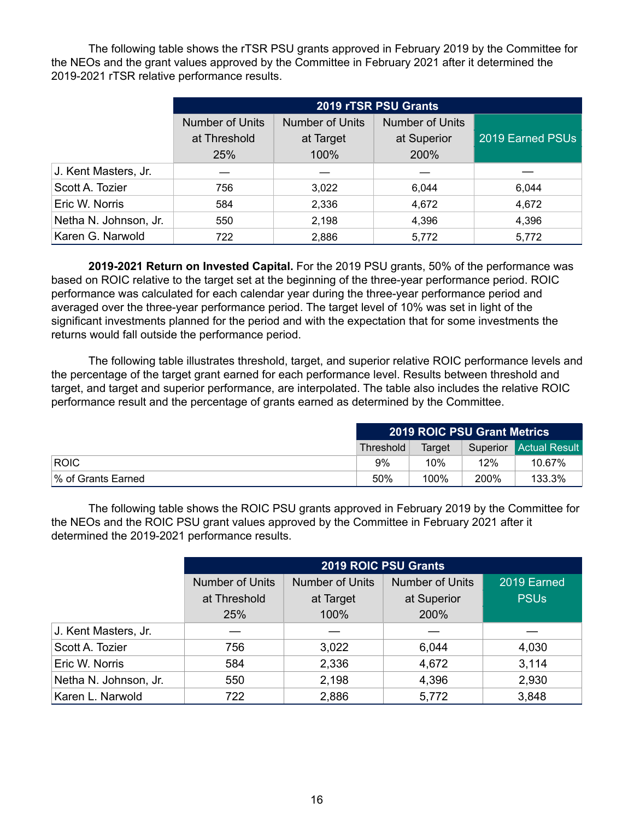The following table shows the rTSR PSU grants approved in February 2019 by the Committee for the NEOs and the grant values approved by the Committee in February 2021 after it determined the 2019-2021 rTSR relative performance results.

|                       | 2019 rTSR PSU Grants   |                        |                        |                  |  |  |  |  |  |  |  |
|-----------------------|------------------------|------------------------|------------------------|------------------|--|--|--|--|--|--|--|
|                       | <b>Number of Units</b> | <b>Number of Units</b> | <b>Number of Units</b> |                  |  |  |  |  |  |  |  |
|                       | at Threshold           | at Target              | at Superior            | 2019 Earned PSUs |  |  |  |  |  |  |  |
|                       | 25%                    | 100%                   | 200%                   |                  |  |  |  |  |  |  |  |
| J. Kent Masters, Jr.  |                        |                        |                        |                  |  |  |  |  |  |  |  |
| Scott A. Tozier       | 756                    | 3,022                  | 6,044                  | 6,044            |  |  |  |  |  |  |  |
| Eric W. Norris        | 584                    | 2,336                  | 4,672                  | 4,672            |  |  |  |  |  |  |  |
| Netha N. Johnson, Jr. | 550                    | 2,198                  | 4,396                  | 4,396            |  |  |  |  |  |  |  |
| Karen G. Narwold      | 722                    | 2,886                  | 5,772                  | 5,772            |  |  |  |  |  |  |  |

**2019-2021 Return on Invested Capital.** For the 2019 PSU grants, 50% of the performance was based on ROIC relative to the target set at the beginning of the three-year performance period. ROIC performance was calculated for each calendar year during the three-year performance period and averaged over the three-year performance period. The target level of 10% was set in light of the significant investments planned for the period and with the expectation that for some investments the returns would fall outside the performance period.

The following table illustrates threshold, target, and superior relative ROIC performance levels and the percentage of the target grant earned for each performance level. Results between threshold and target, and target and superior performance, are interpolated. The table also includes the relative ROIC performance result and the percentage of grants earned as determined by the Committee.

|                    | <b>2019 ROIC PSU Grant Metrics</b>                   |      |      |        |  |
|--------------------|------------------------------------------------------|------|------|--------|--|
|                    | <b>Superior</b> Actual Result<br>Target<br>Threshold |      |      |        |  |
| <b>ROIC</b>        | 9%                                                   | 10%  | 12%  | 10.67% |  |
| % of Grants Earned | 50%                                                  | 100% | 200% | 133.3% |  |

The following table shows the ROIC PSU grants approved in February 2019 by the Committee for the NEOs and the ROIC PSU grant values approved by the Committee in February 2021 after it determined the 2019-2021 performance results.

|                       | 2019 ROIC PSU Grants   |                        |                        |             |  |  |  |  |
|-----------------------|------------------------|------------------------|------------------------|-------------|--|--|--|--|
|                       | <b>Number of Units</b> | <b>Number of Units</b> | <b>Number of Units</b> | 2019 Earned |  |  |  |  |
|                       | at Threshold           | at Target              | at Superior            | <b>PSUs</b> |  |  |  |  |
|                       | <b>25%</b>             | 100%                   | 200%                   |             |  |  |  |  |
| J. Kent Masters, Jr.  |                        |                        |                        |             |  |  |  |  |
| Scott A. Tozier       | 756                    | 3,022                  | 6,044                  | 4,030       |  |  |  |  |
| Eric W. Norris        | 584                    | 2,336                  | 4,672                  | 3,114       |  |  |  |  |
| Netha N. Johnson, Jr. | 550                    | 2,198                  | 4,396                  | 2,930       |  |  |  |  |
| Karen L. Narwold      | 722                    | 2,886                  | 5,772                  | 3,848       |  |  |  |  |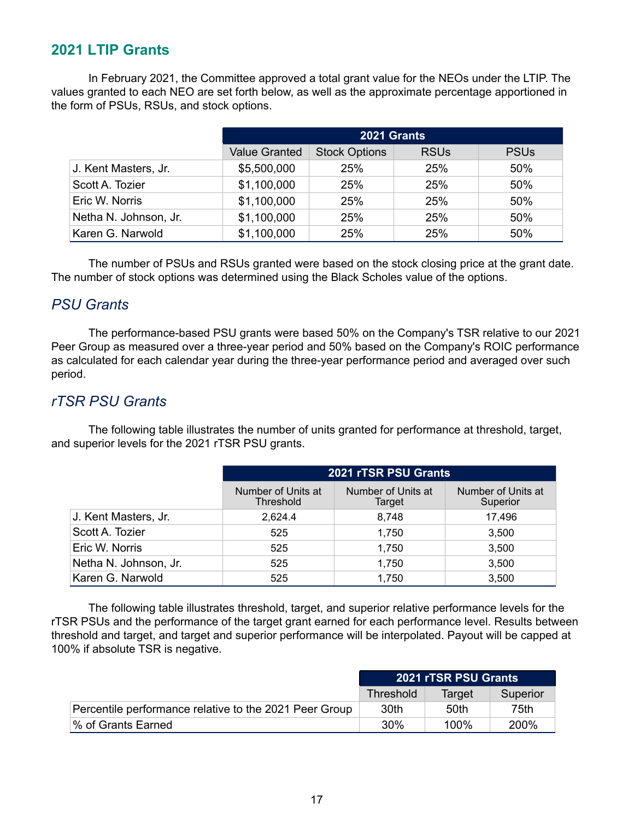### **2021 LTIP Grants**

In February 2021, the Committee approved a total grant value for the NEOs under the LTIP. The values granted to each NEO are set forth below, as well as the approximate percentage apportioned in the form of PSUs, RSUs, and stock options.

|                       | 2021 Grants          |                      |             |                        |  |  |  |
|-----------------------|----------------------|----------------------|-------------|------------------------|--|--|--|
|                       | <b>Value Granted</b> | <b>Stock Options</b> | <b>RSUs</b> | <b>PSU<sub>s</sub></b> |  |  |  |
| J. Kent Masters, Jr.  | \$5,500,000          | <b>25%</b>           | <b>25%</b>  | 50%                    |  |  |  |
| Scott A. Tozier       | \$1,100,000          | <b>25%</b>           | 25%         | 50%                    |  |  |  |
| Eric W. Norris        | \$1,100,000          | 25%                  | <b>25%</b>  | 50%                    |  |  |  |
| Netha N. Johnson, Jr. | \$1,100,000          | <b>25%</b>           | <b>25%</b>  | 50%                    |  |  |  |
| Karen G. Narwold      | \$1,100,000          | 25%                  | 25%         | 50%                    |  |  |  |

The number of PSUs and RSUs granted were based on the stock closing price at the grant date. The number of stock options was determined using the Black Scholes value of the options.

### *PSU Grants*

The performance-based PSU grants were based 50% on the Company's TSR relative to our 2021 Peer Group as measured over a three-year period and 50% based on the Company's ROIC performance as calculated for each calendar year during the three-year performance period and averaged over such period.

### *rTSR PSU Grants*

The following table illustrates the number of units granted for performance at threshold, target, and superior levels for the 2021 rTSR PSU grants.

|                       | 2021 rTSR PSU Grants            |                              |                                |  |  |  |
|-----------------------|---------------------------------|------------------------------|--------------------------------|--|--|--|
|                       | Number of Units at<br>Threshold | Number of Units at<br>Target | Number of Units at<br>Superior |  |  |  |
| J. Kent Masters, Jr.  | 2,624.4                         | 8,748                        | 17,496                         |  |  |  |
| Scott A. Tozier       | 525                             | 1,750                        | 3,500                          |  |  |  |
| Eric W. Norris        | 525                             | 1,750                        | 3,500                          |  |  |  |
| Netha N. Johnson, Jr. | 525                             | 1,750                        | 3,500                          |  |  |  |
| Karen G. Narwold      | 525                             | 1,750                        | 3,500                          |  |  |  |

The following table illustrates threshold, target, and superior relative performance levels for the rTSR PSUs and the performance of the target grant earned for each performance level. Results between threshold and target, and target and superior performance will be interpolated. Payout will be capped at 100% if absolute TSR is negative.

|                                                        | 2021 rTSR PSU Grants            |         |      |  |
|--------------------------------------------------------|---------------------------------|---------|------|--|
|                                                        | Threshold<br>Superior<br>Target |         |      |  |
| Percentile performance relative to the 2021 Peer Group | 30th                            | 50th    | 75th |  |
| % of Grants Earned                                     | 30%                             | $100\%$ | 200% |  |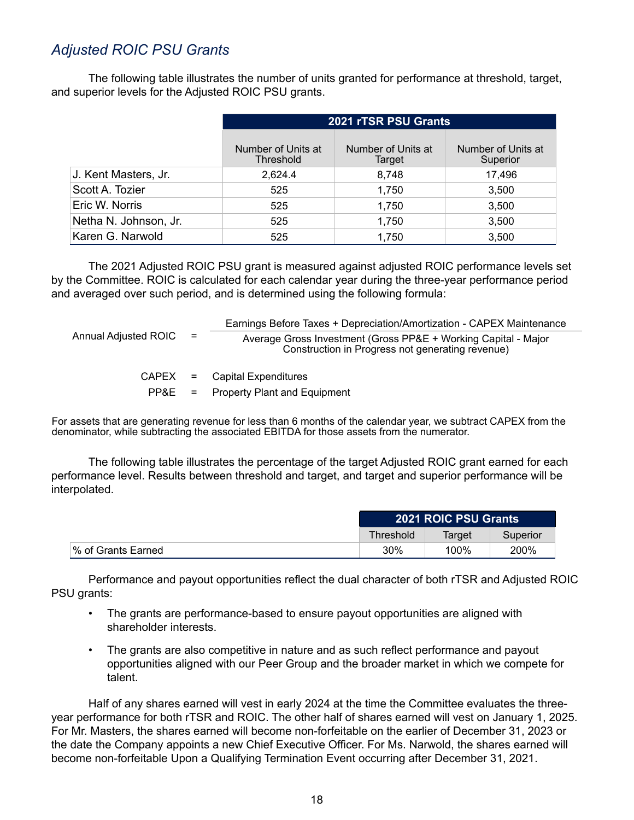## *Adjusted ROIC PSU Grants*

The following table illustrates the number of units granted for performance at threshold, target, and superior levels for the Adjusted ROIC PSU grants.

|                       | 2021 rTSR PSU Grants            |                              |                                |  |  |  |  |
|-----------------------|---------------------------------|------------------------------|--------------------------------|--|--|--|--|
|                       | Number of Units at<br>Threshold | Number of Units at<br>Target | Number of Units at<br>Superior |  |  |  |  |
| J. Kent Masters, Jr.  | 2.624.4                         | 8.748                        | 17.496                         |  |  |  |  |
| Scott A. Tozier       | 525                             | 1,750                        | 3,500                          |  |  |  |  |
| Eric W. Norris        | 525                             | 1,750                        | 3,500                          |  |  |  |  |
| Netha N. Johnson, Jr. | 525                             | 1,750                        | 3,500                          |  |  |  |  |
| Karen G. Narwold      | 525                             | 1,750                        | 3,500                          |  |  |  |  |

The 2021 Adjusted ROIC PSU grant is measured against adjusted ROIC performance levels set by the Committee. ROIC is calculated for each calendar year during the three-year performance period and averaged over such period, and is determined using the following formula:

|                          | Earnings Before Taxes + Depreciation/Amortization - CAPEX Maintenance                                              |
|--------------------------|--------------------------------------------------------------------------------------------------------------------|
| Annual Adjusted ROIC $=$ | Average Gross Investment (Gross PP&E + Working Capital - Major<br>Construction in Progress not generating revenue) |
|                          | $CAPEX =$ Capital Expenditures                                                                                     |
| PP&E                     | $=$ Property Plant and Equipment                                                                                   |

For assets that are generating revenue for less than 6 months of the calendar year, we subtract CAPEX from the denominator, while subtracting the associated EBITDA for those assets from the numerator.

The following table illustrates the percentage of the target Adjusted ROIC grant earned for each performance level. Results between threshold and target, and target and superior performance will be interpolated.

|                    | 2021 ROIC PSU Grants            |      |      |  |
|--------------------|---------------------------------|------|------|--|
|                    | Threshold<br>Superior<br>Target |      |      |  |
| % of Grants Earned | 30%                             | 100% | 200% |  |

Performance and payout opportunities reflect the dual character of both rTSR and Adjusted ROIC PSU grants:

- The grants are performance-based to ensure payout opportunities are aligned with shareholder interests.
- The grants are also competitive in nature and as such reflect performance and payout opportunities aligned with our Peer Group and the broader market in which we compete for talent.

Half of any shares earned will vest in early 2024 at the time the Committee evaluates the threeyear performance for both rTSR and ROIC. The other half of shares earned will vest on January 1, 2025. For Mr. Masters, the shares earned will become non-forfeitable on the earlier of December 31, 2023 or the date the Company appoints a new Chief Executive Officer. For Ms. Narwold, the shares earned will become non-forfeitable Upon a Qualifying Termination Event occurring after December 31, 2021.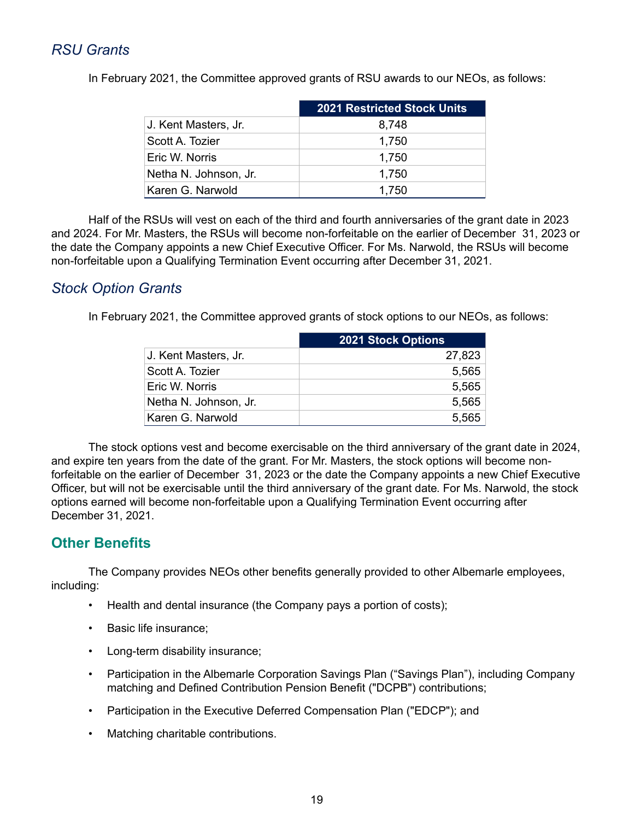# *RSU Grants*

In February 2021, the Committee approved grants of RSU awards to our NEOs, as follows:

|                       | <b>2021 Restricted Stock Units</b> |
|-----------------------|------------------------------------|
| J. Kent Masters, Jr.  | 8,748                              |
| Scott A. Tozier       | 1,750                              |
| Eric W. Norris        | 1,750                              |
| Netha N. Johnson, Jr. | 1,750                              |
| Karen G. Narwold      | 1.750                              |

Half of the RSUs will vest on each of the third and fourth anniversaries of the grant date in 2023 and 2024. For Mr. Masters, the RSUs will become non-forfeitable on the earlier of December 31, 2023 or the date the Company appoints a new Chief Executive Officer. For Ms. Narwold, the RSUs will become non-forfeitable upon a Qualifying Termination Event occurring after December 31, 2021.

### *Stock Option Grants*

In February 2021, the Committee approved grants of stock options to our NEOs, as follows:

|                       | <b>2021 Stock Options</b> |
|-----------------------|---------------------------|
| J. Kent Masters, Jr.  | 27,823                    |
| Scott A. Tozier       | 5,565                     |
| Eric W. Norris        | 5,565                     |
| Netha N. Johnson, Jr. | 5,565                     |
| Karen G. Narwold      | 5,565                     |

The stock options vest and become exercisable on the third anniversary of the grant date in 2024, and expire ten years from the date of the grant. For Mr. Masters, the stock options will become nonforfeitable on the earlier of December 31, 2023 or the date the Company appoints a new Chief Executive Officer, but will not be exercisable until the third anniversary of the grant date. For Ms. Narwold, the stock options earned will become non-forfeitable upon a Qualifying Termination Event occurring after December 31, 2021.

# **Other Benefits**

The Company provides NEOs other benefits generally provided to other Albemarle employees, including:

- Health and dental insurance (the Company pays a portion of costs);
- Basic life insurance;
- Long-term disability insurance;
- Participation in the Albemarle Corporation Savings Plan ("Savings Plan"), including Company matching and Defined Contribution Pension Benefit ("DCPB") contributions;
- Participation in the Executive Deferred Compensation Plan ("EDCP"); and
- Matching charitable contributions.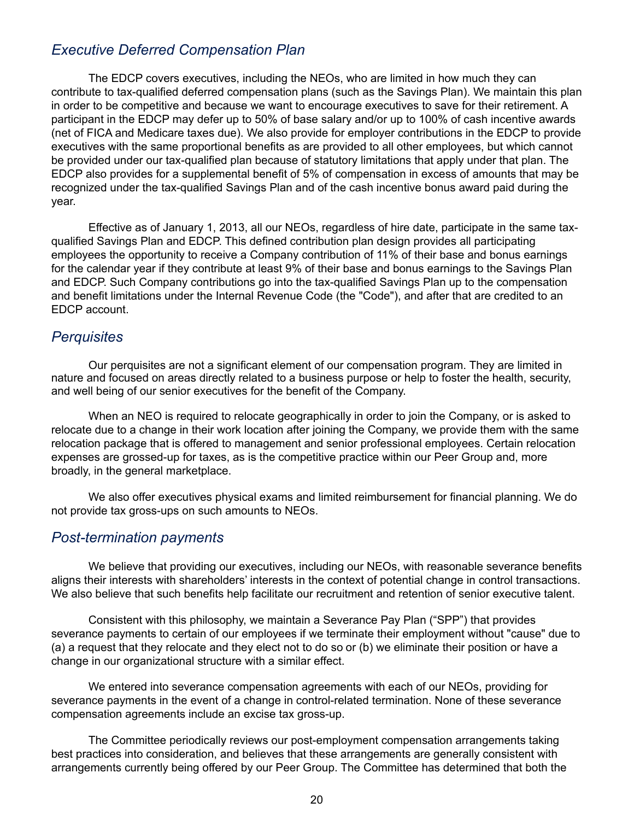### *Executive Deferred Compensation Plan*

The EDCP covers executives, including the NEOs, who are limited in how much they can contribute to tax-qualified deferred compensation plans (such as the Savings Plan). We maintain this plan in order to be competitive and because we want to encourage executives to save for their retirement. A participant in the EDCP may defer up to 50% of base salary and/or up to 100% of cash incentive awards (net of FICA and Medicare taxes due). We also provide for employer contributions in the EDCP to provide executives with the same proportional benefits as are provided to all other employees, but which cannot be provided under our tax-qualified plan because of statutory limitations that apply under that plan. The EDCP also provides for a supplemental benefit of 5% of compensation in excess of amounts that may be recognized under the tax-qualified Savings Plan and of the cash incentive bonus award paid during the year.

Effective as of January 1, 2013, all our NEOs, regardless of hire date, participate in the same taxqualified Savings Plan and EDCP. This defined contribution plan design provides all participating employees the opportunity to receive a Company contribution of 11% of their base and bonus earnings for the calendar year if they contribute at least 9% of their base and bonus earnings to the Savings Plan and EDCP. Such Company contributions go into the tax-qualified Savings Plan up to the compensation and benefit limitations under the Internal Revenue Code (the "Code"), and after that are credited to an EDCP account.

### *Perquisites*

Our perquisites are not a significant element of our compensation program. They are limited in nature and focused on areas directly related to a business purpose or help to foster the health, security, and well being of our senior executives for the benefit of the Company.

When an NEO is required to relocate geographically in order to join the Company, or is asked to relocate due to a change in their work location after joining the Company, we provide them with the same relocation package that is offered to management and senior professional employees. Certain relocation expenses are grossed-up for taxes, as is the competitive practice within our Peer Group and, more broadly, in the general marketplace.

We also offer executives physical exams and limited reimbursement for financial planning. We do not provide tax gross-ups on such amounts to NEOs.

### *Post-termination payments*

We believe that providing our executives, including our NEOs, with reasonable severance benefits aligns their interests with shareholders' interests in the context of potential change in control transactions. We also believe that such benefits help facilitate our recruitment and retention of senior executive talent.

Consistent with this philosophy, we maintain a Severance Pay Plan ("SPP") that provides severance payments to certain of our employees if we terminate their employment without "cause" due to (a) a request that they relocate and they elect not to do so or (b) we eliminate their position or have a change in our organizational structure with a similar effect.

We entered into severance compensation agreements with each of our NEOs, providing for severance payments in the event of a change in control-related termination. None of these severance compensation agreements include an excise tax gross-up.

The Committee periodically reviews our post-employment compensation arrangements taking best practices into consideration, and believes that these arrangements are generally consistent with arrangements currently being offered by our Peer Group. The Committee has determined that both the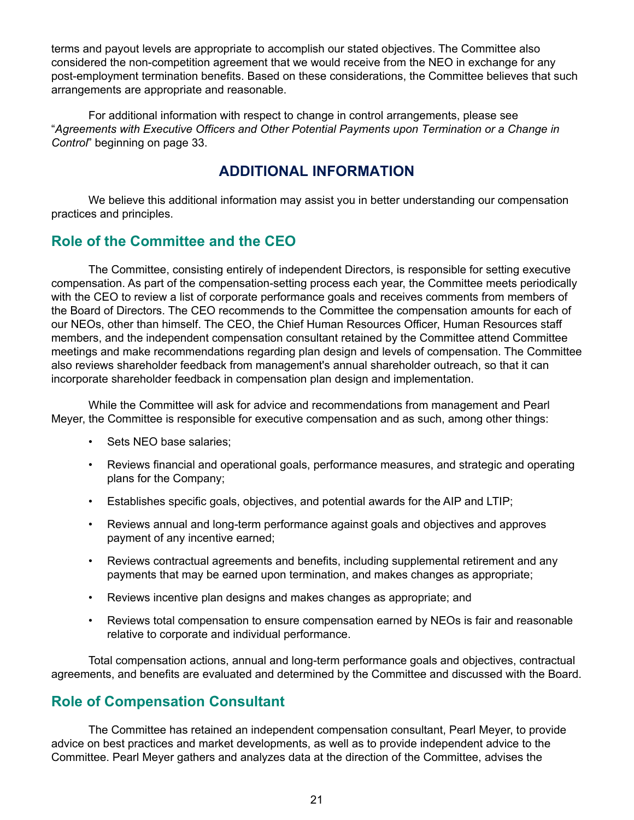<span id="page-23-0"></span>terms and payout levels are appropriate to accomplish our stated objectives. The Committee also considered the non-competition agreement that we would receive from the NEO in exchange for any post-employment termination benefits. Based on these considerations, the Committee believes that such arrangements are appropriate and reasonable.

For additional information with respect to change in control arrangements, please see "*Agreements with Executive Officers and Other Potential Payments upon Termination or a Change in Control*" beginning on page 33.

### **ADDITIONAL INFORMATION**

We believe this additional information may assist you in better understanding our compensation practices and principles.

## **Role of the Committee and the CEO**

The Committee, consisting entirely of independent Directors, is responsible for setting executive compensation. As part of the compensation-setting process each year, the Committee meets periodically with the CEO to review a list of corporate performance goals and receives comments from members of the Board of Directors. The CEO recommends to the Committee the compensation amounts for each of our NEOs, other than himself. The CEO, the Chief Human Resources Officer, Human Resources staff members, and the independent compensation consultant retained by the Committee attend Committee meetings and make recommendations regarding plan design and levels of compensation. The Committee also reviews shareholder feedback from management's annual shareholder outreach, so that it can incorporate shareholder feedback in compensation plan design and implementation.

While the Committee will ask for advice and recommendations from management and Pearl Meyer, the Committee is responsible for executive compensation and as such, among other things:

- Sets NEO base salaries:
- Reviews financial and operational goals, performance measures, and strategic and operating plans for the Company;
- Establishes specific goals, objectives, and potential awards for the AIP and LTIP;
- Reviews annual and long-term performance against goals and objectives and approves payment of any incentive earned;
- Reviews contractual agreements and benefits, including supplemental retirement and any payments that may be earned upon termination, and makes changes as appropriate;
- Reviews incentive plan designs and makes changes as appropriate; and
- Reviews total compensation to ensure compensation earned by NEOs is fair and reasonable relative to corporate and individual performance.

Total compensation actions, annual and long-term performance goals and objectives, contractual agreements, and benefits are evaluated and determined by the Committee and discussed with the Board.

### **Role of Compensation Consultant**

The Committee has retained an independent compensation consultant, Pearl Meyer, to provide advice on best practices and market developments, as well as to provide independent advice to the Committee. Pearl Meyer gathers and analyzes data at the direction of the Committee, advises the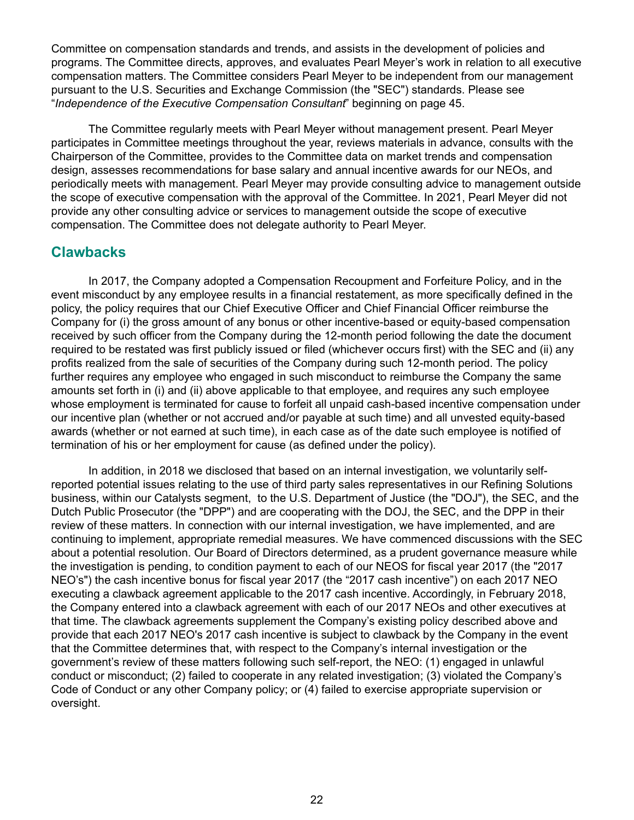Committee on compensation standards and trends, and assists in the development of policies and programs. The Committee directs, approves, and evaluates Pearl Meyer's work in relation to all executive compensation matters. The Committee considers Pearl Meyer to be independent from our management pursuant to the U.S. Securities and Exchange Commission (the "SEC") standards. Please see "*Independence of the Executive Compensation Consultant*" beginning on page 45.

The Committee regularly meets with Pearl Meyer without management present. Pearl Meyer participates in Committee meetings throughout the year, reviews materials in advance, consults with the Chairperson of the Committee, provides to the Committee data on market trends and compensation design, assesses recommendations for base salary and annual incentive awards for our NEOs, and periodically meets with management. Pearl Meyer may provide consulting advice to management outside the scope of executive compensation with the approval of the Committee. In 2021, Pearl Meyer did not provide any other consulting advice or services to management outside the scope of executive compensation. The Committee does not delegate authority to Pearl Meyer.

### **Clawbacks**

In 2017, the Company adopted a Compensation Recoupment and Forfeiture Policy, and in the event misconduct by any employee results in a financial restatement, as more specifically defined in the policy, the policy requires that our Chief Executive Officer and Chief Financial Officer reimburse the Company for (i) the gross amount of any bonus or other incentive-based or equity-based compensation received by such officer from the Company during the 12-month period following the date the document required to be restated was first publicly issued or filed (whichever occurs first) with the SEC and (ii) any profits realized from the sale of securities of the Company during such 12-month period. The policy further requires any employee who engaged in such misconduct to reimburse the Company the same amounts set forth in (i) and (ii) above applicable to that employee, and requires any such employee whose employment is terminated for cause to forfeit all unpaid cash-based incentive compensation under our incentive plan (whether or not accrued and/or payable at such time) and all unvested equity-based awards (whether or not earned at such time), in each case as of the date such employee is notified of termination of his or her employment for cause (as defined under the policy).

In addition, in 2018 we disclosed that based on an internal investigation, we voluntarily selfreported potential issues relating to the use of third party sales representatives in our Refining Solutions business, within our Catalysts segment, to the U.S. Department of Justice (the "DOJ"), the SEC, and the Dutch Public Prosecutor (the "DPP") and are cooperating with the DOJ, the SEC, and the DPP in their review of these matters. In connection with our internal investigation, we have implemented, and are continuing to implement, appropriate remedial measures. We have commenced discussions with the SEC about a potential resolution. Our Board of Directors determined, as a prudent governance measure while the investigation is pending, to condition payment to each of our NEOS for fiscal year 2017 (the "2017 NEO's") the cash incentive bonus for fiscal year 2017 (the "2017 cash incentive") on each 2017 NEO executing a clawback agreement applicable to the 2017 cash incentive. Accordingly, in February 2018, the Company entered into a clawback agreement with each of our 2017 NEOs and other executives at that time. The clawback agreements supplement the Company's existing policy described above and provide that each 2017 NEO's 2017 cash incentive is subject to clawback by the Company in the event that the Committee determines that, with respect to the Company's internal investigation or the government's review of these matters following such self-report, the NEO: (1) engaged in unlawful conduct or misconduct; (2) failed to cooperate in any related investigation; (3) violated the Company's Code of Conduct or any other Company policy; or (4) failed to exercise appropriate supervision or oversight.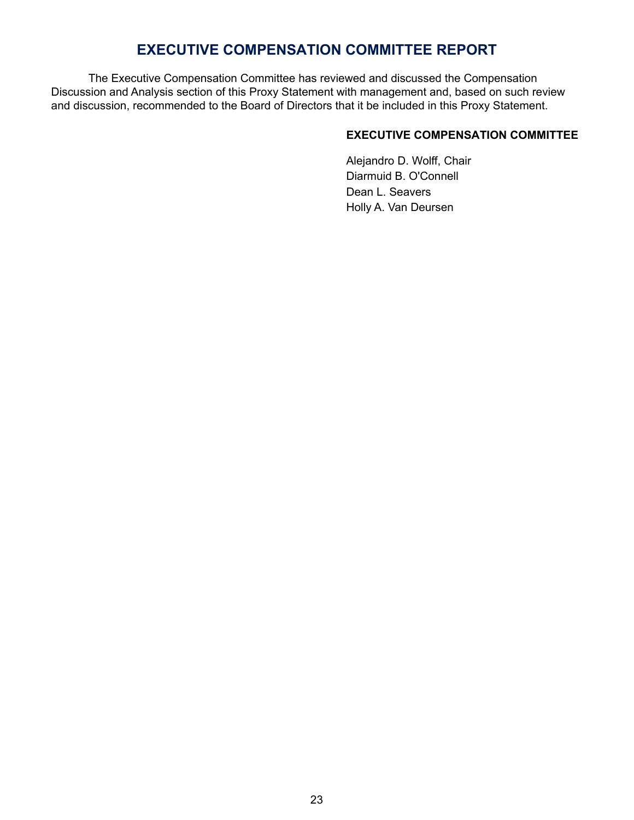# **EXECUTIVE COMPENSATION COMMITTEE REPORT**

<span id="page-25-0"></span>The Executive Compensation Committee has reviewed and discussed the Compensation Discussion and Analysis section of this Proxy Statement with management and, based on such review and discussion, recommended to the Board of Directors that it be included in this Proxy Statement.

#### **EXECUTIVE COMPENSATION COMMITTEE**

Alejandro D. Wolff, Chair Diarmuid B. O'Connell Dean L. Seavers Holly A. Van Deursen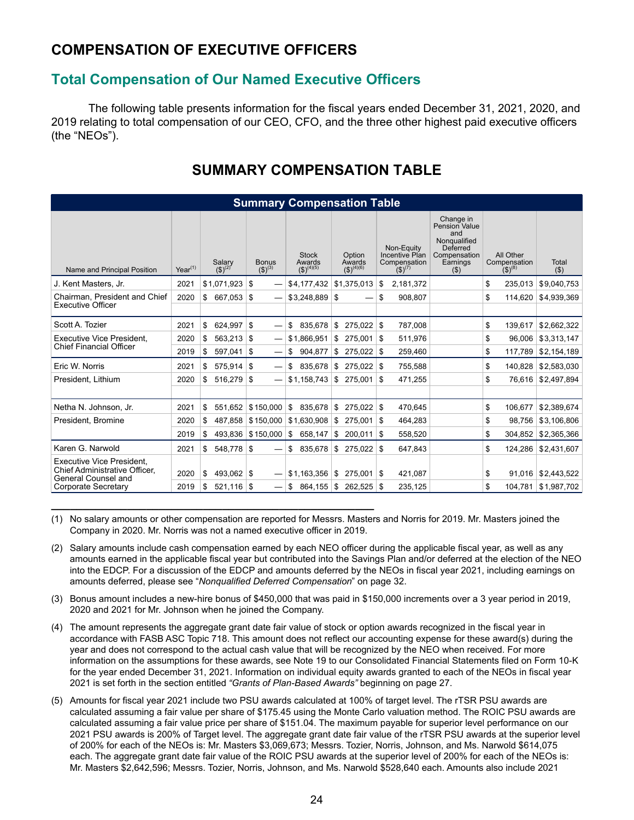# <span id="page-26-0"></span>**COMPENSATION OF EXECUTIVE OFFICERS**

### **Total Compensation of Our Named Executive Officers**

The following table presents information for the fiscal years ended December 31, 2021, 2020, and 2019 relating to total compensation of our CEO, CFO, and the three other highest paid executive officers (the "NEOs").

| <b>Summary Compensation Table</b>                                                                        |              |                                     |                             |                                                 |                                     |                                                             |                                                                                                      |                                          |                            |
|----------------------------------------------------------------------------------------------------------|--------------|-------------------------------------|-----------------------------|-------------------------------------------------|-------------------------------------|-------------------------------------------------------------|------------------------------------------------------------------------------------------------------|------------------------------------------|----------------------------|
| Name and Principal Position                                                                              | $Year^{(1)}$ | Salary<br>(\$) <sup>(2)</sup>       | <b>Bonus</b><br>$(5)^{(3)}$ | <b>Stock</b><br>Awards $(\frac{4}{5})^{(4)(5)}$ | Option<br>Awards $(\$)^{(4)(6)}$    | Non-Equity<br>Incentive Plan<br>Compensation<br>$(5)^{(7)}$ | Change in<br>Pension Value<br>and<br>Nongualified<br>Deferred<br>Compensation<br>Earnings<br>$($ \$) | All Other<br>Compensation<br>$(5)^{(8)}$ | Total<br>$($ $\circ$       |
| J. Kent Masters, Jr.                                                                                     | 2021         | \$1.071.923                         | \$                          | \$4,177,432                                     | \$1.375.013                         | \$<br>2.181.372                                             |                                                                                                      | 235.013<br>\$                            | \$9.040.753                |
| Chairman. President and Chief<br><b>Executive Officer</b>                                                | 2020         | \$<br>667,053                       | \$                          | \$3.248.889                                     | \$                                  | \$<br>908.807                                               |                                                                                                      | \$<br>114.620                            | \$4.939.369                |
|                                                                                                          |              |                                     |                             |                                                 |                                     |                                                             |                                                                                                      |                                          |                            |
| Scott A. Tozier                                                                                          | 2021         | \$<br>624,997                       | \$                          | \$<br>835.678                                   | $275,022$ \$<br>\$                  | 787,008                                                     |                                                                                                      | \$<br>139,617                            | \$2,662,322                |
| <b>Executive Vice President,</b>                                                                         | 2020         | \$<br>563,213                       | \$                          | \$1,866,951                                     | 275,001<br>\$                       | 511.976<br>-S                                               |                                                                                                      | \$<br>96.006                             | \$3,313,147                |
| <b>Chief Financial Officer</b>                                                                           | 2019         | \$.<br>597,041                      | 5                           | \$<br>904.877                                   | \$<br>$275,022$ \\$                 | 259,460                                                     |                                                                                                      | \$<br>117,789                            | \$2,154,189                |
| Eric W. Norris                                                                                           | 2021         | \$<br>575.914                       | -\$                         | 835.678<br>\$                                   | \$<br>$275.022$ \$                  | 755.588                                                     |                                                                                                      | \$<br>140.828                            | \$2,583,030                |
| President, Lithium                                                                                       | 2020         | \$<br>516,279                       | \$                          | \$1,158,743                                     | \$<br>275,001                       | \$<br>471,255                                               |                                                                                                      | \$<br>76.616                             | \$2,497,894                |
|                                                                                                          |              |                                     |                             |                                                 |                                     |                                                             |                                                                                                      |                                          |                            |
| Netha N. Johnson, Jr.                                                                                    | 2021         | \$<br>551.652                       | \$150.000                   | 835.678<br>\$                                   | $275.022$ \\$<br>\$                 | 470.645                                                     |                                                                                                      | \$<br>106.677                            | \$2,389,674                |
| President, Bromine                                                                                       | 2020         | \$<br>487,858                       | \$150,000                   | \$1,630,908                                     | 275,001<br>\$                       | \$<br>464,283                                               |                                                                                                      | \$<br>98,756                             | \$3,106,806                |
|                                                                                                          | 2019         | £.<br>493.836                       | \$150,000                   | \$<br>658,147                                   | S.<br>$200,011$ \$                  | 558,520                                                     |                                                                                                      | \$<br>304,852                            | \$2,365,366                |
| Karen G. Narwold                                                                                         | 2021         | \$<br>548.778                       | \$                          | \$<br>835.678                                   | \$<br>275.022                       | \$<br>647,843                                               |                                                                                                      | \$<br>124.286                            | \$2,431,607                |
| Executive Vice President.<br>Chief Administrative Officer.<br>General Counsel and<br>Corporate Secretary | 2020<br>2019 | \$<br>493.062<br>\$<br>$521,116$ \$ | \$                          | \$1,163,356<br>\$<br>864,155                    | 275,001<br>\$<br>\$<br>$262,525$ \$ | \$<br>421,087<br>235,125                                    |                                                                                                      | \$<br>91,016<br>\$<br>104,781            | \$2,443,522<br>\$1,987,702 |

# **SUMMARY COMPENSATION TABLE**

(1) No salary amounts or other compensation are reported for Messrs. Masters and Norris for 2019. Mr. Masters joined the Company in 2020. Mr. Norris was not a named executive officer in 2019.

**\_\_\_\_\_\_\_\_\_\_\_\_\_\_\_\_\_\_\_\_\_\_\_\_\_\_\_\_\_\_\_\_\_\_\_\_\_\_\_\_\_\_\_\_\_\_\_\_\_\_\_**

- (2) Salary amounts include cash compensation earned by each NEO officer during the applicable fiscal year, as well as any amounts earned in the applicable fiscal year but contributed into the Savings Plan and/or deferred at the election of the NEO into the EDCP. For a discussion of the EDCP and amounts deferred by the NEOs in fiscal year 2021, including earnings on amounts deferred, please see "*Nonqualified Deferred Compensation*" on page 32.
- (3) Bonus amount includes a new-hire bonus of \$450,000 that was paid in \$150,000 increments over a 3 year period in 2019, 2020 and 2021 for Mr. Johnson when he joined the Company.
- (4) The amount represents the aggregate grant date fair value of stock or option awards recognized in the fiscal year in accordance with FASB ASC Topic 718. This amount does not reflect our accounting expense for these award(s) during the year and does not correspond to the actual cash value that will be recognized by the NEO when received. For more information on the assumptions for these awards, see Note 19 to our Consolidated Financial Statements filed on Form 10-K for the year ended December 31, 2021. Information on individual equity awards granted to each of the NEOs in fiscal year 2021 is set forth in the section entitled *"Grants of Plan-Based Awards"* beginning on page 27.
- (5) Amounts for fiscal year 2021 include two PSU awards calculated at 100% of target level. The rTSR PSU awards are calculated assuming a fair value per share of \$175.45 using the Monte Carlo valuation method. The ROIC PSU awards are calculated assuming a fair value price per share of \$151.04. The maximum payable for superior level performance on our 2021 PSU awards is 200% of Target level. The aggregate grant date fair value of the rTSR PSU awards at the superior level of 200% for each of the NEOs is: Mr. Masters \$3,069,673; Messrs. Tozier, Norris, Johnson, and Ms. Narwold \$614,075 each. The aggregate grant date fair value of the ROIC PSU awards at the superior level of 200% for each of the NEOs is: Mr. Masters \$2,642,596; Messrs. Tozier, Norris, Johnson, and Ms. Narwold \$528,640 each. Amounts also include 2021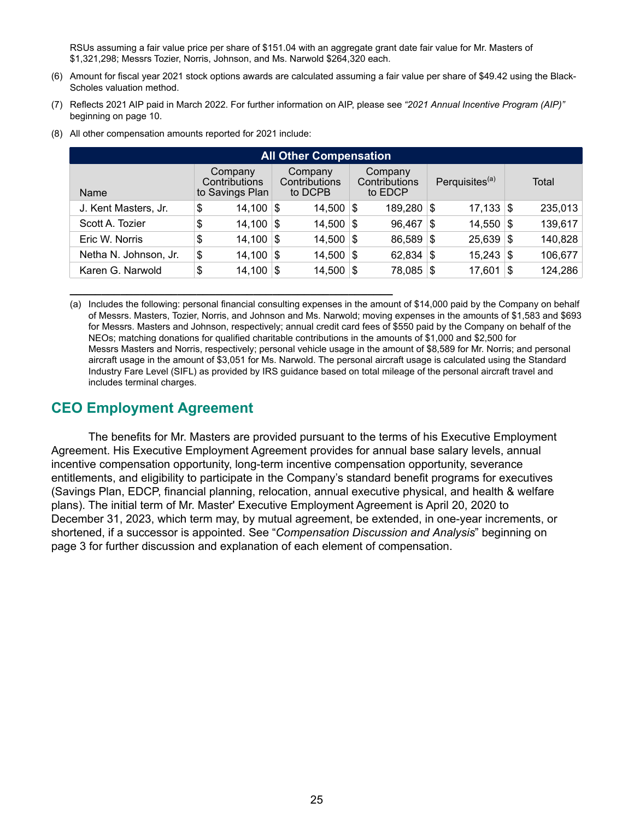RSUs assuming a fair value price per share of \$151.04 with an aggregate grant date fair value for Mr. Masters of \$1,321,298; Messrs Tozier, Norris, Johnson, and Ms. Narwold \$264,320 each.

- (6) Amount for fiscal year 2021 stock options awards are calculated assuming a fair value per share of \$49.42 using the Black-Scholes valuation method.
- (7) Reflects 2021 AIP paid in March 2022. For further information on AIP, please see *"2021 Annual Incentive Program (AIP)"* beginning on page 10.
- (8) All other compensation amounts reported for 2021 include:

**\_\_\_\_\_\_\_\_\_\_\_\_\_\_\_\_\_\_\_\_\_\_\_\_\_\_\_\_\_\_\_\_\_\_\_\_\_\_\_\_\_\_\_\_\_\_\_\_\_\_\_**

| <b>All Other Compensation</b> |                                             |                                     |                                     |                            |               |  |  |  |  |
|-------------------------------|---------------------------------------------|-------------------------------------|-------------------------------------|----------------------------|---------------|--|--|--|--|
| Name                          | Company<br>Contributions<br>to Savings Plan | Company<br>Contributions<br>to DCPB | Company<br>Contributions<br>to EDCP | Perquisites <sup>(a)</sup> | Total         |  |  |  |  |
| J. Kent Masters, Jr.          | \$<br>14,100                                | 14,500<br>S                         | 189,280 \$<br>∣\$                   | $17,133$ \$                | 235,013       |  |  |  |  |
| Scott A. Tozier               | \$<br>14,100                                | 14,500<br>\$                        | 96,467<br>∣\$                       | $14,550$ \\$<br>\$         | 139,617       |  |  |  |  |
| Eric W. Norris                | \$<br>14,100                                | 14,500<br>' \$                      | 86,589<br>∣\$                       | $25,639$ \$<br>՝Տ          | 140,828       |  |  |  |  |
| Netha N. Johnson, Jr.         | \$<br>14,100                                | 14,500<br>S                         | 62,834<br>∣\$                       | $15,243$ \$<br>-\$         | 106,677       |  |  |  |  |
| Karen G. Narwold              | \$<br>14,100                                | 14,500<br>S                         | 78,085<br>∣\$                       | 17,601<br>8                | 124,286<br>\$ |  |  |  |  |

(a) Includes the following: personal financial consulting expenses in the amount of \$14,000 paid by the Company on behalf of Messrs. Masters, Tozier, Norris, and Johnson and Ms. Narwold; moving expenses in the amounts of \$1,583 and \$693 for Messrs. Masters and Johnson, respectively; annual credit card fees of \$550 paid by the Company on behalf of the NEOs; matching donations for qualified charitable contributions in the amounts of \$1,000 and \$2,500 for Messrs Masters and Norris, respectively; personal vehicle usage in the amount of \$8,589 for Mr. Norris; and personal aircraft usage in the amount of \$3,051 for Ms. Narwold. The personal aircraft usage is calculated using the Standard Industry Fare Level (SIFL) as provided by IRS guidance based on total mileage of the personal aircraft travel and includes terminal charges.

### **CEO Employment Agreement**

The benefits for Mr. Masters are provided pursuant to the terms of his Executive Employment Agreement. His Executive Employment Agreement provides for annual base salary levels, annual incentive compensation opportunity, long-term incentive compensation opportunity, severance entitlements, and eligibility to participate in the Company's standard benefit programs for executives (Savings Plan, EDCP, financial planning, relocation, annual executive physical, and health & welfare plans). The initial term of Mr. Master' Executive Employment Agreement is April 20, 2020 to December 31, 2023, which term may, by mutual agreement, be extended, in one-year increments, or shortened, if a successor is appointed. See "*Compensation Discussion and Analysis*" beginning on page 3 for further discussion and explanation of each element of compensation.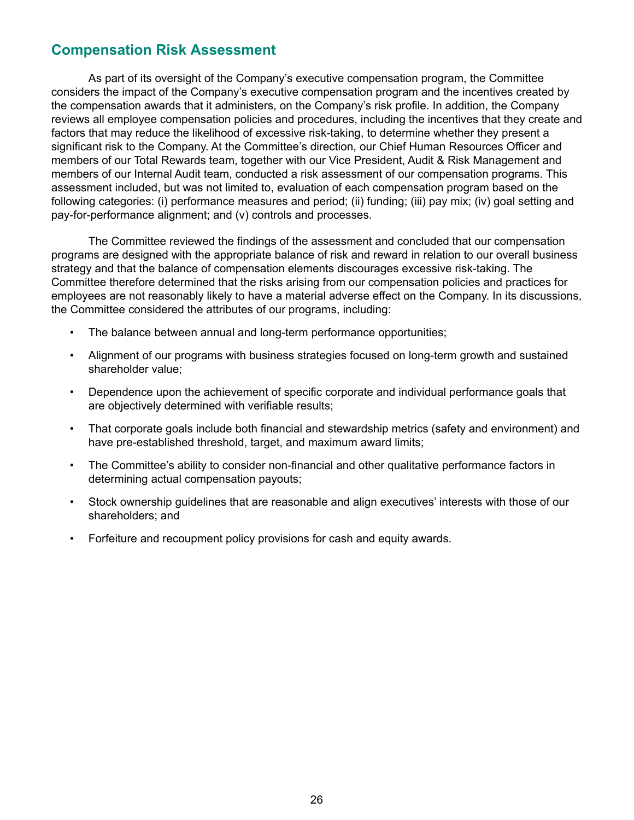# <span id="page-28-0"></span>**Compensation Risk Assessment**

As part of its oversight of the Company's executive compensation program, the Committee considers the impact of the Company's executive compensation program and the incentives created by the compensation awards that it administers, on the Company's risk profile. In addition, the Company reviews all employee compensation policies and procedures, including the incentives that they create and factors that may reduce the likelihood of excessive risk-taking, to determine whether they present a significant risk to the Company. At the Committee's direction, our Chief Human Resources Officer and members of our Total Rewards team, together with our Vice President, Audit & Risk Management and members of our Internal Audit team, conducted a risk assessment of our compensation programs. This assessment included, but was not limited to, evaluation of each compensation program based on the following categories: (i) performance measures and period; (ii) funding; (iii) pay mix; (iv) goal setting and pay-for-performance alignment; and (v) controls and processes.

The Committee reviewed the findings of the assessment and concluded that our compensation programs are designed with the appropriate balance of risk and reward in relation to our overall business strategy and that the balance of compensation elements discourages excessive risk-taking. The Committee therefore determined that the risks arising from our compensation policies and practices for employees are not reasonably likely to have a material adverse effect on the Company. In its discussions, the Committee considered the attributes of our programs, including:

- The balance between annual and long-term performance opportunities;
- Alignment of our programs with business strategies focused on long-term growth and sustained shareholder value;
- Dependence upon the achievement of specific corporate and individual performance goals that are objectively determined with verifiable results;
- That corporate goals include both financial and stewardship metrics (safety and environment) and have pre-established threshold, target, and maximum award limits;
- The Committee's ability to consider non-financial and other qualitative performance factors in determining actual compensation payouts;
- Stock ownership guidelines that are reasonable and align executives' interests with those of our shareholders; and
- Forfeiture and recoupment policy provisions for cash and equity awards.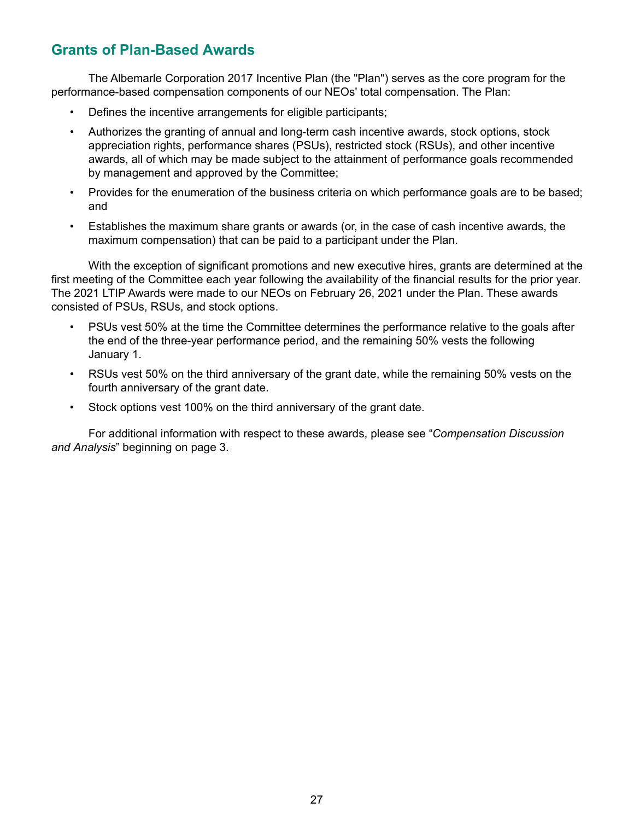# <span id="page-29-0"></span>**Grants of Plan-Based Awards**

The Albemarle Corporation 2017 Incentive Plan (the "Plan") serves as the core program for the performance-based compensation components of our NEOs' total compensation. The Plan:

- Defines the incentive arrangements for eligible participants;
- Authorizes the granting of annual and long-term cash incentive awards, stock options, stock appreciation rights, performance shares (PSUs), restricted stock (RSUs), and other incentive awards, all of which may be made subject to the attainment of performance goals recommended by management and approved by the Committee;
- Provides for the enumeration of the business criteria on which performance goals are to be based; and
- Establishes the maximum share grants or awards (or, in the case of cash incentive awards, the maximum compensation) that can be paid to a participant under the Plan.

With the exception of significant promotions and new executive hires, grants are determined at the first meeting of the Committee each year following the availability of the financial results for the prior year. The 2021 LTIP Awards were made to our NEOs on February 26, 2021 under the Plan. These awards consisted of PSUs, RSUs, and stock options.

- PSUs vest 50% at the time the Committee determines the performance relative to the goals after the end of the three-year performance period, and the remaining 50% vests the following January 1.
- RSUs vest 50% on the third anniversary of the grant date, while the remaining 50% vests on the fourth anniversary of the grant date.
- Stock options vest 100% on the third anniversary of the grant date.

For additional information with respect to these awards, please see "*Compensation Discussion and Analysis*" beginning on page 3.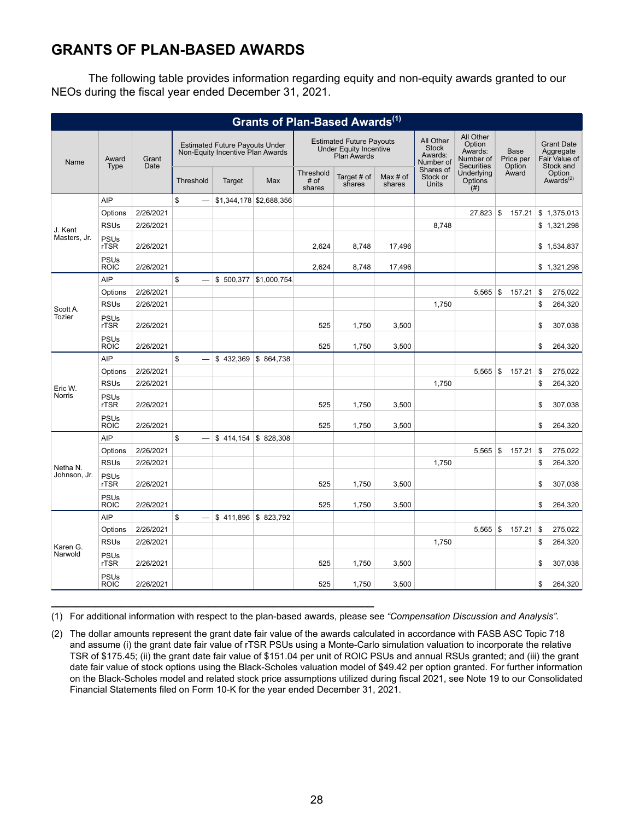# **GRANTS OF PLAN-BASED AWARDS**

The following table provides information regarding equity and non-equity awards granted to our NEOs during the fiscal year ended December 31, 2021.

| Grants of Plan-Based Awards <sup>(1)</sup> |                            |               |                                                                           |                        |                                                                                        |                             |                       |                                                   |                                                                  |                               |                                                              |                                 |
|--------------------------------------------|----------------------------|---------------|---------------------------------------------------------------------------|------------------------|----------------------------------------------------------------------------------------|-----------------------------|-----------------------|---------------------------------------------------|------------------------------------------------------------------|-------------------------------|--------------------------------------------------------------|---------------------------------|
| Name                                       | Award<br><b>Type</b>       | Grant<br>Date | <b>Estimated Future Pavouts Under</b><br>Non-Equity Incentive Plan Awards |                        | <b>Estimated Future Payouts</b><br><b>Under Equity Incentive</b><br><b>Plan Awards</b> |                             |                       | All Other<br><b>Stock</b><br>Awards:<br>Number of | All Other<br>Option<br>Awards:<br>Number of<br><b>Securities</b> | Base<br>Price per<br>Option   | <b>Grant Date</b><br>Aggregate<br>Fair Value of<br>Stock and |                                 |
|                                            |                            |               | Threshold                                                                 | Target                 | Max                                                                                    | Threshold<br># of<br>shares | Target # of<br>shares | Max $#$ of<br>shares                              | Shares of<br>Stock or<br><b>Units</b>                            | Underlying<br>Options<br>(# ) | Award                                                        | Option<br>Awards <sup>(2)</sup> |
|                                            | <b>AIP</b>                 |               | \$                                                                        |                        | \$1,344,178 \$2,688,356                                                                |                             |                       |                                                   |                                                                  |                               |                                                              |                                 |
|                                            | Options                    | 2/26/2021     |                                                                           |                        |                                                                                        |                             |                       |                                                   |                                                                  | $27,823$ \$                   | 157.21                                                       | \$1,375,013                     |
| J. Kent                                    | <b>RSUs</b>                | 2/26/2021     |                                                                           |                        |                                                                                        |                             |                       |                                                   | 8,748                                                            |                               |                                                              | \$1,321,298                     |
| Masters, Jr.                               | <b>PSUs</b><br>rTSR        | 2/26/2021     |                                                                           |                        |                                                                                        | 2.624                       | 8.748                 | 17.496                                            |                                                                  |                               |                                                              | \$1,534,837                     |
|                                            | <b>PSUs</b><br><b>ROIC</b> | 2/26/2021     |                                                                           |                        |                                                                                        | 2.624                       | 8,748                 | 17,496                                            |                                                                  |                               |                                                              | \$1,321,298                     |
|                                            | AIP                        |               | \$                                                                        | \$500,377              | \$1,000,754.                                                                           |                             |                       |                                                   |                                                                  |                               |                                                              |                                 |
|                                            | Options                    | 2/26/2021     |                                                                           |                        |                                                                                        |                             |                       |                                                   |                                                                  | 5,565                         | 5<br>157.21                                                  | \$<br>275,022                   |
| Scott A.                                   | <b>RSUs</b>                | 2/26/2021     |                                                                           |                        |                                                                                        |                             |                       |                                                   | 1,750                                                            |                               |                                                              | \$<br>264,320                   |
| <b>Tozier</b>                              | <b>PSUs</b><br>rTSR        | 2/26/2021     |                                                                           |                        |                                                                                        | 525                         | 1,750                 | 3,500                                             |                                                                  |                               |                                                              | \$<br>307,038                   |
|                                            | PSUs<br><b>ROIC</b>        | 2/26/2021     |                                                                           |                        |                                                                                        | 525                         | 1,750                 | 3,500                                             |                                                                  |                               |                                                              | \$<br>264,320                   |
|                                            | <b>AIP</b>                 |               | \$                                                                        | $$432,369$ $$864,738$  |                                                                                        |                             |                       |                                                   |                                                                  |                               |                                                              |                                 |
|                                            | Options                    | 2/26/2021     |                                                                           |                        |                                                                                        |                             |                       |                                                   |                                                                  | 5.565                         | 5<br>157.21                                                  | \$<br>275,022                   |
| Eric W.                                    | <b>RSUs</b>                | 2/26/2021     |                                                                           |                        |                                                                                        |                             |                       |                                                   | 1,750                                                            |                               |                                                              | \$<br>264,320                   |
| Norris                                     | <b>PSUs</b><br>rTSR        | 2/26/2021     |                                                                           |                        |                                                                                        | 525                         | 1,750                 | 3,500                                             |                                                                  |                               |                                                              | \$<br>307,038                   |
|                                            | <b>PSUs</b><br><b>ROIC</b> | 2/26/2021     |                                                                           |                        |                                                                                        | 525                         | 1,750                 | 3,500                                             |                                                                  |                               |                                                              | \$<br>264,320                   |
|                                            | <b>AIP</b>                 |               | \$                                                                        | $$414,154$ \\$ 828,308 |                                                                                        |                             |                       |                                                   |                                                                  |                               |                                                              |                                 |
|                                            | Options                    | 2/26/2021     |                                                                           |                        |                                                                                        |                             |                       |                                                   |                                                                  | 5,565                         | $\vert$ \$<br>157.21                                         | \$<br>275,022                   |
| Netha N.                                   | <b>RSUs</b>                | 2/26/2021     |                                                                           |                        |                                                                                        |                             |                       |                                                   | 1,750                                                            |                               |                                                              | \$<br>264,320                   |
| Johnson, Jr.                               | <b>PSUs</b><br>rTSR        | 2/26/2021     |                                                                           |                        |                                                                                        | 525                         | 1,750                 | 3,500                                             |                                                                  |                               |                                                              | \$<br>307,038                   |
|                                            | <b>PSUs</b><br><b>ROIC</b> | 2/26/2021     |                                                                           |                        |                                                                                        | 525                         | 1,750                 | 3,500                                             |                                                                  |                               |                                                              | \$<br>264,320                   |
|                                            | <b>AIP</b>                 |               | \$                                                                        | $$411,896$ \\$ 823,792 |                                                                                        |                             |                       |                                                   |                                                                  |                               |                                                              |                                 |
|                                            | Options                    | 2/26/2021     |                                                                           |                        |                                                                                        |                             |                       |                                                   |                                                                  | 5,565                         | 5<br>157.21                                                  | \$<br>275,022                   |
| Karen G.                                   | <b>RSUs</b>                | 2/26/2021     |                                                                           |                        |                                                                                        |                             |                       |                                                   | 1,750                                                            |                               |                                                              | \$<br>264,320                   |
| Narwold                                    | <b>PSUs</b><br><b>rTSR</b> | 2/26/2021     |                                                                           |                        |                                                                                        | 525                         | 1,750                 | 3,500                                             |                                                                  |                               |                                                              | 307,038<br>\$                   |
|                                            | <b>PSUs</b><br><b>ROIC</b> | 2/26/2021     |                                                                           |                        |                                                                                        | 525                         | 1,750                 | 3,500                                             |                                                                  |                               |                                                              | \$<br>264,320                   |

(1) For additional information with respect to the plan-based awards, please see *"Compensation Discussion and Analysis"*.

**\_\_\_\_\_\_\_\_\_\_\_\_\_\_\_\_\_\_\_\_\_\_\_\_\_\_\_\_\_\_\_\_\_\_\_\_\_\_\_\_\_\_\_\_\_\_\_\_\_\_\_**

(2) The dollar amounts represent the grant date fair value of the awards calculated in accordance with FASB ASC Topic 718 and assume (i) the grant date fair value of rTSR PSUs using a Monte-Carlo simulation valuation to incorporate the relative TSR of \$175.45; (ii) the grant date fair value of \$151.04 per unit of ROIC PSUs and annual RSUs granted; and (iii) the grant date fair value of stock options using the Black-Scholes valuation model of \$49.42 per option granted. For further information on the Black-Scholes model and related stock price assumptions utilized during fiscal 2021, see Note 19 to our Consolidated Financial Statements filed on Form 10-K for the year ended December 31, 2021.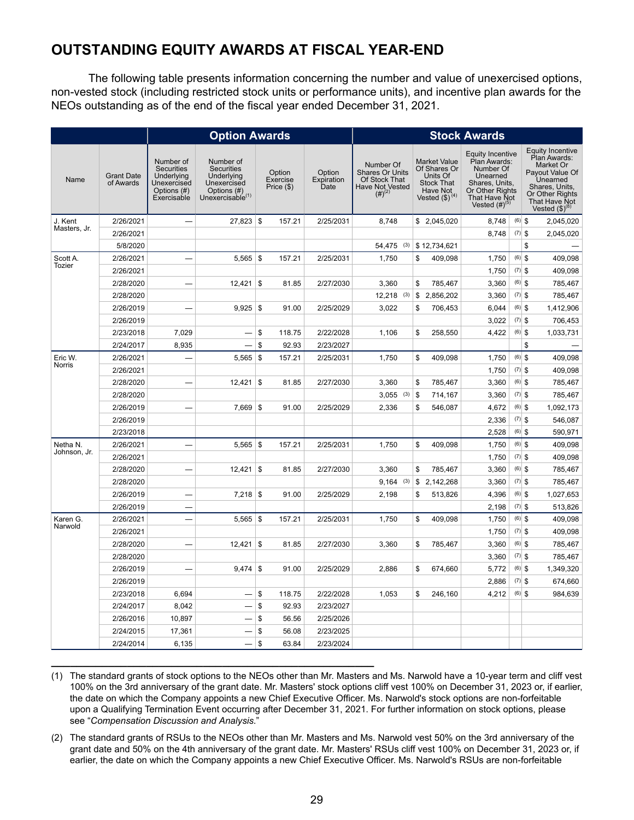# <span id="page-31-0"></span>**OUTSTANDING EQUITY AWARDS AT FISCAL YEAR-END**

The following table presents information concerning the number and value of unexercised options, non-vested stock (including restricted stock units or performance units), and incentive plan awards for the NEOs outstanding as of the end of the fiscal year ended December 31, 2021.

|                    |                                |                                                                                           | <b>Option Awards</b>                                                                                 |                                  |                              |                                                                                                     |                                                                                                                | <b>Stock Awards</b>                                                                                                                                   |          |                                                                                                                                                                  |
|--------------------|--------------------------------|-------------------------------------------------------------------------------------------|------------------------------------------------------------------------------------------------------|----------------------------------|------------------------------|-----------------------------------------------------------------------------------------------------|----------------------------------------------------------------------------------------------------------------|-------------------------------------------------------------------------------------------------------------------------------------------------------|----------|------------------------------------------------------------------------------------------------------------------------------------------------------------------|
| Name               | <b>Grant Date</b><br>of Awards | Number of<br><b>Securities</b><br>Underlying<br>Unexercised<br>Options (#)<br>Exercisable | Number of<br><b>Securities</b><br>Underlying<br>Unexercised<br>Options (#)<br>Unexercisable $^{(1)}$ | Option<br>Exercise<br>Price (\$) | Option<br>Expiration<br>Date | Number Of<br><b>Shares Or Units</b><br>Of Stock That<br>Have Not Vested<br>$\left(\# \right)^{(2)}$ | <b>Market Value</b><br>Of Shares Or<br>Units Of<br><b>Stock That</b><br>Have Not<br>Vested (\$) <sup>(4)</sup> | <b>Equity Incentive</b><br>Plan Awards:<br>Number Of<br>Unearned<br>Shares, Units,<br>Or Other Rights<br>That Have Not<br>Vested $(H)$ <sup>(5)</sup> |          | Equity Incentive<br>Plan Awards:<br>Market Or<br>Payout Value Of<br>Unearned<br>Shares, Units<br>Or Other Rights<br>That Have Not<br>Vested $(\text{$\$})^{(8)}$ |
| J. Kent            | 2/26/2021                      | $\overline{\phantom{0}}$                                                                  | $27,823$ \$                                                                                          | 157.21                           | 2/25/2031                    | 8,748                                                                                               | \$2,045,020                                                                                                    | 8,748                                                                                                                                                 | $(6)$ \$ | 2,045,020                                                                                                                                                        |
| Masters, Jr.       | 2/26/2021                      |                                                                                           |                                                                                                      |                                  |                              |                                                                                                     |                                                                                                                | 8,748                                                                                                                                                 | $(7)$ \$ | 2,045,020                                                                                                                                                        |
|                    | 5/8/2020                       |                                                                                           |                                                                                                      |                                  |                              | 54,475 (3)                                                                                          | \$12,734,621                                                                                                   |                                                                                                                                                       |          | \$                                                                                                                                                               |
| Scott A.<br>Tozier | 2/26/2021                      |                                                                                           | $5,565$ \$                                                                                           | 157.21                           | 2/25/2031                    | 1,750                                                                                               | \$<br>409,098                                                                                                  | 1,750                                                                                                                                                 | $(6)$ \$ | 409,098                                                                                                                                                          |
|                    | 2/26/2021                      |                                                                                           |                                                                                                      |                                  |                              |                                                                                                     |                                                                                                                | 1.750                                                                                                                                                 | $(7)$ \$ | 409,098                                                                                                                                                          |
|                    | 2/28/2020                      | $\overline{\phantom{0}}$                                                                  | 12,421                                                                                               | \$<br>81.85                      | 2/27/2030                    | 3,360                                                                                               | \$<br>785,467                                                                                                  | 3,360                                                                                                                                                 | $(6)$ \$ | 785,467                                                                                                                                                          |
|                    | 2/28/2020                      |                                                                                           |                                                                                                      |                                  |                              | $12,218$ (3)                                                                                        | \$<br>2,856,202                                                                                                | 3,360                                                                                                                                                 | $(7)$ \$ | 785,467                                                                                                                                                          |
|                    | 2/26/2019                      |                                                                                           | 9,925                                                                                                | \$<br>91.00                      | 2/25/2029                    | 3,022                                                                                               | \$<br>706,453                                                                                                  | 6,044                                                                                                                                                 | $(6)$ \$ | 1,412,906                                                                                                                                                        |
|                    | 2/26/2019                      |                                                                                           |                                                                                                      |                                  |                              |                                                                                                     |                                                                                                                | 3,022                                                                                                                                                 | $(7)$ \$ | 706,453                                                                                                                                                          |
|                    | 2/23/2018                      | 7,029                                                                                     |                                                                                                      | \$<br>118.75                     | 2/22/2028                    | 1,106                                                                                               | \$<br>258,550                                                                                                  | 4,422                                                                                                                                                 | $(6)$ \$ | 1,033,731                                                                                                                                                        |
|                    | 2/24/2017                      | 8,935                                                                                     |                                                                                                      | \$<br>92.93                      | 2/23/2027                    |                                                                                                     |                                                                                                                |                                                                                                                                                       |          | \$                                                                                                                                                               |
| Eric W.<br>Norris  | 2/26/2021                      |                                                                                           | $5,565$ \$                                                                                           | 157.21                           | 2/25/2031                    | 1,750                                                                                               | \$<br>409,098                                                                                                  | 1,750                                                                                                                                                 | $(6)$ \$ | 409,098                                                                                                                                                          |
|                    | 2/26/2021                      |                                                                                           |                                                                                                      |                                  |                              |                                                                                                     |                                                                                                                | 1,750                                                                                                                                                 | $(7)$ \$ | 409,098                                                                                                                                                          |
|                    | 2/28/2020                      |                                                                                           | 12,421                                                                                               | \$<br>81.85                      | 2/27/2030                    | 3,360                                                                                               | \$<br>785,467                                                                                                  | 3,360                                                                                                                                                 | $(6)$ \$ | 785,467                                                                                                                                                          |
|                    | 2/28/2020                      |                                                                                           |                                                                                                      |                                  |                              | $3,055$ (3)                                                                                         | \$<br>714,167                                                                                                  | 3,360                                                                                                                                                 | $(7)$ \$ | 785,467                                                                                                                                                          |
|                    | 2/26/2019                      |                                                                                           | $7,669$ \$                                                                                           | 91.00                            | 2/25/2029                    | 2,336                                                                                               | \$<br>546,087                                                                                                  | 4,672                                                                                                                                                 | $(6)$ \$ | 1,092,173                                                                                                                                                        |
|                    | 2/26/2019                      |                                                                                           |                                                                                                      |                                  |                              |                                                                                                     |                                                                                                                | 2,336                                                                                                                                                 | $(7)$ \$ | 546,087                                                                                                                                                          |
|                    | 2/23/2018                      |                                                                                           |                                                                                                      |                                  |                              |                                                                                                     |                                                                                                                | 2,528                                                                                                                                                 | $(6)$ \$ | 590,971                                                                                                                                                          |
| Netha N.           | 2/26/2021                      |                                                                                           | $5,565$ \$                                                                                           | 157.21                           | 2/25/2031                    | 1,750                                                                                               | \$<br>409,098                                                                                                  | 1,750                                                                                                                                                 | $(6)$ \$ | 409,098                                                                                                                                                          |
| Johnson, Jr.       | 2/26/2021                      |                                                                                           |                                                                                                      |                                  |                              |                                                                                                     |                                                                                                                | 1,750                                                                                                                                                 | $(7)$ \$ | 409,098                                                                                                                                                          |
|                    | 2/28/2020                      |                                                                                           | 12,421                                                                                               | \$<br>81.85                      | 2/27/2030                    | 3,360                                                                                               | \$<br>785,467                                                                                                  | 3,360                                                                                                                                                 | $(6)$ \$ | 785,467                                                                                                                                                          |
|                    | 2/28/2020                      |                                                                                           |                                                                                                      |                                  |                              | 9,164<br>(3)                                                                                        | \$<br>2,142,268                                                                                                | 3,360                                                                                                                                                 | $(7)$ \$ | 785,467                                                                                                                                                          |
|                    | 2/26/2019                      | —                                                                                         |                                                                                                      | 91.00                            | 2/25/2029                    | 2,198                                                                                               | \$<br>513,826                                                                                                  | 4,396                                                                                                                                                 | $(6)$ \$ | 1,027,653                                                                                                                                                        |
|                    | 2/26/2019                      |                                                                                           |                                                                                                      |                                  |                              |                                                                                                     |                                                                                                                | 2,198                                                                                                                                                 | $(7)$ \$ | 513,826                                                                                                                                                          |
| Karen G.           | 2/26/2021                      |                                                                                           | $5,565$ \$                                                                                           | 157.21                           | 2/25/2031                    | 1.750                                                                                               | \$<br>409.098                                                                                                  | 1,750                                                                                                                                                 | $(6)$ \$ | 409,098                                                                                                                                                          |
| Narwold            | 2/26/2021                      |                                                                                           |                                                                                                      |                                  |                              |                                                                                                     |                                                                                                                | 1,750                                                                                                                                                 | $(7)$ \$ | 409,098                                                                                                                                                          |
|                    | 2/28/2020                      |                                                                                           | 12,421                                                                                               | <b>\$</b><br>81.85               | 2/27/2030                    | 3,360                                                                                               | \$<br>785,467                                                                                                  | 3,360                                                                                                                                                 | $(6)$ \$ | 785,467                                                                                                                                                          |
|                    | 2/28/2020                      |                                                                                           |                                                                                                      |                                  |                              |                                                                                                     |                                                                                                                | 3,360                                                                                                                                                 | $(7)$ \$ | 785,467                                                                                                                                                          |
|                    | 2/26/2019                      |                                                                                           | 9.474                                                                                                | \$<br>91.00                      | 2/25/2029                    | 2,886                                                                                               | \$<br>674,660                                                                                                  | 5,772                                                                                                                                                 | $(6)$ \$ | 1,349,320                                                                                                                                                        |
|                    | 2/26/2019                      |                                                                                           |                                                                                                      |                                  |                              |                                                                                                     |                                                                                                                | 2,886                                                                                                                                                 | $(7)$ \$ | 674,660                                                                                                                                                          |
|                    | 2/23/2018                      | 6,694                                                                                     | $\overline{\phantom{0}}$                                                                             | \$<br>118.75                     | 2/22/2028                    | 1,053                                                                                               | \$<br>246,160                                                                                                  | 4,212                                                                                                                                                 | $(6)$ \$ | 984,639                                                                                                                                                          |
|                    | 2/24/2017                      | 8,042                                                                                     |                                                                                                      | \$<br>92.93                      | 2/23/2027                    |                                                                                                     |                                                                                                                |                                                                                                                                                       |          |                                                                                                                                                                  |
|                    | 2/26/2016                      | 10,897                                                                                    |                                                                                                      | \$<br>56.56                      | 2/25/2026                    |                                                                                                     |                                                                                                                |                                                                                                                                                       |          |                                                                                                                                                                  |
|                    | 2/24/2015                      | 17,361                                                                                    |                                                                                                      | \$<br>56.08                      | 2/23/2025                    |                                                                                                     |                                                                                                                |                                                                                                                                                       |          |                                                                                                                                                                  |
|                    | 2/24/2014                      | 6,135                                                                                     | $\overline{\phantom{0}}$                                                                             | \$<br>63.84                      | 2/23/2024                    |                                                                                                     |                                                                                                                |                                                                                                                                                       |          |                                                                                                                                                                  |

(1) The standard grants of stock options to the NEOs other than Mr. Masters and Ms. Narwold have a 10-year term and cliff vest 100% on the 3rd anniversary of the grant date. Mr. Masters' stock options cliff vest 100% on December 31, 2023 or, if earlier, the date on which the Company appoints a new Chief Executive Officer. Ms. Narwold's stock options are non-forfeitable upon a Qualifying Termination Event occurring after December 31, 2021. For further information on stock options, please see "*Compensation Discussion and Analysis*."

**\_\_\_\_\_\_\_\_\_\_\_\_\_\_\_\_\_\_\_\_\_\_\_\_\_\_\_\_\_\_\_\_\_\_\_\_\_\_\_\_\_\_\_\_\_\_\_\_\_\_\_**

(2) The standard grants of RSUs to the NEOs other than Mr. Masters and Ms. Narwold vest 50% on the 3rd anniversary of the grant date and 50% on the 4th anniversary of the grant date. Mr. Masters' RSUs cliff vest 100% on December 31, 2023 or, if earlier, the date on which the Company appoints a new Chief Executive Officer. Ms. Narwold's RSUs are non-forfeitable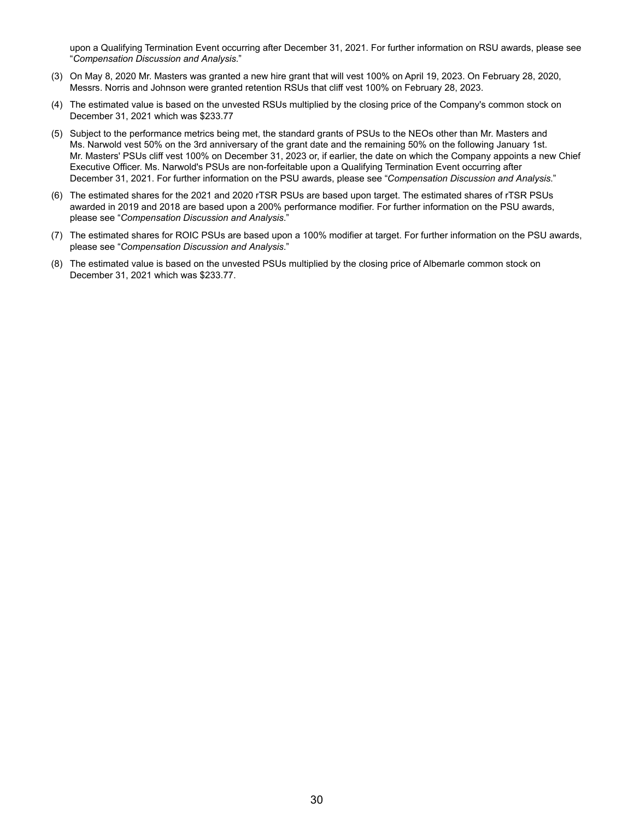upon a Qualifying Termination Event occurring after December 31, 2021. For further information on RSU awards, please see "*Compensation Discussion and Analysis*."

- (3) On May 8, 2020 Mr. Masters was granted a new hire grant that will vest 100% on April 19, 2023. On February 28, 2020, Messrs. Norris and Johnson were granted retention RSUs that cliff vest 100% on February 28, 2023.
- (4) The estimated value is based on the unvested RSUs multiplied by the closing price of the Company's common stock on December 31, 2021 which was \$233.77
- (5) Subject to the performance metrics being met, the standard grants of PSUs to the NEOs other than Mr. Masters and Ms. Narwold vest 50% on the 3rd anniversary of the grant date and the remaining 50% on the following January 1st. Mr. Masters' PSUs cliff vest 100% on December 31, 2023 or, if earlier, the date on which the Company appoints a new Chief Executive Officer. Ms. Narwold's PSUs are non-forfeitable upon a Qualifying Termination Event occurring after December 31, 2021. For further information on the PSU awards, please see "*Compensation Discussion and Analysis*."
- (6) The estimated shares for the 2021 and 2020 rTSR PSUs are based upon target. The estimated shares of rTSR PSUs awarded in 2019 and 2018 are based upon a 200% performance modifier. For further information on the PSU awards, please see "*Compensation Discussion and Analysis*."
- (7) The estimated shares for ROIC PSUs are based upon a 100% modifier at target. For further information on the PSU awards, please see "*Compensation Discussion and Analysis*."
- (8) The estimated value is based on the unvested PSUs multiplied by the closing price of Albemarle common stock on December 31, 2021 which was \$233.77.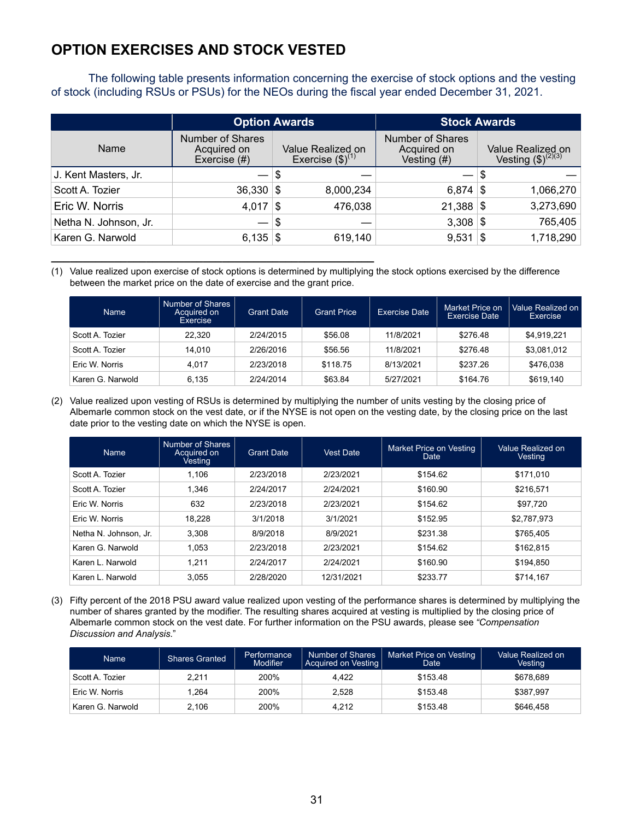# <span id="page-33-0"></span>**OPTION EXERCISES AND STOCK VESTED**

**\_\_\_\_\_\_\_\_\_\_\_\_\_\_\_\_\_\_\_\_\_\_\_\_\_\_\_\_\_\_\_\_\_\_\_\_\_\_\_\_\_\_\_\_\_\_\_\_\_\_\_**

The following table presents information concerning the exercise of stock options and the vesting of stock (including RSUs or PSUs) for the NEOs during the fiscal year ended December 31, 2021.

|                       |                                                 | <b>Option Awards</b>                               | <b>Stock Awards</b>                              |                                              |  |  |
|-----------------------|-------------------------------------------------|----------------------------------------------------|--------------------------------------------------|----------------------------------------------|--|--|
| Name                  | Number of Shares<br>Acquired on<br>Exercise (#) | Value Realized on<br>Exercise $(\text{$\$})^{(1)}$ | Number of Shares<br>Acquired on<br>Vesting $(H)$ | Value Realized on<br>Vesting $(\$)^{(2)(3)}$ |  |  |
| J. Kent Masters, Jr.  |                                                 | S                                                  |                                                  | \$                                           |  |  |
| Scott A. Tozier       | $36,330$ \$                                     | 8,000,234                                          | $6,874$ \\$                                      | 1,066,270                                    |  |  |
| Eric W. Norris        | 4,017                                           | 476,038<br>∣\$                                     | 21,388                                           | 3,273,690<br>∣\$                             |  |  |
| Netha N. Johnson, Jr. |                                                 | \$                                                 | 3,308                                            | 765,405<br>∣\$                               |  |  |
| Karen G. Narwold      | 6,135 $\frac{1}{3}$                             | 619,140                                            | 9,531                                            | 1,718,290<br>∣\$                             |  |  |

(1) Value realized upon exercise of stock options is determined by multiplying the stock options exercised by the difference between the market price on the date of exercise and the grant price.

| <b>Name</b>      | Number of Shares<br>Acquired on<br>Exercise | <b>Grant Date</b> | <b>Grant Price</b> | Exercise Date | Market Price on<br><b>Exercise Date</b> | Value Realized on<br>Exercise |
|------------------|---------------------------------------------|-------------------|--------------------|---------------|-----------------------------------------|-------------------------------|
| Scott A. Tozier  | 22.320                                      | 2/24/2015         | \$56.08            | 11/8/2021     | \$276.48                                | \$4,919,221                   |
| Scott A. Tozier  | 14.010                                      | 2/26/2016         | \$56.56            | 11/8/2021     | \$276.48                                | \$3,081,012                   |
| Eric W. Norris   | 4.017                                       | 2/23/2018         | \$118.75           | 8/13/2021     | \$237.26                                | \$476.038                     |
| Karen G. Narwold | 6.135                                       | 2/24/2014         | \$63.84            | 5/27/2021     | \$164.76                                | \$619.140                     |

(2) Value realized upon vesting of RSUs is determined by multiplying the number of units vesting by the closing price of Albemarle common stock on the vest date, or if the NYSE is not open on the vesting date, by the closing price on the last date prior to the vesting date on which the NYSE is open.

| Name                  | Number of Shares<br>Acquired on<br><b>Vesting</b> | <b>Grant Date</b> | <b>Vest Date</b> | Market Price on Vesting<br>Date | Value Realized on<br>Vesting |
|-----------------------|---------------------------------------------------|-------------------|------------------|---------------------------------|------------------------------|
| Scott A. Tozier       | 1.106                                             | 2/23/2018         | 2/23/2021        | \$154.62                        | \$171.010                    |
| Scott A. Tozier       | 1.346                                             | 2/24/2017         | 2/24/2021        | \$160.90                        | \$216,571                    |
| Eric W. Norris        | 632                                               | 2/23/2018         | 2/23/2021        | \$154.62                        | \$97,720                     |
| Eric W. Norris        | 18.228                                            | 3/1/2018          | 3/1/2021         | \$152.95                        | \$2.787.973                  |
| Netha N. Johnson, Jr. | 3.308                                             | 8/9/2018          | 8/9/2021         | \$231.38                        | \$765.405                    |
| Karen G. Narwold      | 1.053                                             | 2/23/2018         | 2/23/2021        | \$154.62                        | \$162.815                    |
| Karen L. Narwold      | 1.211                                             | 2/24/2017         | 2/24/2021        | \$160.90                        | \$194,850                    |
| Karen L. Narwold      | 3.055                                             | 2/28/2020         | 12/31/2021       | \$233.77                        | \$714.167                    |

(3) Fifty percent of the 2018 PSU award value realized upon vesting of the performance shares is determined by multiplying the number of shares granted by the modifier. The resulting shares acquired at vesting is multiplied by the closing price of Albemarle common stock on the vest date. For further information on the PSU awards, please see *"Compensation Discussion and Analysis*."

| <b>Name</b>      | <b>Shares Granted</b> |      | <b>Number of Shares</b><br>Acquired on Vesting | Market Price on Vesting<br>Date | Value Realized on<br>Vesting |  |
|------------------|-----------------------|------|------------------------------------------------|---------------------------------|------------------------------|--|
| Scott A. Tozier  | 2.211                 | 200% | 4.422                                          | \$153.48                        | \$678.689                    |  |
| Eric W. Norris   | 1.264                 | 200% | 2.528                                          | \$153.48                        | \$387.997                    |  |
| Karen G. Narwold | 2,106                 | 200% | 4.212                                          | \$153.48                        | \$646.458                    |  |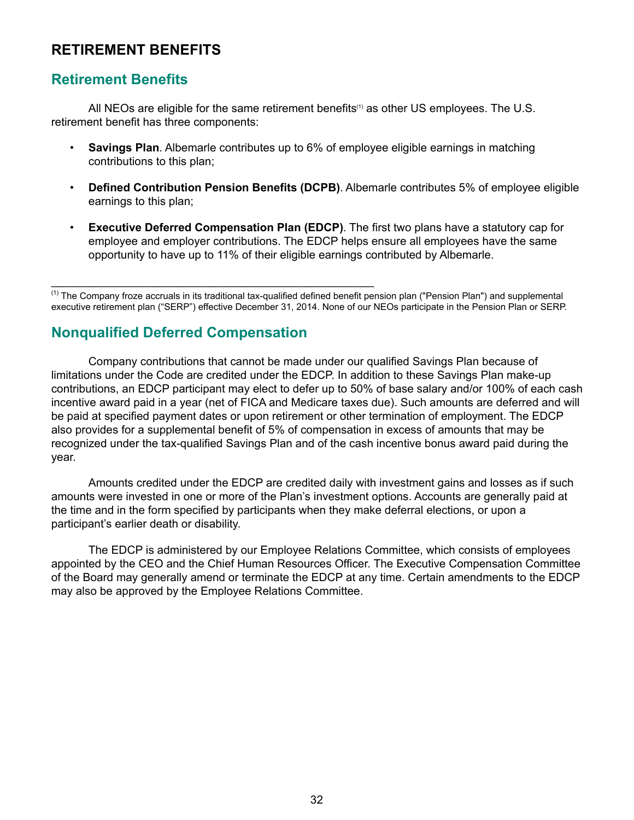### <span id="page-34-0"></span>**RETIREMENT BENEFITS**

### **Retirement Benefits**

All NEOs are eligible for the same retirement benefits<sup>(1)</sup> as other US employees. The U.S. retirement benefit has three components:

- **Savings Plan**. Albemarle contributes up to 6% of employee eligible earnings in matching contributions to this plan;
- **Defined Contribution Pension Benefits (DCPB)**. Albemarle contributes 5% of employee eligible earnings to this plan;
- **Executive Deferred Compensation Plan (EDCP)**. The first two plans have a statutory cap for employee and employer contributions. The EDCP helps ensure all employees have the same opportunity to have up to 11% of their eligible earnings contributed by Albemarle.

(1) The Company froze accruals in its traditional tax-qualified defined benefit pension plan ("Pension Plan") and supplemental executive retirement plan ("SERP") effective December 31, 2014. None of our NEOs participate in the Pension Plan or SERP.

# **Nonqualified Deferred Compensation**

 $\mathcal{L}_\text{max} = \mathcal{L}_\text{max} = \mathcal{L}_\text{max} = \mathcal{L}_\text{max} = \mathcal{L}_\text{max} = \mathcal{L}_\text{max} = \mathcal{L}_\text{max} = \mathcal{L}_\text{max} = \mathcal{L}_\text{max} = \mathcal{L}_\text{max} = \mathcal{L}_\text{max} = \mathcal{L}_\text{max} = \mathcal{L}_\text{max} = \mathcal{L}_\text{max} = \mathcal{L}_\text{max} = \mathcal{L}_\text{max} = \mathcal{L}_\text{max} = \mathcal{L}_\text{max} = \mathcal{$ 

Company contributions that cannot be made under our qualified Savings Plan because of limitations under the Code are credited under the EDCP. In addition to these Savings Plan make-up contributions, an EDCP participant may elect to defer up to 50% of base salary and/or 100% of each cash incentive award paid in a year (net of FICA and Medicare taxes due). Such amounts are deferred and will be paid at specified payment dates or upon retirement or other termination of employment. The EDCP also provides for a supplemental benefit of 5% of compensation in excess of amounts that may be recognized under the tax-qualified Savings Plan and of the cash incentive bonus award paid during the year.

Amounts credited under the EDCP are credited daily with investment gains and losses as if such amounts were invested in one or more of the Plan's investment options. Accounts are generally paid at the time and in the form specified by participants when they make deferral elections, or upon a participant's earlier death or disability.

The EDCP is administered by our Employee Relations Committee, which consists of employees appointed by the CEO and the Chief Human Resources Officer. The Executive Compensation Committee of the Board may generally amend or terminate the EDCP at any time. Certain amendments to the EDCP may also be approved by the Employee Relations Committee.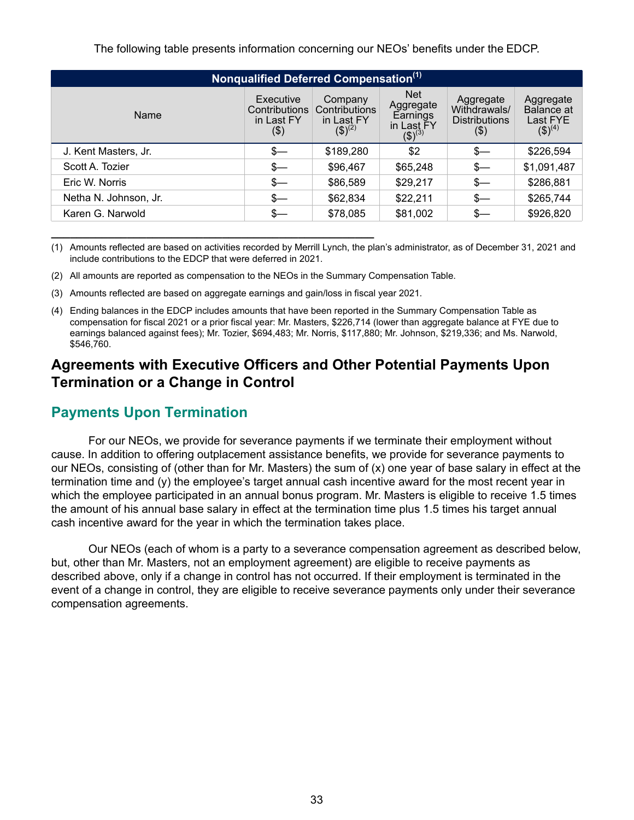<span id="page-35-0"></span>

| Nonqualified Deferred Compensation <sup>(1)</sup> |                                                 |                                                       |                                                                              |                                                             |                                                    |  |  |  |  |
|---------------------------------------------------|-------------------------------------------------|-------------------------------------------------------|------------------------------------------------------------------------------|-------------------------------------------------------------|----------------------------------------------------|--|--|--|--|
| Name                                              | Executive<br>Contributions<br>in Last FY<br>\$) | Company<br>Contributions<br>in Last FY<br>$(3)^{(2)}$ | <b>Net</b><br>Aggregate<br>Earnings<br>in Last FY<br>$\overline{(\$)}^{(3)}$ | Aggregate<br>Withdrawals/<br><b>Distributions</b><br>$(\$)$ | Aggregate<br>Balance at<br>Last FYE<br>$(3)^{(4)}$ |  |  |  |  |
| J. Kent Masters, Jr.                              | \$—                                             | \$189,280                                             | \$2                                                                          | \$—                                                         | \$226,594                                          |  |  |  |  |
| Scott A. Tozier                                   | \$—                                             | \$96,467                                              | \$65,248                                                                     | $s-$                                                        | \$1,091,487                                        |  |  |  |  |
| Eric W. Norris                                    | $s-$                                            | \$86,589                                              | \$29,217                                                                     | $s-$                                                        | \$286,881                                          |  |  |  |  |
| Netha N. Johnson, Jr.                             | \$—                                             | \$62,834                                              | \$22,211                                                                     | $s-$                                                        | \$265,744                                          |  |  |  |  |
| Karen G. Narwold                                  | \$—                                             | \$78,085                                              | \$81,002                                                                     | \$—                                                         | \$926,820                                          |  |  |  |  |

- (1) Amounts reflected are based on activities recorded by Merrill Lynch, the plan's administrator, as of December 31, 2021 and include contributions to the EDCP that were deferred in 2021.
- (2) All amounts are reported as compensation to the NEOs in the Summary Compensation Table.
- (3) Amounts reflected are based on aggregate earnings and gain/loss in fiscal year 2021.

**\_\_\_\_\_\_\_\_\_\_\_\_\_\_\_\_\_\_\_\_\_\_\_\_\_\_\_\_\_\_\_\_\_\_\_\_\_\_\_\_\_\_\_\_\_\_\_\_\_\_\_**

(4) Ending balances in the EDCP includes amounts that have been reported in the Summary Compensation Table as compensation for fiscal 2021 or a prior fiscal year: Mr. Masters, \$226,714 (lower than aggregate balance at FYE due to earnings balanced against fees); Mr. Tozier, \$694,483; Mr. Norris, \$117,880; Mr. Johnson, \$219,336; and Ms. Narwold, \$546,760.

### **Agreements with Executive Officers and Other Potential Payments Upon Termination or a Change in Control**

### **Payments Upon Termination**

For our NEOs, we provide for severance payments if we terminate their employment without cause. In addition to offering outplacement assistance benefits, we provide for severance payments to our NEOs, consisting of (other than for Mr. Masters) the sum of (x) one year of base salary in effect at the termination time and (y) the employee's target annual cash incentive award for the most recent year in which the employee participated in an annual bonus program. Mr. Masters is eligible to receive 1.5 times the amount of his annual base salary in effect at the termination time plus 1.5 times his target annual cash incentive award for the year in which the termination takes place.

Our NEOs (each of whom is a party to a severance compensation agreement as described below, but, other than Mr. Masters, not an employment agreement) are eligible to receive payments as described above, only if a change in control has not occurred. If their employment is terminated in the event of a change in control, they are eligible to receive severance payments only under their severance compensation agreements.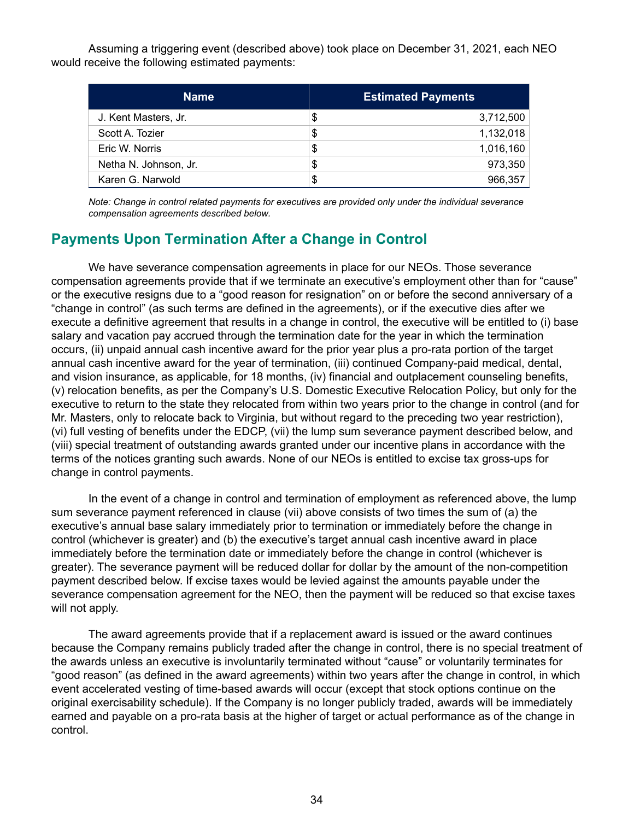Assuming a triggering event (described above) took place on December 31, 2021, each NEO would receive the following estimated payments:

| <b>Name</b>           | <b>Estimated Payments</b> |
|-----------------------|---------------------------|
| J. Kent Masters, Jr.  | \$<br>3,712,500           |
| Scott A. Tozier       | \$<br>1,132,018           |
| Eric W. Norris        | \$<br>1,016,160           |
| Netha N. Johnson, Jr. | \$<br>973,350             |
| Karen G. Narwold      | \$<br>966,357             |

*Note: Change in control related payments for executives are provided only under the individual severance compensation agreements described below.*

# **Payments Upon Termination After a Change in Control**

We have severance compensation agreements in place for our NEOs. Those severance compensation agreements provide that if we terminate an executive's employment other than for "cause" or the executive resigns due to a "good reason for resignation" on or before the second anniversary of a "change in control" (as such terms are defined in the agreements), or if the executive dies after we execute a definitive agreement that results in a change in control, the executive will be entitled to (i) base salary and vacation pay accrued through the termination date for the year in which the termination occurs, (ii) unpaid annual cash incentive award for the prior year plus a pro-rata portion of the target annual cash incentive award for the year of termination, (iii) continued Company-paid medical, dental, and vision insurance, as applicable, for 18 months, (iv) financial and outplacement counseling benefits, (v) relocation benefits, as per the Company's U.S. Domestic Executive Relocation Policy, but only for the executive to return to the state they relocated from within two years prior to the change in control (and for Mr. Masters, only to relocate back to Virginia, but without regard to the preceding two year restriction), (vi) full vesting of benefits under the EDCP, (vii) the lump sum severance payment described below, and (viii) special treatment of outstanding awards granted under our incentive plans in accordance with the terms of the notices granting such awards. None of our NEOs is entitled to excise tax gross-ups for change in control payments.

In the event of a change in control and termination of employment as referenced above, the lump sum severance payment referenced in clause (vii) above consists of two times the sum of (a) the executive's annual base salary immediately prior to termination or immediately before the change in control (whichever is greater) and (b) the executive's target annual cash incentive award in place immediately before the termination date or immediately before the change in control (whichever is greater). The severance payment will be reduced dollar for dollar by the amount of the non-competition payment described below. If excise taxes would be levied against the amounts payable under the severance compensation agreement for the NEO, then the payment will be reduced so that excise taxes will not apply.

The award agreements provide that if a replacement award is issued or the award continues because the Company remains publicly traded after the change in control, there is no special treatment of the awards unless an executive is involuntarily terminated without "cause" or voluntarily terminates for "good reason" (as defined in the award agreements) within two years after the change in control, in which event accelerated vesting of time-based awards will occur (except that stock options continue on the original exercisability schedule). If the Company is no longer publicly traded, awards will be immediately earned and payable on a pro-rata basis at the higher of target or actual performance as of the change in control.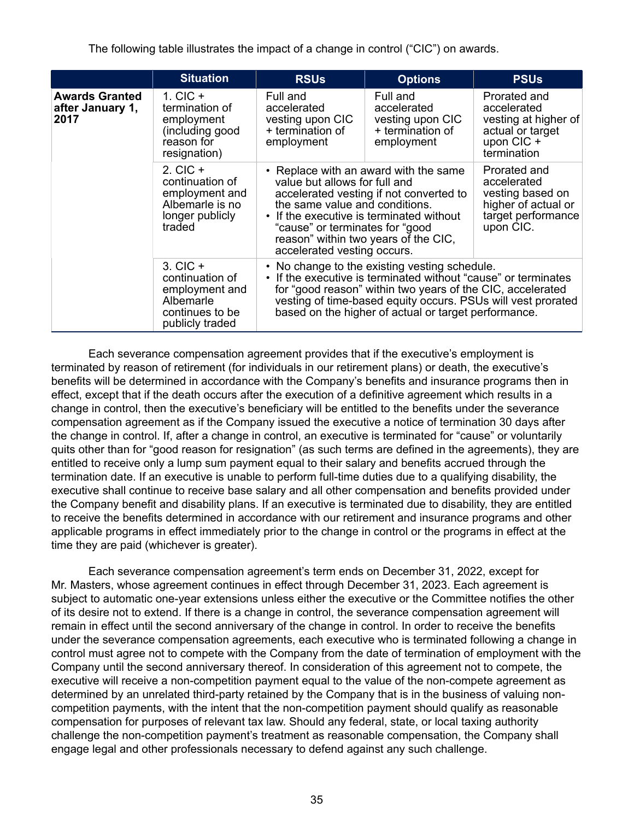The following table illustrates the impact of a change in control ("CIC") on awards.

|                                                   | <b>Situation</b>                                                                                     | <b>RSUs</b>                                                                                                                                                                                                                                                                                                          | <b>Options</b>                                                                                                                                                                             | <b>PSUs</b> |
|---------------------------------------------------|------------------------------------------------------------------------------------------------------|----------------------------------------------------------------------------------------------------------------------------------------------------------------------------------------------------------------------------------------------------------------------------------------------------------------------|--------------------------------------------------------------------------------------------------------------------------------------------------------------------------------------------|-------------|
| <b>Awards Granted</b><br>after January 1,<br>2017 | 1. $CIC +$<br>termination of<br>employment<br>(including good<br>reason for<br>resignation)          | Full and<br>accelerated<br>vesting upon CIC<br>+ termination of<br>employment                                                                                                                                                                                                                                        | Prorated and<br>accelerated<br>vesting at higher of<br>actual or target<br>upon CIC +<br>termination                                                                                       |             |
|                                                   | $2.$ CIC $+$<br>continuation of<br>employment and<br>Albemarle is no<br>longer publicly<br>traded    | • Replace with an award with the same<br>value but allows for full and<br>accelerated vesting if not converted to<br>the same value and conditions.<br>If the executive is terminated without<br>$\bullet$<br>"cause" or terminates for "good<br>reason" within two years of the CIC,<br>accelerated vesting occurs. | Prorated and<br>accelerated<br>vesting based on<br>higher of actual or<br>target performance<br>upon CIC.                                                                                  |             |
|                                                   | $3.$ CIC $+$<br>continuation of<br>employment and<br>Albemarle<br>continues to be<br>publicly traded | • No change to the existing vesting schedule.<br>based on the higher of actual or target performance.                                                                                                                                                                                                                | If the executive is terminated without "cause" or terminates<br>for "good reason" within two years of the CIC, accelerated<br>vesting of time-based equity occurs. PSUs will vest prorated |             |

Each severance compensation agreement provides that if the executive's employment is terminated by reason of retirement (for individuals in our retirement plans) or death, the executive's benefits will be determined in accordance with the Company's benefits and insurance programs then in effect, except that if the death occurs after the execution of a definitive agreement which results in a change in control, then the executive's beneficiary will be entitled to the benefits under the severance compensation agreement as if the Company issued the executive a notice of termination 30 days after the change in control. If, after a change in control, an executive is terminated for "cause" or voluntarily quits other than for "good reason for resignation" (as such terms are defined in the agreements), they are entitled to receive only a lump sum payment equal to their salary and benefits accrued through the termination date. If an executive is unable to perform full-time duties due to a qualifying disability, the executive shall continue to receive base salary and all other compensation and benefits provided under the Company benefit and disability plans. If an executive is terminated due to disability, they are entitled to receive the benefits determined in accordance with our retirement and insurance programs and other applicable programs in effect immediately prior to the change in control or the programs in effect at the time they are paid (whichever is greater).

Each severance compensation agreement's term ends on December 31, 2022, except for Mr. Masters, whose agreement continues in effect through December 31, 2023. Each agreement is subject to automatic one-year extensions unless either the executive or the Committee notifies the other of its desire not to extend. If there is a change in control, the severance compensation agreement will remain in effect until the second anniversary of the change in control. In order to receive the benefits under the severance compensation agreements, each executive who is terminated following a change in control must agree not to compete with the Company from the date of termination of employment with the Company until the second anniversary thereof. In consideration of this agreement not to compete, the executive will receive a non-competition payment equal to the value of the non-compete agreement as determined by an unrelated third-party retained by the Company that is in the business of valuing noncompetition payments, with the intent that the non-competition payment should qualify as reasonable compensation for purposes of relevant tax law. Should any federal, state, or local taxing authority challenge the non-competition payment's treatment as reasonable compensation, the Company shall engage legal and other professionals necessary to defend against any such challenge.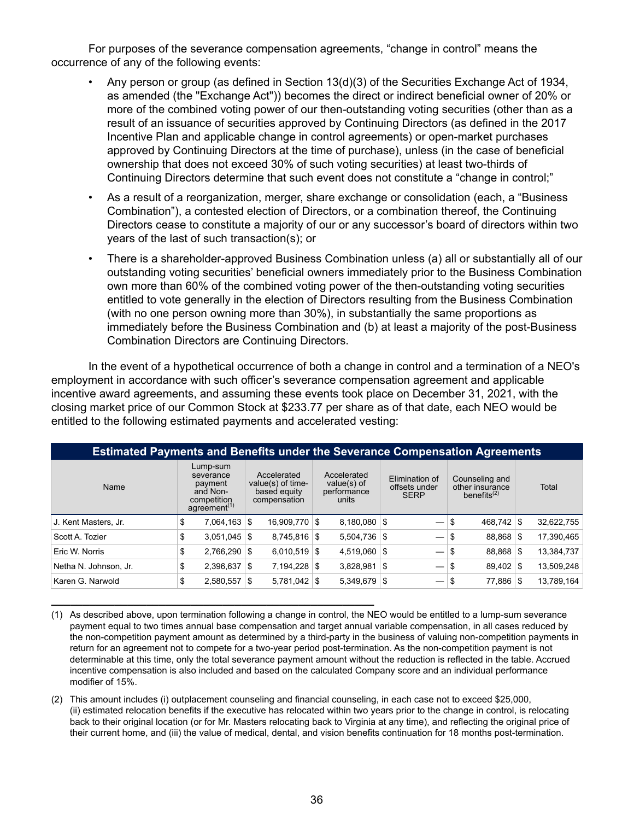For purposes of the severance compensation agreements, "change in control" means the occurrence of any of the following events:

- Any person or group (as defined in Section 13(d)(3) of the Securities Exchange Act of 1934, as amended (the "Exchange Act")) becomes the direct or indirect beneficial owner of 20% or more of the combined voting power of our then-outstanding voting securities (other than as a result of an issuance of securities approved by Continuing Directors (as defined in the 2017 Incentive Plan and applicable change in control agreements) or open-market purchases approved by Continuing Directors at the time of purchase), unless (in the case of beneficial ownership that does not exceed 30% of such voting securities) at least two-thirds of Continuing Directors determine that such event does not constitute a "change in control;"
- As a result of a reorganization, merger, share exchange or consolidation (each, a "Business Combination"), a contested election of Directors, or a combination thereof, the Continuing Directors cease to constitute a majority of our or any successor's board of directors within two years of the last of such transaction(s); or
- There is a shareholder-approved Business Combination unless (a) all or substantially all of our outstanding voting securities' beneficial owners immediately prior to the Business Combination own more than 60% of the combined voting power of the then-outstanding voting securities entitled to vote generally in the election of Directors resulting from the Business Combination (with no one person owning more than 30%), in substantially the same proportions as immediately before the Business Combination and (b) at least a majority of the post-Business Combination Directors are Continuing Directors.

In the event of a hypothetical occurrence of both a change in control and a termination of a NEO's employment in accordance with such officer's severance compensation agreement and applicable incentive award agreements, and assuming these events took place on December 31, 2021, with the closing market price of our Common Stock at \$233.77 per share as of that date, each NEO would be entitled to the following estimated payments and accelerated vesting:

| <b>Estimated Payments and Benefits under the Severance Compensation Agreements</b> |                                                                                         |                |                                                                  |                 |                                                    |                |                                                |                                 |                                                     |               |       |            |
|------------------------------------------------------------------------------------|-----------------------------------------------------------------------------------------|----------------|------------------------------------------------------------------|-----------------|----------------------------------------------------|----------------|------------------------------------------------|---------------------------------|-----------------------------------------------------|---------------|-------|------------|
| Name                                                                               | Lump-sum<br>severance<br>payment<br>and Non-<br>competition<br>agreement <sup>(1)</sup> |                | Accelerated<br>value(s) of time-<br>based equity<br>compensation |                 | Accelerated<br>value(s) of<br>performance<br>units |                | Elimination of<br>offsets under<br><b>SERP</b> |                                 | Counseling and<br>other insurance<br>benefits $(2)$ |               | Total |            |
| J. Kent Masters, Jr.                                                               | \$                                                                                      | $7,064,163$ \$ |                                                                  | $16,909,770$ \$ |                                                    | $8,180,080$ \$ |                                                |                                 | \$                                                  | 468.742       | ∣\$   | 32,622,755 |
| Scott A. Tozier                                                                    | \$                                                                                      | $3,051,045$ \$ |                                                                  | $8,745,816$ \$  |                                                    | $5,504,736$ \$ |                                                |                                 | \$                                                  | $88,868$ \$   |       | 17,390,465 |
| Eric W. Norris                                                                     | \$                                                                                      | $2,766,290$ \$ |                                                                  | $6,010,519$ \$  |                                                    | $4,519,060$ \$ |                                                |                                 | \$                                                  | $88,868$ \ \$ |       | 13,384,737 |
| Netha N. Johnson, Jr.                                                              | \$                                                                                      | $2,396,637$ \$ |                                                                  | $7,194,228$ \$  |                                                    | 3,828,981      | 5                                              |                                 | \$                                                  | $89.402$ \\$  |       | 13,509,248 |
| Karen G. Narwold                                                                   | \$                                                                                      | 2,580,557      | \$.                                                              | $5,781,042$ \$  |                                                    | 5,349,679      | \$                                             | $\hspace{0.1mm}-\hspace{0.1mm}$ | \$                                                  | 77,886        | \$    | 13,789,164 |

(1) As described above, upon termination following a change in control, the NEO would be entitled to a lump-sum severance payment equal to two times annual base compensation and target annual variable compensation, in all cases reduced by the non-competition payment amount as determined by a third-party in the business of valuing non-competition payments in return for an agreement not to compete for a two-year period post-termination. As the non-competition payment is not determinable at this time, only the total severance payment amount without the reduction is reflected in the table. Accrued incentive compensation is also included and based on the calculated Company score and an individual performance modifier of 15%.

**\_\_\_\_\_\_\_\_\_\_\_\_\_\_\_\_\_\_\_\_\_\_\_\_\_\_\_\_\_\_\_\_\_\_\_\_\_\_\_\_\_\_\_\_\_\_\_\_\_\_\_**

(2) This amount includes (i) outplacement counseling and financial counseling, in each case not to exceed \$25,000, (ii) estimated relocation benefits if the executive has relocated within two years prior to the change in control, is relocating back to their original location (or for Mr. Masters relocating back to Virginia at any time), and reflecting the original price of their current home, and (iii) the value of medical, dental, and vision benefits continuation for 18 months post-termination.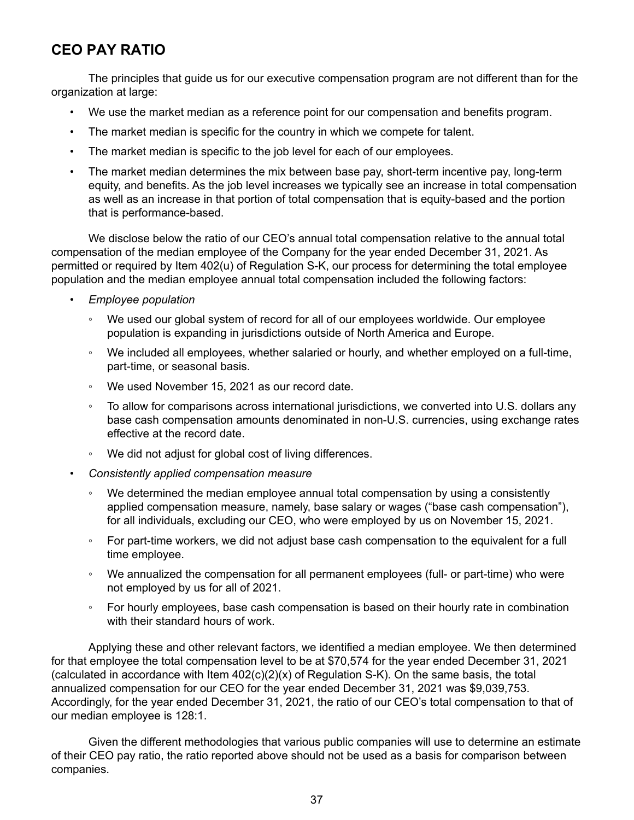# **CEO PAY RATIO**

The principles that guide us for our executive compensation program are not different than for the organization at large:

- We use the market median as a reference point for our compensation and benefits program.
- The market median is specific for the country in which we compete for talent.
- The market median is specific to the job level for each of our employees.
- The market median determines the mix between base pay, short-term incentive pay, long-term equity, and benefits. As the job level increases we typically see an increase in total compensation as well as an increase in that portion of total compensation that is equity-based and the portion that is performance-based.

We disclose below the ratio of our CEO's annual total compensation relative to the annual total compensation of the median employee of the Company for the year ended December 31, 2021. As permitted or required by Item 402(u) of Regulation S-K, our process for determining the total employee population and the median employee annual total compensation included the following factors:

- *Employee population*
	- We used our global system of record for all of our employees worldwide. Our employee population is expanding in jurisdictions outside of North America and Europe.
	- We included all employees, whether salaried or hourly, and whether employed on a full-time, part-time, or seasonal basis.
	- We used November 15, 2021 as our record date.
	- To allow for comparisons across international jurisdictions, we converted into U.S. dollars any base cash compensation amounts denominated in non-U.S. currencies, using exchange rates effective at the record date.
	- We did not adjust for global cost of living differences.
- *Consistently applied compensation measure*
	- We determined the median employee annual total compensation by using a consistently applied compensation measure, namely, base salary or wages ("base cash compensation"), for all individuals, excluding our CEO, who were employed by us on November 15, 2021.
	- For part-time workers, we did not adjust base cash compensation to the equivalent for a full time employee.
	- We annualized the compensation for all permanent employees (full- or part-time) who were not employed by us for all of 2021.
	- For hourly employees, base cash compensation is based on their hourly rate in combination with their standard hours of work.

Applying these and other relevant factors, we identified a median employee. We then determined for that employee the total compensation level to be at \$70,574 for the year ended December 31, 2021 (calculated in accordance with Item  $402(c)(2)(x)$  of Regulation S-K). On the same basis, the total annualized compensation for our CEO for the year ended December 31, 2021 was \$9,039,753. Accordingly, for the year ended December 31, 2021, the ratio of our CEO's total compensation to that of our median employee is 128:1.

Given the different methodologies that various public companies will use to determine an estimate of their CEO pay ratio, the ratio reported above should not be used as a basis for comparison between companies.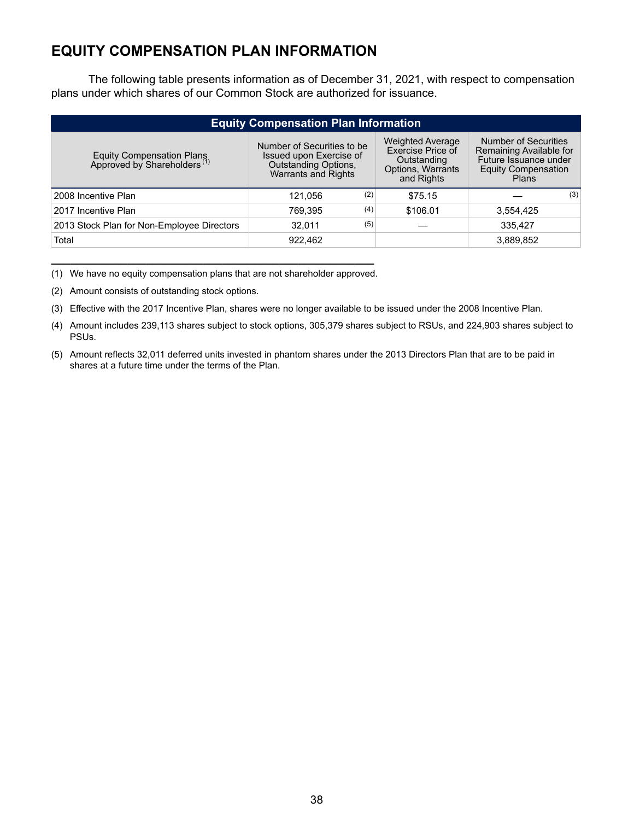# **EQUITY COMPENSATION PLAN INFORMATION**

The following table presents information as of December 31, 2021, with respect to compensation plans under which shares of our Common Stock are authorized for issuance.

| <b>Equity Compensation Plan Information</b>                          |                                                                                                             |     |                                                                                                |                                                                                                                        |  |  |  |  |
|----------------------------------------------------------------------|-------------------------------------------------------------------------------------------------------------|-----|------------------------------------------------------------------------------------------------|------------------------------------------------------------------------------------------------------------------------|--|--|--|--|
| Equity Compensation Plans<br>Approved by Shareholders <sup>(1)</sup> | Number of Securities to be<br>Issued upon Exercise of<br>Outstanding Options,<br><b>Warrants and Rights</b> |     | <b>Weighted Average</b><br>Exercise Price of<br>Outstanding<br>Options, Warrants<br>and Rights | <b>Number of Securities</b><br>Remaining Available for<br>Future Issuance under<br><b>Equity Compensation</b><br>Plans |  |  |  |  |
| 2008 Incentive Plan                                                  | 121.056                                                                                                     | (2) | \$75.15                                                                                        | (3)                                                                                                                    |  |  |  |  |
| 2017 Incentive Plan                                                  | 769.395                                                                                                     | (4) | \$106.01                                                                                       | 3,554,425                                                                                                              |  |  |  |  |
| 2013 Stock Plan for Non-Employee Directors                           | 32.011                                                                                                      | (5) |                                                                                                | 335.427                                                                                                                |  |  |  |  |
| Total                                                                | 922,462                                                                                                     |     |                                                                                                | 3,889,852                                                                                                              |  |  |  |  |

**\_\_\_\_\_\_\_\_\_\_\_\_\_\_\_\_\_\_\_\_\_\_\_\_\_\_\_\_\_\_\_\_\_\_\_\_\_\_\_\_\_\_\_\_\_\_\_\_\_\_\_** (1) We have no equity compensation plans that are not shareholder approved.

(2) Amount consists of outstanding stock options.

(3) Effective with the 2017 Incentive Plan, shares were no longer available to be issued under the 2008 Incentive Plan.

(4) Amount includes 239,113 shares subject to stock options, 305,379 shares subject to RSUs, and 224,903 shares subject to PSUs.

(5) Amount reflects 32,011 deferred units invested in phantom shares under the 2013 Directors Plan that are to be paid in shares at a future time under the terms of the Plan.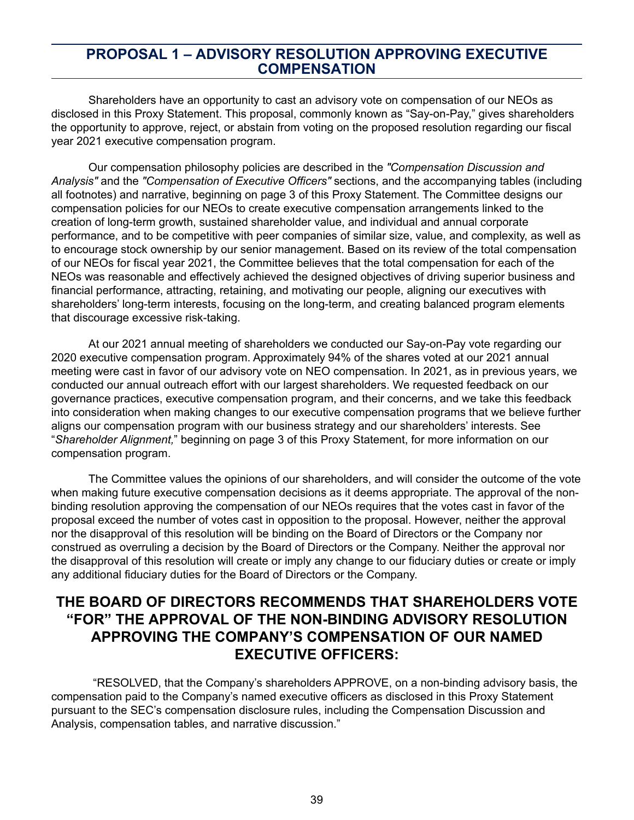## **PROPOSAL 1 – ADVISORY RESOLUTION APPROVING EXECUTIVE COMPENSATION**

Shareholders have an opportunity to cast an advisory vote on compensation of our NEOs as disclosed in this Proxy Statement. This proposal, commonly known as "Say-on-Pay," gives shareholders the opportunity to approve, reject, or abstain from voting on the proposed resolution regarding our fiscal year 2021 executive compensation program.

Our compensation philosophy policies are described in the *"Compensation Discussion and Analysis"* and the *"Compensation of Executive Officers"* sections, and the accompanying tables (including all footnotes) and narrative, beginning on page 3 of this Proxy Statement. The Committee designs our compensation policies for our NEOs to create executive compensation arrangements linked to the creation of long-term growth, sustained shareholder value, and individual and annual corporate performance, and to be competitive with peer companies of similar size, value, and complexity, as well as to encourage stock ownership by our senior management. Based on its review of the total compensation of our NEOs for fiscal year 2021, the Committee believes that the total compensation for each of the NEOs was reasonable and effectively achieved the designed objectives of driving superior business and financial performance, attracting, retaining, and motivating our people, aligning our executives with shareholders' long-term interests, focusing on the long-term, and creating balanced program elements that discourage excessive risk-taking.

At our 2021 annual meeting of shareholders we conducted our Say-on-Pay vote regarding our 2020 executive compensation program. Approximately 94% of the shares voted at our 2021 annual meeting were cast in favor of our advisory vote on NEO compensation. In 2021, as in previous years, we conducted our annual outreach effort with our largest shareholders. We requested feedback on our governance practices, executive compensation program, and their concerns, and we take this feedback into consideration when making changes to our executive compensation programs that we believe further aligns our compensation program with our business strategy and our shareholders' interests. See "*Shareholder Alignment,*" beginning on page 3 of this Proxy Statement, for more information on our compensation program.

The Committee values the opinions of our shareholders, and will consider the outcome of the vote when making future executive compensation decisions as it deems appropriate. The approval of the nonbinding resolution approving the compensation of our NEOs requires that the votes cast in favor of the proposal exceed the number of votes cast in opposition to the proposal. However, neither the approval nor the disapproval of this resolution will be binding on the Board of Directors or the Company nor construed as overruling a decision by the Board of Directors or the Company. Neither the approval nor the disapproval of this resolution will create or imply any change to our fiduciary duties or create or imply any additional fiduciary duties for the Board of Directors or the Company.

# **THE BOARD OF DIRECTORS RECOMMENDS THAT SHAREHOLDERS VOTE "FOR" THE APPROVAL OF THE NON-BINDING ADVISORY RESOLUTION APPROVING THE COMPANY'S COMPENSATION OF OUR NAMED EXECUTIVE OFFICERS:**

"RESOLVED, that the Company's shareholders APPROVE, on a non-binding advisory basis, the compensation paid to the Company's named executive officers as disclosed in this Proxy Statement pursuant to the SEC's compensation disclosure rules, including the Compensation Discussion and Analysis, compensation tables, and narrative discussion."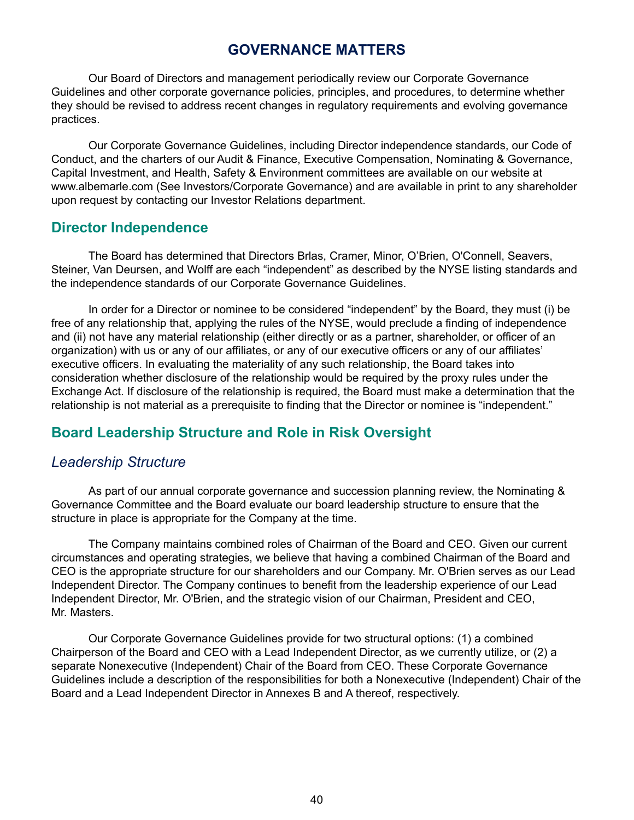# **GOVERNANCE MATTERS**

Our Board of Directors and management periodically review our Corporate Governance Guidelines and other corporate governance policies, principles, and procedures, to determine whether they should be revised to address recent changes in regulatory requirements and evolving governance practices.

Our Corporate Governance Guidelines, including Director independence standards, our Code of Conduct, and the charters of our Audit & Finance, Executive Compensation, Nominating & Governance, Capital Investment, and Health, Safety & Environment committees are available on our website at www.albemarle.com (See Investors/Corporate Governance) and are available in print to any shareholder upon request by contacting our Investor Relations department.

## **Director Independence**

The Board has determined that Directors Brlas, Cramer, Minor, O'Brien, O'Connell, Seavers, Steiner, Van Deursen, and Wolff are each "independent" as described by the NYSE listing standards and the independence standards of our Corporate Governance Guidelines.

In order for a Director or nominee to be considered "independent" by the Board, they must (i) be free of any relationship that, applying the rules of the NYSE, would preclude a finding of independence and (ii) not have any material relationship (either directly or as a partner, shareholder, or officer of an organization) with us or any of our affiliates, or any of our executive officers or any of our affiliates' executive officers. In evaluating the materiality of any such relationship, the Board takes into consideration whether disclosure of the relationship would be required by the proxy rules under the Exchange Act. If disclosure of the relationship is required, the Board must make a determination that the relationship is not material as a prerequisite to finding that the Director or nominee is "independent."

# **Board Leadership Structure and Role in Risk Oversight**

## *Leadership Structure*

As part of our annual corporate governance and succession planning review, the Nominating & Governance Committee and the Board evaluate our board leadership structure to ensure that the structure in place is appropriate for the Company at the time.

The Company maintains combined roles of Chairman of the Board and CEO. Given our current circumstances and operating strategies, we believe that having a combined Chairman of the Board and CEO is the appropriate structure for our shareholders and our Company. Mr. O'Brien serves as our Lead Independent Director. The Company continues to benefit from the leadership experience of our Lead Independent Director, Mr. O'Brien, and the strategic vision of our Chairman, President and CEO, Mr. Masters.

Our Corporate Governance Guidelines provide for two structural options: (1) a combined Chairperson of the Board and CEO with a Lead Independent Director, as we currently utilize, or (2) a separate Nonexecutive (Independent) Chair of the Board from CEO. These Corporate Governance Guidelines include a description of the responsibilities for both a Nonexecutive (Independent) Chair of the Board and a Lead Independent Director in Annexes B and A thereof, respectively.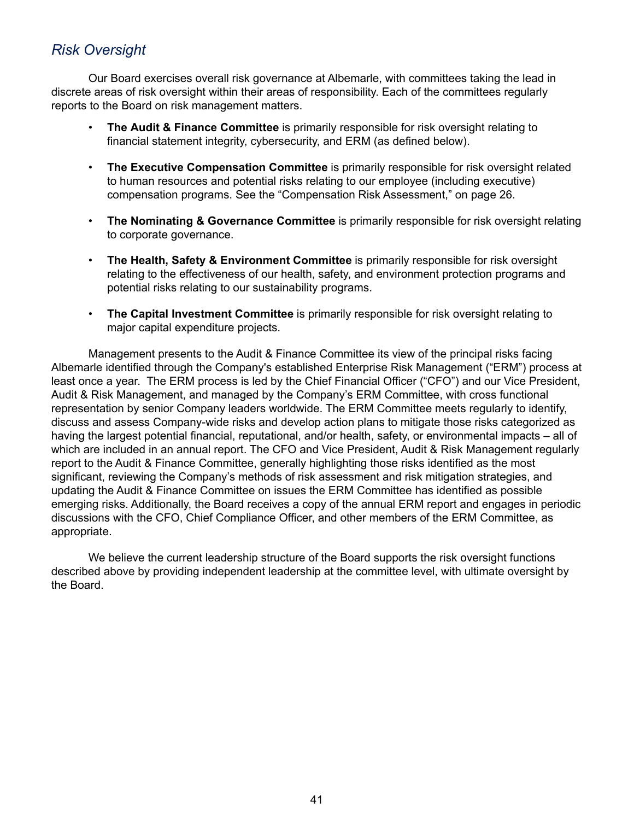# *Risk Oversight*

Our Board exercises overall risk governance at Albemarle, with committees taking the lead in discrete areas of risk oversight within their areas of responsibility. Each of the committees regularly reports to the Board on risk management matters.

- **The Audit & Finance Committee** is primarily responsible for risk oversight relating to financial statement integrity, cybersecurity, and ERM (as defined below).
- **The Executive Compensation Committee** is primarily responsible for risk oversight related to human resources and potential risks relating to our employee (including executive) compensation programs. See the "Compensation Risk Assessment," on page 26.
- **The Nominating & Governance Committee** is primarily responsible for risk oversight relating to corporate governance.
- **The Health, Safety & Environment Committee** is primarily responsible for risk oversight relating to the effectiveness of our health, safety, and environment protection programs and potential risks relating to our sustainability programs.
- **The Capital Investment Committee** is primarily responsible for risk oversight relating to major capital expenditure projects.

Management presents to the Audit & Finance Committee its view of the principal risks facing Albemarle identified through the Company's established Enterprise Risk Management ("ERM") process at least once a year. The ERM process is led by the Chief Financial Officer ("CFO") and our Vice President, Audit & Risk Management, and managed by the Company's ERM Committee, with cross functional representation by senior Company leaders worldwide. The ERM Committee meets regularly to identify, discuss and assess Company-wide risks and develop action plans to mitigate those risks categorized as having the largest potential financial, reputational, and/or health, safety, or environmental impacts – all of which are included in an annual report. The CFO and Vice President, Audit & Risk Management regularly report to the Audit & Finance Committee, generally highlighting those risks identified as the most significant, reviewing the Company's methods of risk assessment and risk mitigation strategies, and updating the Audit & Finance Committee on issues the ERM Committee has identified as possible emerging risks. Additionally, the Board receives a copy of the annual ERM report and engages in periodic discussions with the CFO, Chief Compliance Officer, and other members of the ERM Committee, as appropriate.

We believe the current leadership structure of the Board supports the risk oversight functions described above by providing independent leadership at the committee level, with ultimate oversight by the Board.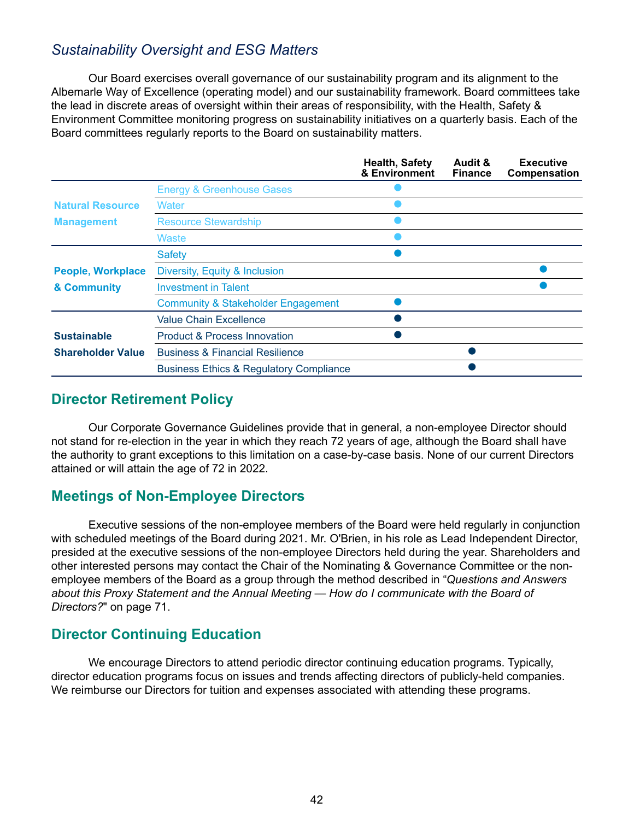# *Sustainability Oversight and ESG Matters*

Our Board exercises overall governance of our sustainability program and its alignment to the Albemarle Way of Excellence (operating model) and our sustainability framework. Board committees take the lead in discrete areas of oversight within their areas of responsibility, with the Health, Safety & Environment Committee monitoring progress on sustainability initiatives on a quarterly basis. Each of the Board committees regularly reports to the Board on sustainability matters.

|                          |                                                    | <b>Health, Safety</b><br>& Environment | Audit &<br><b>Finance</b> | <b>Executive</b><br>Compensation |
|--------------------------|----------------------------------------------------|----------------------------------------|---------------------------|----------------------------------|
|                          | <b>Energy &amp; Greenhouse Gases</b>               |                                        |                           |                                  |
| <b>Natural Resource</b>  | Water                                              |                                        |                           |                                  |
| <b>Management</b>        | <b>Resource Stewardship</b>                        |                                        |                           |                                  |
|                          | Waste                                              |                                        |                           |                                  |
|                          | <b>Safety</b>                                      |                                        |                           |                                  |
| <b>People, Workplace</b> | Diversity, Equity & Inclusion                      |                                        |                           |                                  |
| & Community              | <b>Investment in Talent</b>                        |                                        |                           |                                  |
|                          | <b>Community &amp; Stakeholder Engagement</b>      |                                        |                           |                                  |
|                          | Value Chain Excellence                             |                                        |                           |                                  |
| <b>Sustainable</b>       | <b>Product &amp; Process Innovation</b>            |                                        |                           |                                  |
| <b>Shareholder Value</b> | <b>Business &amp; Financial Resilience</b>         |                                        |                           |                                  |
|                          | <b>Business Ethics &amp; Regulatory Compliance</b> |                                        |                           |                                  |

## **Director Retirement Policy**

Our Corporate Governance Guidelines provide that in general, a non-employee Director should not stand for re-election in the year in which they reach 72 years of age, although the Board shall have the authority to grant exceptions to this limitation on a case-by-case basis. None of our current Directors attained or will attain the age of 72 in 2022.

## **Meetings of Non-Employee Directors**

Executive sessions of the non-employee members of the Board were held regularly in conjunction with scheduled meetings of the Board during 2021. Mr. O'Brien, in his role as Lead Independent Director, presided at the executive sessions of the non-employee Directors held during the year. Shareholders and other interested persons may contact the Chair of the Nominating & Governance Committee or the nonemployee members of the Board as a group through the method described in "*Questions and Answers about this Proxy Statement and the Annual Meeting — How do I communicate with the Board of Directors?*" on page 71.

# **Director Continuing Education**

We encourage Directors to attend periodic director continuing education programs. Typically, director education programs focus on issues and trends affecting directors of publicly-held companies. We reimburse our Directors for tuition and expenses associated with attending these programs.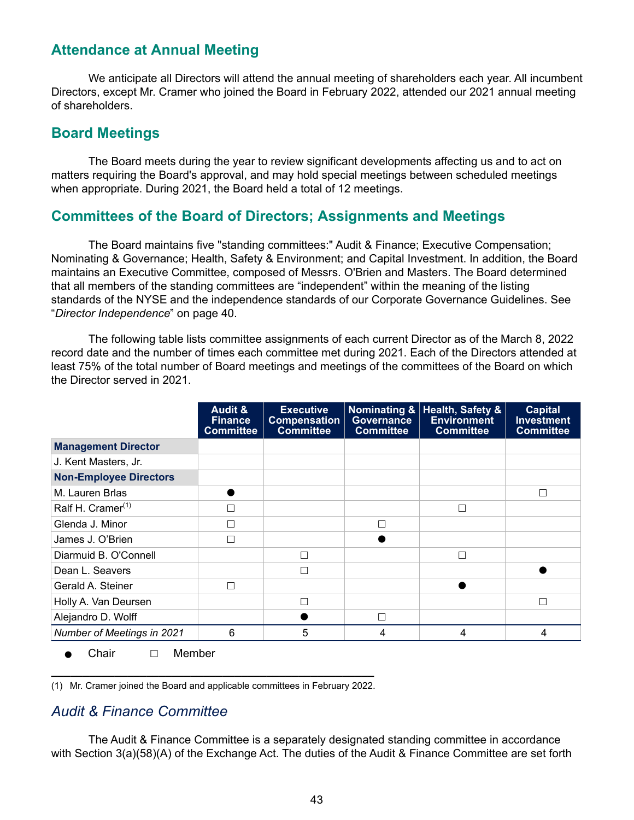## **Attendance at Annual Meeting**

We anticipate all Directors will attend the annual meeting of shareholders each year. All incumbent Directors, except Mr. Cramer who joined the Board in February 2022, attended our 2021 annual meeting of shareholders.

## **Board Meetings**

The Board meets during the year to review significant developments affecting us and to act on matters requiring the Board's approval, and may hold special meetings between scheduled meetings when appropriate. During 2021, the Board held a total of 12 meetings.

## **Committees of the Board of Directors; Assignments and Meetings**

The Board maintains five "standing committees:" Audit & Finance; Executive Compensation; Nominating & Governance; Health, Safety & Environment; and Capital Investment. In addition, the Board maintains an Executive Committee, composed of Messrs. O'Brien and Masters. The Board determined that all members of the standing committees are "independent" within the meaning of the listing standards of the NYSE and the independence standards of our Corporate Governance Guidelines. See "*Director Independence*" on page 40.

The following table lists committee assignments of each current Director as of the March 8, 2022 record date and the number of times each committee met during 2021. Each of the Directors attended at least 75% of the total number of Board meetings and meetings of the committees of the Board on which the Director served in 2021.

|                               | <b>Audit &amp;</b><br><b>Finance</b><br><b>Committee</b> | <b>Executive</b><br><b>Compensation</b><br><b>Committee</b> | <b>Governance</b><br><b>Committee</b> | Nominating &   Health, Safety &<br><b>Environment</b><br><b>Committee</b> | <b>Capital</b><br><b>Investment</b><br><b>Committee</b> |
|-------------------------------|----------------------------------------------------------|-------------------------------------------------------------|---------------------------------------|---------------------------------------------------------------------------|---------------------------------------------------------|
| <b>Management Director</b>    |                                                          |                                                             |                                       |                                                                           |                                                         |
| J. Kent Masters, Jr.          |                                                          |                                                             |                                       |                                                                           |                                                         |
| <b>Non-Employee Directors</b> |                                                          |                                                             |                                       |                                                                           |                                                         |
| M. Lauren Brlas               |                                                          |                                                             |                                       |                                                                           | П                                                       |
| Ralf H. Cramer <sup>(1)</sup> | П                                                        |                                                             |                                       | □                                                                         |                                                         |
| Glenda J. Minor               | П                                                        |                                                             | г                                     |                                                                           |                                                         |
| James J. O'Brien              | П                                                        |                                                             |                                       |                                                                           |                                                         |
| Diarmuid B. O'Connell         |                                                          |                                                             |                                       | $\Box$                                                                    |                                                         |
| Dean L. Seavers               |                                                          |                                                             |                                       |                                                                           |                                                         |
| Gerald A. Steiner             | П                                                        |                                                             |                                       |                                                                           |                                                         |
| Holly A. Van Deursen          |                                                          |                                                             |                                       |                                                                           | П                                                       |
| Alejandro D. Wolff            |                                                          |                                                             | Г                                     |                                                                           |                                                         |
| Number of Meetings in 2021    | 6                                                        | 5                                                           | 4                                     | 4                                                                         | 4                                                       |

Chair □ Member

**\_\_\_\_\_\_\_\_\_\_\_\_\_\_\_\_\_\_\_\_\_\_\_\_\_\_\_\_\_\_\_\_\_\_\_\_\_\_\_\_\_\_\_\_\_\_\_\_\_\_\_** (1) Mr. Cramer joined the Board and applicable committees in February 2022.

## *Audit & Finance Committee*

The Audit & Finance Committee is a separately designated standing committee in accordance with Section 3(a)(58)(A) of the Exchange Act. The duties of the Audit & Finance Committee are set forth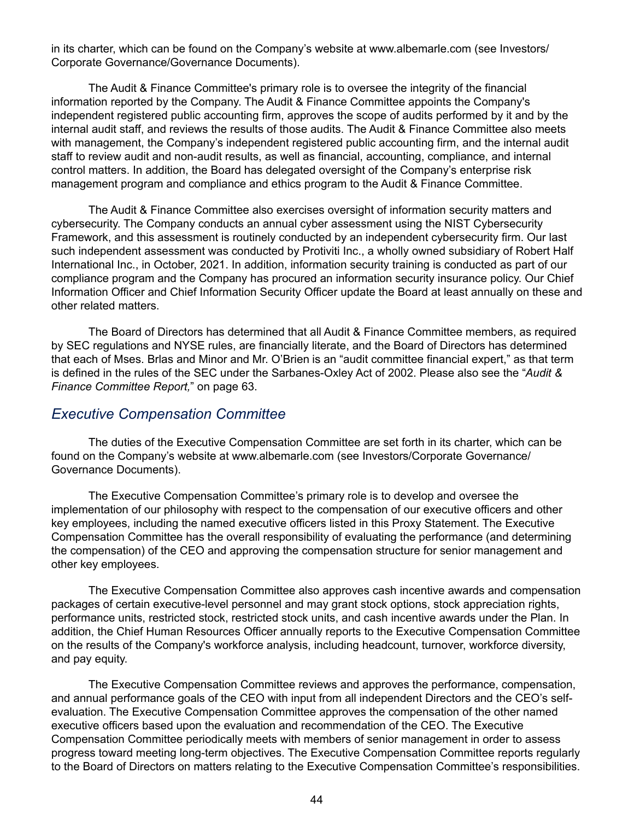in its charter, which can be found on the Company's website at www.albemarle.com (see Investors/ Corporate Governance/Governance Documents).

The Audit & Finance Committee's primary role is to oversee the integrity of the financial information reported by the Company. The Audit & Finance Committee appoints the Company's independent registered public accounting firm, approves the scope of audits performed by it and by the internal audit staff, and reviews the results of those audits. The Audit & Finance Committee also meets with management, the Company's independent registered public accounting firm, and the internal audit staff to review audit and non-audit results, as well as financial, accounting, compliance, and internal control matters. In addition, the Board has delegated oversight of the Company's enterprise risk management program and compliance and ethics program to the Audit & Finance Committee.

The Audit & Finance Committee also exercises oversight of information security matters and cybersecurity. The Company conducts an annual cyber assessment using the NIST Cybersecurity Framework, and this assessment is routinely conducted by an independent cybersecurity firm. Our last such independent assessment was conducted by Protiviti Inc., a wholly owned subsidiary of Robert Half International Inc., in October, 2021. In addition, information security training is conducted as part of our compliance program and the Company has procured an information security insurance policy. Our Chief Information Officer and Chief Information Security Officer update the Board at least annually on these and other related matters.

The Board of Directors has determined that all Audit & Finance Committee members, as required by SEC regulations and NYSE rules, are financially literate, and the Board of Directors has determined that each of Mses. Brlas and Minor and Mr. O'Brien is an "audit committee financial expert," as that term is defined in the rules of the SEC under the Sarbanes-Oxley Act of 2002. Please also see the "*Audit & Finance Committee Report,*" on page 63.

## *Executive Compensation Committee*

The duties of the Executive Compensation Committee are set forth in its charter, which can be found on the Company's website at www.albemarle.com (see Investors/Corporate Governance/ Governance Documents).

The Executive Compensation Committee's primary role is to develop and oversee the implementation of our philosophy with respect to the compensation of our executive officers and other key employees, including the named executive officers listed in this Proxy Statement. The Executive Compensation Committee has the overall responsibility of evaluating the performance (and determining the compensation) of the CEO and approving the compensation structure for senior management and other key employees.

The Executive Compensation Committee also approves cash incentive awards and compensation packages of certain executive-level personnel and may grant stock options, stock appreciation rights, performance units, restricted stock, restricted stock units, and cash incentive awards under the Plan. In addition, the Chief Human Resources Officer annually reports to the Executive Compensation Committee on the results of the Company's workforce analysis, including headcount, turnover, workforce diversity, and pay equity.

The Executive Compensation Committee reviews and approves the performance, compensation, and annual performance goals of the CEO with input from all independent Directors and the CEO's selfevaluation. The Executive Compensation Committee approves the compensation of the other named executive officers based upon the evaluation and recommendation of the CEO. The Executive Compensation Committee periodically meets with members of senior management in order to assess progress toward meeting long-term objectives. The Executive Compensation Committee reports regularly to the Board of Directors on matters relating to the Executive Compensation Committee's responsibilities.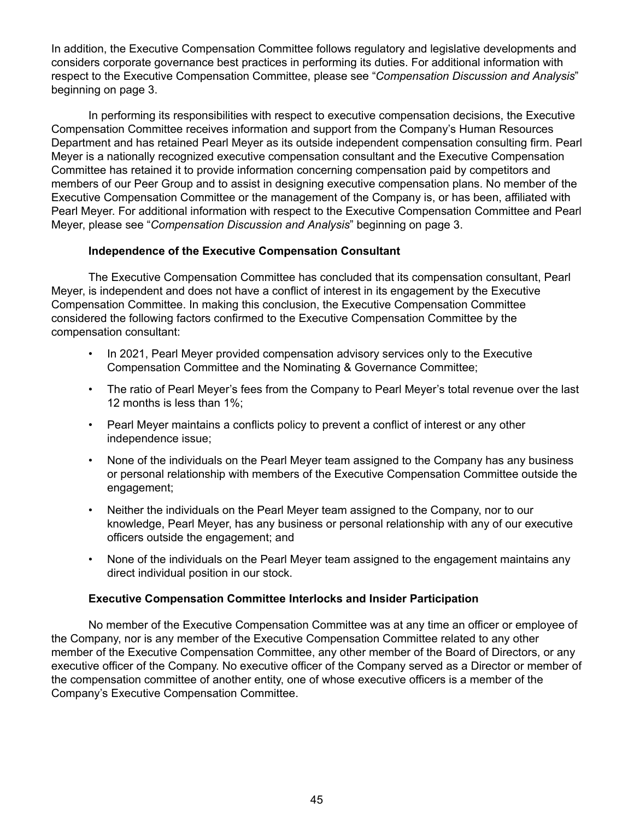In addition, the Executive Compensation Committee follows regulatory and legislative developments and considers corporate governance best practices in performing its duties. For additional information with respect to the Executive Compensation Committee, please see "*Compensation Discussion and Analysis*" beginning on page 3.

In performing its responsibilities with respect to executive compensation decisions, the Executive Compensation Committee receives information and support from the Company's Human Resources Department and has retained Pearl Meyer as its outside independent compensation consulting firm. Pearl Meyer is a nationally recognized executive compensation consultant and the Executive Compensation Committee has retained it to provide information concerning compensation paid by competitors and members of our Peer Group and to assist in designing executive compensation plans. No member of the Executive Compensation Committee or the management of the Company is, or has been, affiliated with Pearl Meyer. For additional information with respect to the Executive Compensation Committee and Pearl Meyer, please see "*Compensation Discussion and Analysis*" beginning on page 3.

## **Independence of the Executive Compensation Consultant**

The Executive Compensation Committee has concluded that its compensation consultant, Pearl Meyer, is independent and does not have a conflict of interest in its engagement by the Executive Compensation Committee. In making this conclusion, the Executive Compensation Committee considered the following factors confirmed to the Executive Compensation Committee by the compensation consultant:

- In 2021, Pearl Meyer provided compensation advisory services only to the Executive Compensation Committee and the Nominating & Governance Committee;
- The ratio of Pearl Meyer's fees from the Company to Pearl Meyer's total revenue over the last 12 months is less than 1%;
- Pearl Meyer maintains a conflicts policy to prevent a conflict of interest or any other independence issue;
- None of the individuals on the Pearl Meyer team assigned to the Company has any business or personal relationship with members of the Executive Compensation Committee outside the engagement;
- Neither the individuals on the Pearl Meyer team assigned to the Company, nor to our knowledge, Pearl Meyer, has any business or personal relationship with any of our executive officers outside the engagement; and
- None of the individuals on the Pearl Meyer team assigned to the engagement maintains any direct individual position in our stock.

## **Executive Compensation Committee Interlocks and Insider Participation**

No member of the Executive Compensation Committee was at any time an officer or employee of the Company, nor is any member of the Executive Compensation Committee related to any other member of the Executive Compensation Committee, any other member of the Board of Directors, or any executive officer of the Company. No executive officer of the Company served as a Director or member of the compensation committee of another entity, one of whose executive officers is a member of the Company's Executive Compensation Committee.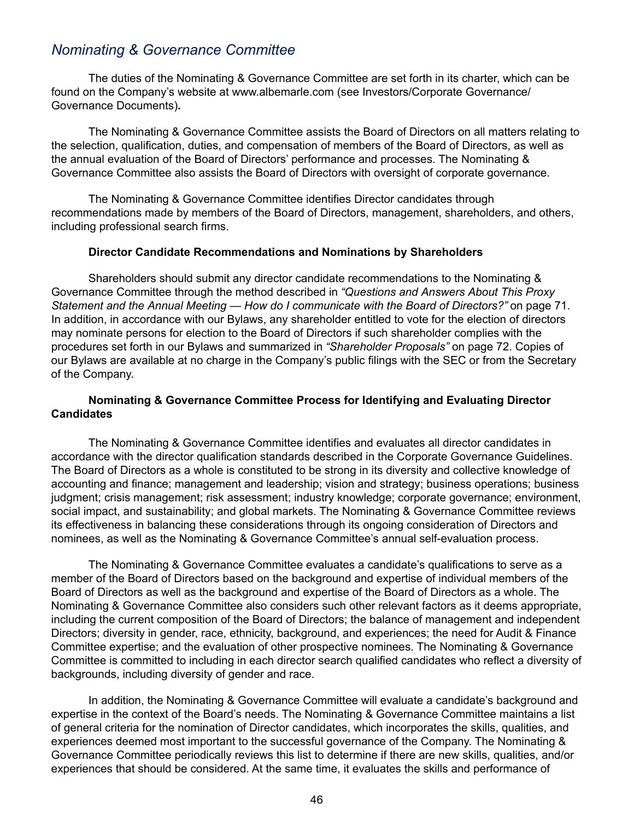## *Nominating & Governance Committee*

The duties of the Nominating & Governance Committee are set forth in its charter, which can be found on the Company's website at www.albemarle.com (see Investors/Corporate Governance/ Governance Documents)**.**

The Nominating & Governance Committee assists the Board of Directors on all matters relating to the selection, qualification, duties, and compensation of members of the Board of Directors, as well as the annual evaluation of the Board of Directors' performance and processes. The Nominating & Governance Committee also assists the Board of Directors with oversight of corporate governance.

The Nominating & Governance Committee identifies Director candidates through recommendations made by members of the Board of Directors, management, shareholders, and others, including professional search firms.

### **Director Candidate Recommendations and Nominations by Shareholders**

Shareholders should submit any director candidate recommendations to the Nominating & Governance Committee through the method described in *"Questions and Answers About This Proxy Statement and the Annual Meeting — How do I communicate with the Board of Directors?"* on page 71. In addition, in accordance with our Bylaws, any shareholder entitled to vote for the election of directors may nominate persons for election to the Board of Directors if such shareholder complies with the procedures set forth in our Bylaws and summarized in *"Shareholder Proposals"* on page 72. Copies of our Bylaws are available at no charge in the Company's public filings with the SEC or from the Secretary of the Company.

### **Nominating & Governance Committee Process for Identifying and Evaluating Director Candidates**

The Nominating & Governance Committee identifies and evaluates all director candidates in accordance with the director qualification standards described in the Corporate Governance Guidelines. The Board of Directors as a whole is constituted to be strong in its diversity and collective knowledge of accounting and finance; management and leadership; vision and strategy; business operations; business judgment; crisis management; risk assessment; industry knowledge; corporate governance; environment, social impact, and sustainability; and global markets. The Nominating & Governance Committee reviews its effectiveness in balancing these considerations through its ongoing consideration of Directors and nominees, as well as the Nominating & Governance Committee's annual self-evaluation process.

The Nominating & Governance Committee evaluates a candidate's qualifications to serve as a member of the Board of Directors based on the background and expertise of individual members of the Board of Directors as well as the background and expertise of the Board of Directors as a whole. The Nominating & Governance Committee also considers such other relevant factors as it deems appropriate, including the current composition of the Board of Directors; the balance of management and independent Directors; diversity in gender, race, ethnicity, background, and experiences; the need for Audit & Finance Committee expertise; and the evaluation of other prospective nominees. The Nominating & Governance Committee is committed to including in each director search qualified candidates who reflect a diversity of backgrounds, including diversity of gender and race.

In addition, the Nominating & Governance Committee will evaluate a candidate's background and expertise in the context of the Board's needs. The Nominating & Governance Committee maintains a list of general criteria for the nomination of Director candidates, which incorporates the skills, qualities, and experiences deemed most important to the successful governance of the Company. The Nominating & Governance Committee periodically reviews this list to determine if there are new skills, qualities, and/or experiences that should be considered. At the same time, it evaluates the skills and performance of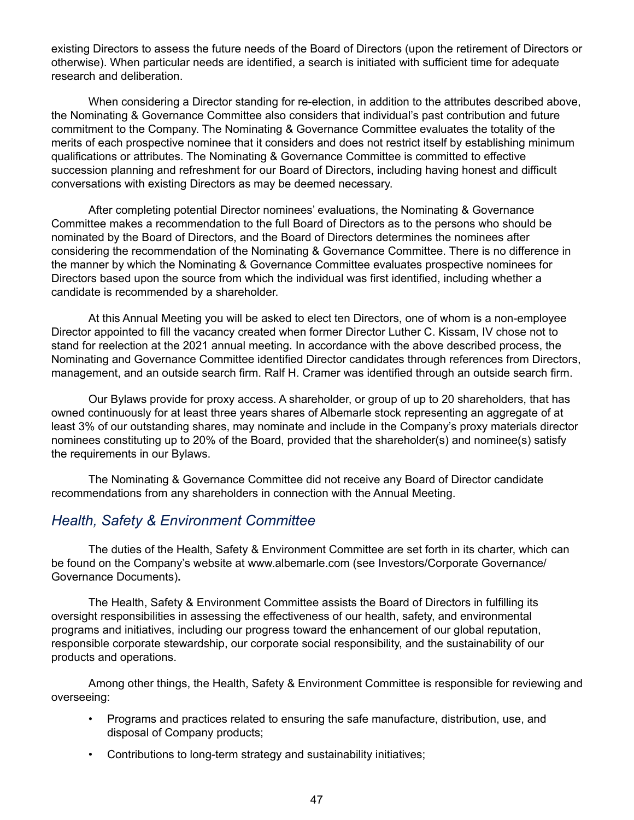existing Directors to assess the future needs of the Board of Directors (upon the retirement of Directors or otherwise). When particular needs are identified, a search is initiated with sufficient time for adequate research and deliberation.

When considering a Director standing for re-election, in addition to the attributes described above, the Nominating & Governance Committee also considers that individual's past contribution and future commitment to the Company. The Nominating & Governance Committee evaluates the totality of the merits of each prospective nominee that it considers and does not restrict itself by establishing minimum qualifications or attributes. The Nominating & Governance Committee is committed to effective succession planning and refreshment for our Board of Directors, including having honest and difficult conversations with existing Directors as may be deemed necessary.

After completing potential Director nominees' evaluations, the Nominating & Governance Committee makes a recommendation to the full Board of Directors as to the persons who should be nominated by the Board of Directors, and the Board of Directors determines the nominees after considering the recommendation of the Nominating & Governance Committee. There is no difference in the manner by which the Nominating & Governance Committee evaluates prospective nominees for Directors based upon the source from which the individual was first identified, including whether a candidate is recommended by a shareholder.

At this Annual Meeting you will be asked to elect ten Directors, one of whom is a non-employee Director appointed to fill the vacancy created when former Director Luther C. Kissam, IV chose not to stand for reelection at the 2021 annual meeting. In accordance with the above described process, the Nominating and Governance Committee identified Director candidates through references from Directors, management, and an outside search firm. Ralf H. Cramer was identified through an outside search firm.

Our Bylaws provide for proxy access. A shareholder, or group of up to 20 shareholders, that has owned continuously for at least three years shares of Albemarle stock representing an aggregate of at least 3% of our outstanding shares, may nominate and include in the Company's proxy materials director nominees constituting up to 20% of the Board, provided that the shareholder(s) and nominee(s) satisfy the requirements in our Bylaws.

The Nominating & Governance Committee did not receive any Board of Director candidate recommendations from any shareholders in connection with the Annual Meeting.

## *Health, Safety & Environment Committee*

The duties of the Health, Safety & Environment Committee are set forth in its charter, which can be found on the Company's website at www.albemarle.com (see Investors/Corporate Governance/ Governance Documents)**.**

The Health, Safety & Environment Committee assists the Board of Directors in fulfilling its oversight responsibilities in assessing the effectiveness of our health, safety, and environmental programs and initiatives, including our progress toward the enhancement of our global reputation, responsible corporate stewardship, our corporate social responsibility, and the sustainability of our products and operations.

Among other things, the Health, Safety & Environment Committee is responsible for reviewing and overseeing:

- Programs and practices related to ensuring the safe manufacture, distribution, use, and disposal of Company products;
- Contributions to long-term strategy and sustainability initiatives;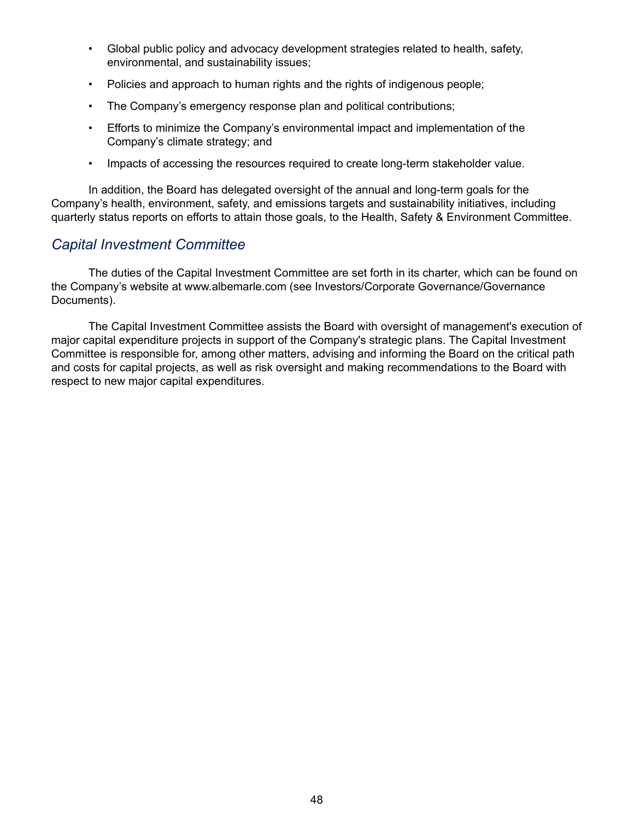- Global public policy and advocacy development strategies related to health, safety, environmental, and sustainability issues;
- Policies and approach to human rights and the rights of indigenous people;
- The Company's emergency response plan and political contributions;
- Efforts to minimize the Company's environmental impact and implementation of the Company's climate strategy; and
- Impacts of accessing the resources required to create long-term stakeholder value.

In addition, the Board has delegated oversight of the annual and long-term goals for the Company's health, environment, safety, and emissions targets and sustainability initiatives, including quarterly status reports on efforts to attain those goals, to the Health, Safety & Environment Committee.

## *Capital Investment Committee*

The duties of the Capital Investment Committee are set forth in its charter, which can be found on the Company's website at www.albemarle.com (see Investors/Corporate Governance/Governance Documents).

The Capital Investment Committee assists the Board with oversight of management's execution of major capital expenditure projects in support of the Company's strategic plans. The Capital Investment Committee is responsible for, among other matters, advising and informing the Board on the critical path and costs for capital projects, as well as risk oversight and making recommendations to the Board with respect to new major capital expenditures.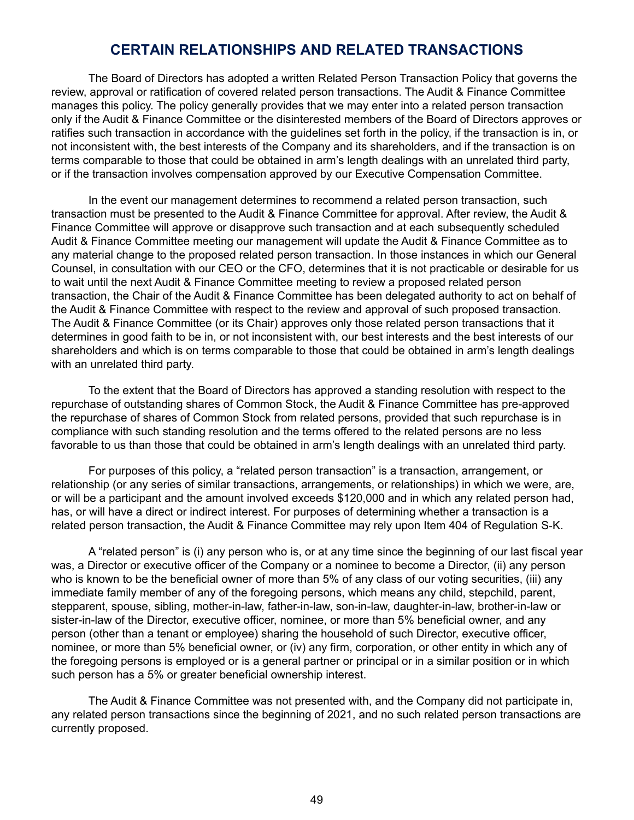## **CERTAIN RELATIONSHIPS AND RELATED TRANSACTIONS**

The Board of Directors has adopted a written Related Person Transaction Policy that governs the review, approval or ratification of covered related person transactions. The Audit & Finance Committee manages this policy. The policy generally provides that we may enter into a related person transaction only if the Audit & Finance Committee or the disinterested members of the Board of Directors approves or ratifies such transaction in accordance with the guidelines set forth in the policy, if the transaction is in, or not inconsistent with, the best interests of the Company and its shareholders, and if the transaction is on terms comparable to those that could be obtained in arm's length dealings with an unrelated third party, or if the transaction involves compensation approved by our Executive Compensation Committee.

In the event our management determines to recommend a related person transaction, such transaction must be presented to the Audit & Finance Committee for approval. After review, the Audit & Finance Committee will approve or disapprove such transaction and at each subsequently scheduled Audit & Finance Committee meeting our management will update the Audit & Finance Committee as to any material change to the proposed related person transaction. In those instances in which our General Counsel, in consultation with our CEO or the CFO, determines that it is not practicable or desirable for us to wait until the next Audit & Finance Committee meeting to review a proposed related person transaction, the Chair of the Audit & Finance Committee has been delegated authority to act on behalf of the Audit & Finance Committee with respect to the review and approval of such proposed transaction. The Audit & Finance Committee (or its Chair) approves only those related person transactions that it determines in good faith to be in, or not inconsistent with, our best interests and the best interests of our shareholders and which is on terms comparable to those that could be obtained in arm's length dealings with an unrelated third party.

To the extent that the Board of Directors has approved a standing resolution with respect to the repurchase of outstanding shares of Common Stock, the Audit & Finance Committee has pre-approved the repurchase of shares of Common Stock from related persons, provided that such repurchase is in compliance with such standing resolution and the terms offered to the related persons are no less favorable to us than those that could be obtained in arm's length dealings with an unrelated third party.

For purposes of this policy, a "related person transaction" is a transaction, arrangement, or relationship (or any series of similar transactions, arrangements, or relationships) in which we were, are, or will be a participant and the amount involved exceeds \$120,000 and in which any related person had, has, or will have a direct or indirect interest. For purposes of determining whether a transaction is a related person transaction, the Audit & Finance Committee may rely upon Item 404 of Regulation S‑K.

A "related person" is (i) any person who is, or at any time since the beginning of our last fiscal year was, a Director or executive officer of the Company or a nominee to become a Director, (ii) any person who is known to be the beneficial owner of more than 5% of any class of our voting securities, (iii) any immediate family member of any of the foregoing persons, which means any child, stepchild, parent, stepparent, spouse, sibling, mother-in-law, father-in-law, son-in-law, daughter-in-law, brother-in-law or sister-in-law of the Director, executive officer, nominee, or more than 5% beneficial owner, and any person (other than a tenant or employee) sharing the household of such Director, executive officer, nominee, or more than 5% beneficial owner, or (iv) any firm, corporation, or other entity in which any of the foregoing persons is employed or is a general partner or principal or in a similar position or in which such person has a 5% or greater beneficial ownership interest.

The Audit & Finance Committee was not presented with, and the Company did not participate in, any related person transactions since the beginning of 2021, and no such related person transactions are currently proposed.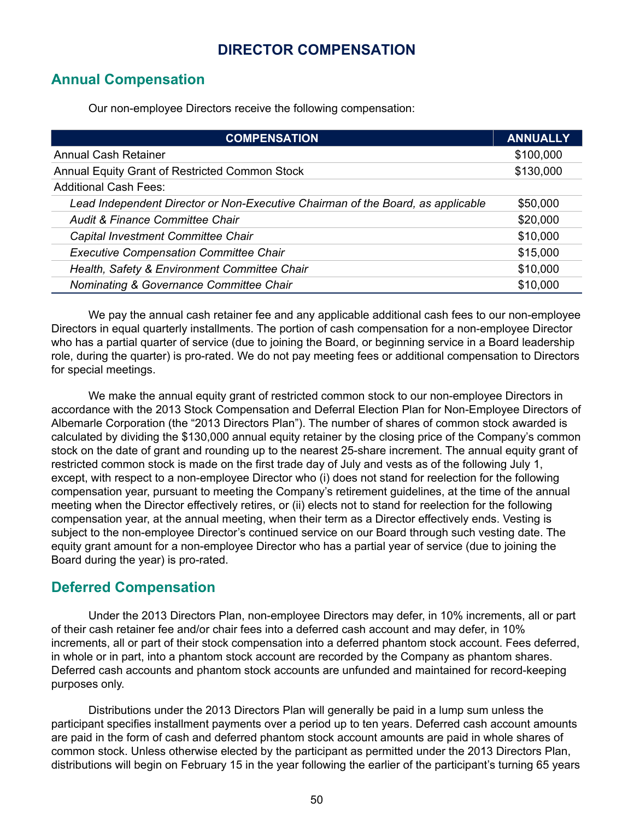## **DIRECTOR COMPENSATION**

## **Annual Compensation**

Our non-employee Directors receive the following compensation:

| <b>COMPENSATION</b>                                                             | <b>ANNUALLY</b> |
|---------------------------------------------------------------------------------|-----------------|
| <b>Annual Cash Retainer</b>                                                     | \$100,000       |
| Annual Equity Grant of Restricted Common Stock                                  | \$130,000       |
| <b>Additional Cash Fees:</b>                                                    |                 |
| Lead Independent Director or Non-Executive Chairman of the Board, as applicable | \$50,000        |
| Audit & Finance Committee Chair                                                 | \$20,000        |
| Capital Investment Committee Chair                                              | \$10,000        |
| <b>Executive Compensation Committee Chair</b>                                   | \$15,000        |
| Health, Safety & Environment Committee Chair                                    | \$10,000        |
| Nominating & Governance Committee Chair                                         | \$10,000        |

We pay the annual cash retainer fee and any applicable additional cash fees to our non-employee Directors in equal quarterly installments. The portion of cash compensation for a non-employee Director who has a partial quarter of service (due to joining the Board, or beginning service in a Board leadership role, during the quarter) is pro-rated. We do not pay meeting fees or additional compensation to Directors for special meetings.

We make the annual equity grant of restricted common stock to our non-employee Directors in accordance with the 2013 Stock Compensation and Deferral Election Plan for Non-Employee Directors of Albemarle Corporation (the "2013 Directors Plan"). The number of shares of common stock awarded is calculated by dividing the \$130,000 annual equity retainer by the closing price of the Company's common stock on the date of grant and rounding up to the nearest 25-share increment. The annual equity grant of restricted common stock is made on the first trade day of July and vests as of the following July 1, except, with respect to a non-employee Director who (i) does not stand for reelection for the following compensation year, pursuant to meeting the Company's retirement guidelines, at the time of the annual meeting when the Director effectively retires, or (ii) elects not to stand for reelection for the following compensation year, at the annual meeting, when their term as a Director effectively ends. Vesting is subject to the non-employee Director's continued service on our Board through such vesting date. The equity grant amount for a non-employee Director who has a partial year of service (due to joining the Board during the year) is pro-rated.

## **Deferred Compensation**

Under the 2013 Directors Plan, non-employee Directors may defer, in 10% increments, all or part of their cash retainer fee and/or chair fees into a deferred cash account and may defer, in 10% increments, all or part of their stock compensation into a deferred phantom stock account. Fees deferred, in whole or in part, into a phantom stock account are recorded by the Company as phantom shares. Deferred cash accounts and phantom stock accounts are unfunded and maintained for record-keeping purposes only.

Distributions under the 2013 Directors Plan will generally be paid in a lump sum unless the participant specifies installment payments over a period up to ten years. Deferred cash account amounts are paid in the form of cash and deferred phantom stock account amounts are paid in whole shares of common stock. Unless otherwise elected by the participant as permitted under the 2013 Directors Plan, distributions will begin on February 15 in the year following the earlier of the participant's turning 65 years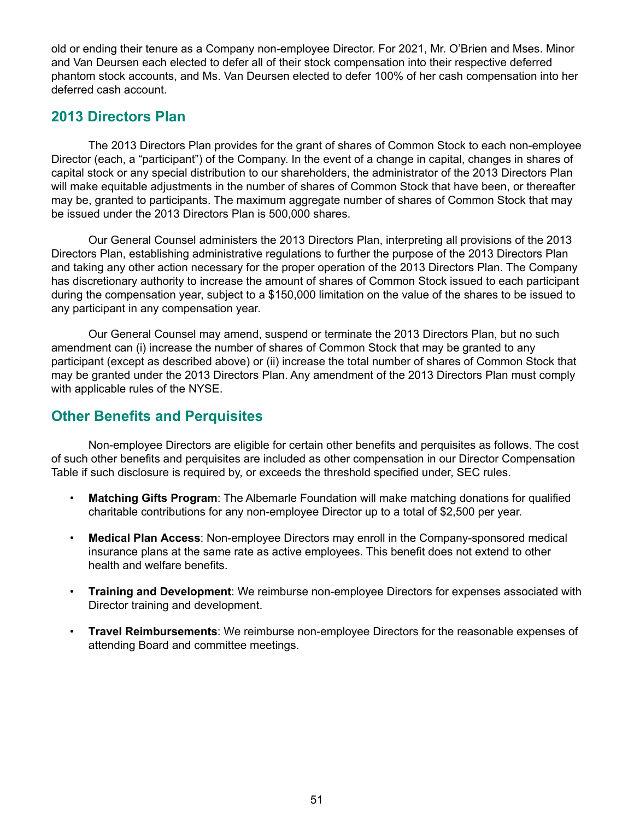old or ending their tenure as a Company non-employee Director. For 2021, Mr. O'Brien and Mses. Minor and Van Deursen each elected to defer all of their stock compensation into their respective deferred phantom stock accounts, and Ms. Van Deursen elected to defer 100% of her cash compensation into her deferred cash account.

## **2013 Directors Plan**

The 2013 Directors Plan provides for the grant of shares of Common Stock to each non-employee Director (each, a "participant") of the Company. In the event of a change in capital, changes in shares of capital stock or any special distribution to our shareholders, the administrator of the 2013 Directors Plan will make equitable adjustments in the number of shares of Common Stock that have been, or thereafter may be, granted to participants. The maximum aggregate number of shares of Common Stock that may be issued under the 2013 Directors Plan is 500,000 shares.

Our General Counsel administers the 2013 Directors Plan, interpreting all provisions of the 2013 Directors Plan, establishing administrative regulations to further the purpose of the 2013 Directors Plan and taking any other action necessary for the proper operation of the 2013 Directors Plan. The Company has discretionary authority to increase the amount of shares of Common Stock issued to each participant during the compensation year, subject to a \$150,000 limitation on the value of the shares to be issued to any participant in any compensation year.

Our General Counsel may amend, suspend or terminate the 2013 Directors Plan, but no such amendment can (i) increase the number of shares of Common Stock that may be granted to any participant (except as described above) or (ii) increase the total number of shares of Common Stock that may be granted under the 2013 Directors Plan. Any amendment of the 2013 Directors Plan must comply with applicable rules of the NYSE.

# **Other Benefits and Perquisites**

Non-employee Directors are eligible for certain other benefits and perquisites as follows. The cost of such other benefits and perquisites are included as other compensation in our Director Compensation Table if such disclosure is required by, or exceeds the threshold specified under, SEC rules.

- **Matching Gifts Program**: The Albemarle Foundation will make matching donations for qualified charitable contributions for any non-employee Director up to a total of \$2,500 per year.
- **Medical Plan Access**: Non-employee Directors may enroll in the Company-sponsored medical insurance plans at the same rate as active employees. This benefit does not extend to other health and welfare benefits.
- **Training and Development**: We reimburse non-employee Directors for expenses associated with Director training and development.
- **Travel Reimbursements**: We reimburse non-employee Directors for the reasonable expenses of attending Board and committee meetings.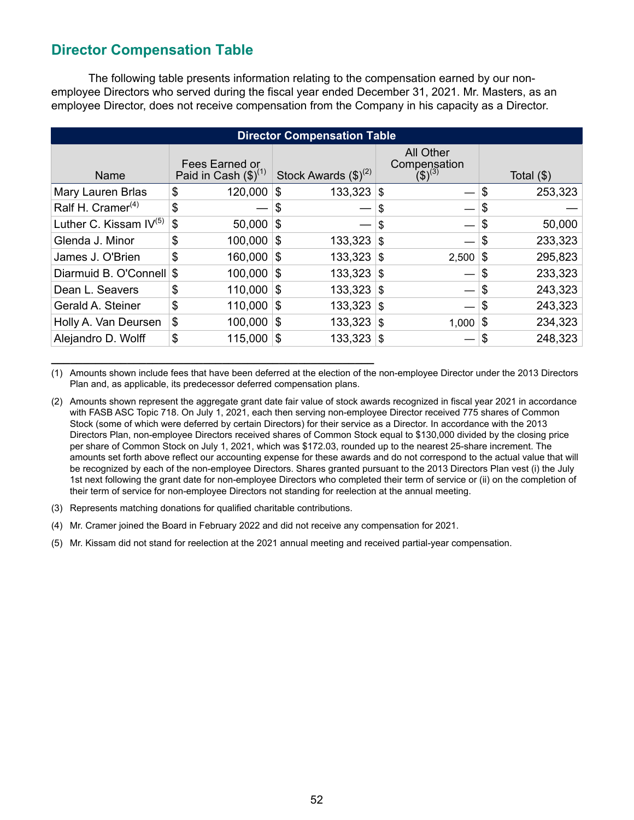# **Director Compensation Table**

The following table presents information relating to the compensation earned by our nonemployee Directors who served during the fiscal year ended December 31, 2021. Mr. Masters, as an employee Director, does not receive compensation from the Company in his capacity as a Director.

| <b>Director Compensation Table</b> |                                             |                                   |                                          |                 |  |  |  |  |  |
|------------------------------------|---------------------------------------------|-----------------------------------|------------------------------------------|-----------------|--|--|--|--|--|
| Name                               | Fees Earned or<br>Paid in Cash $(\$)^{(1)}$ | Stock Awards $(\text{$\$})^{(2)}$ | All Other<br>Compensation<br>$(5)^{(3)}$ | Total $($ math) |  |  |  |  |  |
| Mary Lauren Brlas                  | \$<br>120,000                               | \$<br>133,323                     | $\mathbb{S}$                             | \$<br>253,323   |  |  |  |  |  |
| Ralf H. Cramer <sup>(4)</sup>      | \$                                          | \$                                | \$                                       | \$              |  |  |  |  |  |
| Luther C. Kissam $IV^{(5)}$        | \$<br>50,000                                | \$                                | \$                                       | \$<br>50,000    |  |  |  |  |  |
| Glenda J. Minor                    | \$<br>100,000                               | \$<br>133,323                     | -\$                                      | \$<br>233,323   |  |  |  |  |  |
| James J. O'Brien                   | \$<br>160,000                               | $133,323$ \$<br>8                 | 2,500                                    | 295,823<br>\$   |  |  |  |  |  |
| Diarmuid B. O'Connell \$           | 100,000                                     | \$<br>133,323                     | ا \$                                     | \$<br>233,323   |  |  |  |  |  |
| Dean L. Seavers                    | \$<br>110,000                               | \$<br>133,323                     | -\$                                      | \$<br>243,323   |  |  |  |  |  |
| Gerald A. Steiner                  | \$<br>110,000                               | 133,323<br>\$                     | ا \$                                     | \$<br>243,323   |  |  |  |  |  |
| Holly A. Van Deursen               | \$<br>100,000                               | 8<br>133,323                      | 8<br>1,000                               | 234,323<br>∣\$  |  |  |  |  |  |
| Alejandro D. Wolff                 | \$<br>115,000                               | 133,323<br>\$                     | 8                                        | 248,323<br>\$   |  |  |  |  |  |

(1) Amounts shown include fees that have been deferred at the election of the non-employee Director under the 2013 Directors Plan and, as applicable, its predecessor deferred compensation plans.

(2) Amounts shown represent the aggregate grant date fair value of stock awards recognized in fiscal year 2021 in accordance with FASB ASC Topic 718. On July 1, 2021, each then serving non-employee Director received 775 shares of Common Stock (some of which were deferred by certain Directors) for their service as a Director. In accordance with the 2013 Directors Plan, non-employee Directors received shares of Common Stock equal to \$130,000 divided by the closing price per share of Common Stock on July 1, 2021, which was \$172.03, rounded up to the nearest 25-share increment. The amounts set forth above reflect our accounting expense for these awards and do not correspond to the actual value that will be recognized by each of the non-employee Directors. Shares granted pursuant to the 2013 Directors Plan vest (i) the July 1st next following the grant date for non-employee Directors who completed their term of service or (ii) on the completion of their term of service for non-employee Directors not standing for reelection at the annual meeting.

(3) Represents matching donations for qualified charitable contributions.

**\_\_\_\_\_\_\_\_\_\_\_\_\_\_\_\_\_\_\_\_\_\_\_\_\_\_\_\_\_\_\_\_\_\_\_\_\_\_\_\_\_\_\_\_\_\_\_\_\_\_\_**

- (4) Mr. Cramer joined the Board in February 2022 and did not receive any compensation for 2021.
- (5) Mr. Kissam did not stand for reelection at the 2021 annual meeting and received partial-year compensation.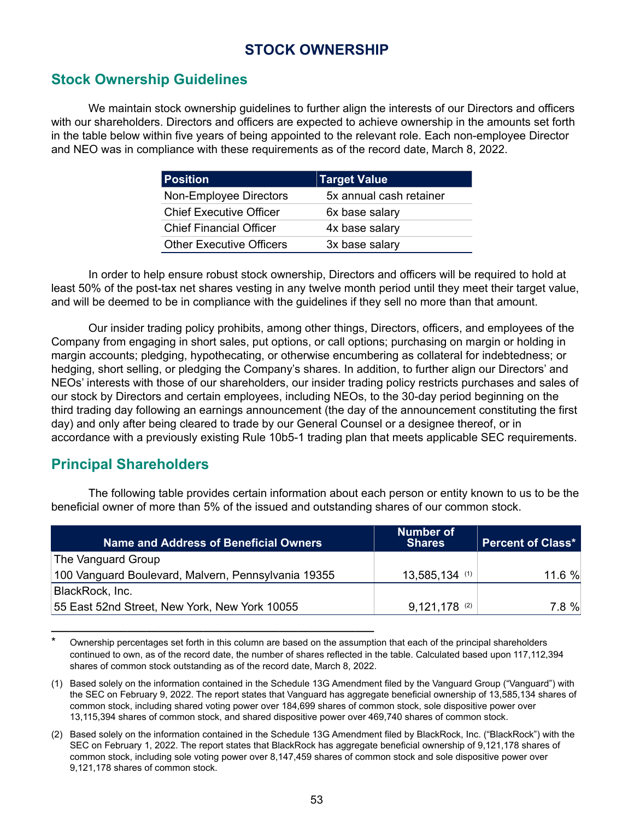# **STOCK OWNERSHIP**

# **Stock Ownership Guidelines**

We maintain stock ownership guidelines to further align the interests of our Directors and officers with our shareholders. Directors and officers are expected to achieve ownership in the amounts set forth in the table below within five years of being appointed to the relevant role. Each non-employee Director and NEO was in compliance with these requirements as of the record date, March 8, 2022.

| <b>Position</b>                 | <b>Target Value</b>     |
|---------------------------------|-------------------------|
| Non-Employee Directors          | 5x annual cash retainer |
| <b>Chief Executive Officer</b>  | 6x base salary          |
| <b>Chief Financial Officer</b>  | 4x base salary          |
| <b>Other Executive Officers</b> | 3x base salary          |

In order to help ensure robust stock ownership, Directors and officers will be required to hold at least 50% of the post-tax net shares vesting in any twelve month period until they meet their target value, and will be deemed to be in compliance with the guidelines if they sell no more than that amount.

Our insider trading policy prohibits, among other things, Directors, officers, and employees of the Company from engaging in short sales, put options, or call options; purchasing on margin or holding in margin accounts; pledging, hypothecating, or otherwise encumbering as collateral for indebtedness; or hedging, short selling, or pledging the Company's shares. In addition, to further align our Directors' and NEOs' interests with those of our shareholders, our insider trading policy restricts purchases and sales of our stock by Directors and certain employees, including NEOs, to the 30-day period beginning on the third trading day following an earnings announcement (the day of the announcement constituting the first day) and only after being cleared to trade by our General Counsel or a designee thereof, or in accordance with a previously existing Rule 10b5-1 trading plan that meets applicable SEC requirements.

# **Principal Shareholders**

The following table provides certain information about each person or entity known to us to be the beneficial owner of more than 5% of the issued and outstanding shares of our common stock.

| Name and Address of Beneficial Owners               | <b>Number of</b><br><b>Shares</b> | <b>Percent of Class*</b> |
|-----------------------------------------------------|-----------------------------------|--------------------------|
| The Vanguard Group                                  |                                   |                          |
| 100 Vanguard Boulevard, Malvern, Pennsylvania 19355 | $13,585,134$ (1)                  | 11.6 %                   |
| BlackRock, Inc.                                     |                                   |                          |
| 55 East 52nd Street, New York, New York 10055       | $9,121,178$ (2)                   | 7.8%                     |

Ownership percentages set forth in this column are based on the assumption that each of the principal shareholders continued to own, as of the record date, the number of shares reflected in the table. Calculated based upon 117,112,394 shares of common stock outstanding as of the record date, March 8, 2022.

**\_\_\_\_\_\_\_\_\_\_\_\_\_\_\_\_\_\_\_\_\_\_\_\_\_\_\_\_\_\_\_\_\_\_\_\_\_\_\_\_\_\_\_\_\_\_\_\_\_\_\_**

(1) Based solely on the information contained in the Schedule 13G Amendment filed by the Vanguard Group ("Vanguard") with the SEC on February 9, 2022. The report states that Vanguard has aggregate beneficial ownership of 13,585,134 shares of common stock, including shared voting power over 184,699 shares of common stock, sole dispositive power over 13,115,394 shares of common stock, and shared dispositive power over 469,740 shares of common stock.

(2) Based solely on the information contained in the Schedule 13G Amendment filed by BlackRock, Inc. ("BlackRock") with the SEC on February 1, 2022. The report states that BlackRock has aggregate beneficial ownership of 9,121,178 shares of common stock, including sole voting power over 8,147,459 shares of common stock and sole dispositive power over 9,121,178 shares of common stock.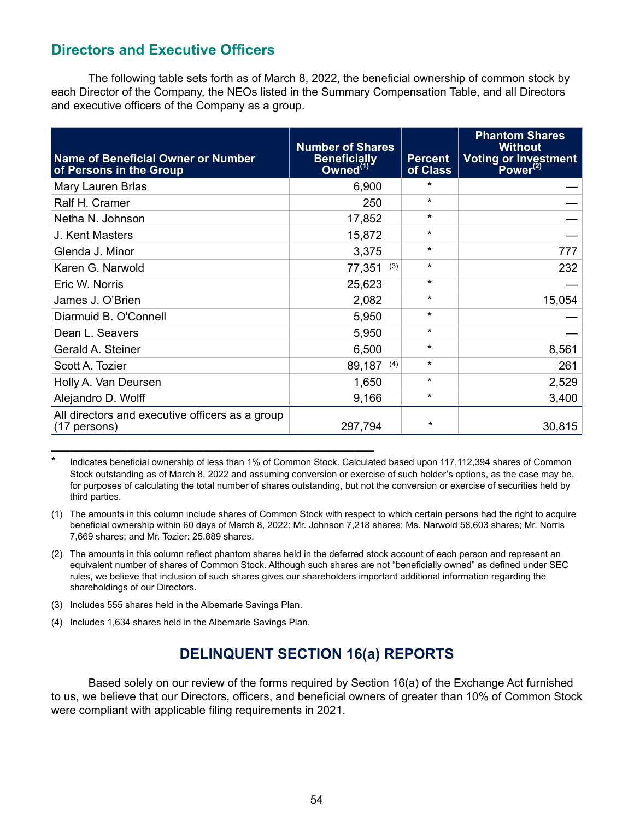# **Directors and Executive Officers**

The following table sets forth as of March 8, 2022, the beneficial ownership of common stock by each Director of the Company, the NEOs listed in the Summary Compensation Table, and all Directors and executive officers of the Company as a group.

| <b>Name of Beneficial Owner or Number</b><br>of Persons in the Group | <b>Number of Shares</b><br><b>Beneficially</b><br>Owned <sup>(1)</sup> | <b>Percent</b><br>of Class | <b>Phantom Shares</b><br><b>Without</b><br>Voting or Investment<br>Power <sup>(2)</sup> |
|----------------------------------------------------------------------|------------------------------------------------------------------------|----------------------------|-----------------------------------------------------------------------------------------|
| Mary Lauren Brlas                                                    | 6,900                                                                  | $\star$                    |                                                                                         |
| Ralf H. Cramer                                                       | 250                                                                    | $\star$                    |                                                                                         |
| Netha N. Johnson                                                     | 17,852                                                                 | $\star$                    |                                                                                         |
| J. Kent Masters                                                      | 15,872                                                                 | $\star$                    |                                                                                         |
| Glenda J. Minor                                                      | 3,375                                                                  | $\star$                    | 777                                                                                     |
| Karen G. Narwold                                                     | 77,351<br>(3)                                                          | $\star$                    | 232                                                                                     |
| Eric W. Norris                                                       | 25,623                                                                 | $\star$                    |                                                                                         |
| James J. O'Brien                                                     | 2,082                                                                  | $\star$                    | 15,054                                                                                  |
| Diarmuid B. O'Connell                                                | 5,950                                                                  | $\star$                    |                                                                                         |
| Dean L. Seavers                                                      | 5,950                                                                  | $\star$                    |                                                                                         |
| Gerald A. Steiner                                                    | 6,500                                                                  | $\star$                    | 8,561                                                                                   |
| Scott A. Tozier                                                      | 89,187<br>(4)                                                          | $\star$                    | 261                                                                                     |
| Holly A. Van Deursen                                                 | 1,650                                                                  | $\star$                    | 2,529                                                                                   |
| Alejandro D. Wolff                                                   | 9,166                                                                  | $\star$                    | 3,400                                                                                   |
| All directors and executive officers as a group<br>(17 persons)      | 297,794                                                                | $\star$                    | 30,815                                                                                  |

Indicates beneficial ownership of less than 1% of Common Stock. Calculated based upon 117,112,394 shares of Common Stock outstanding as of March 8, 2022 and assuming conversion or exercise of such holder's options, as the case may be, for purposes of calculating the total number of shares outstanding, but not the conversion or exercise of securities held by third parties.

- (1) The amounts in this column include shares of Common Stock with respect to which certain persons had the right to acquire beneficial ownership within 60 days of March 8, 2022: Mr. Johnson 7,218 shares; Ms. Narwold 58,603 shares; Mr. Norris 7,669 shares; and Mr. Tozier: 25,889 shares.
- (2) The amounts in this column reflect phantom shares held in the deferred stock account of each person and represent an equivalent number of shares of Common Stock. Although such shares are not "beneficially owned" as defined under SEC rules, we believe that inclusion of such shares gives our shareholders important additional information regarding the shareholdings of our Directors.
- (3) Includes 555 shares held in the Albemarle Savings Plan.
- (4) Includes 1,634 shares held in the Albemarle Savings Plan.

**\_\_\_\_\_\_\_\_\_\_\_\_\_\_\_\_\_\_\_\_\_\_\_\_\_\_\_\_\_\_\_\_\_\_\_\_\_\_\_\_\_\_\_\_\_\_\_\_\_\_\_**

# **DELINQUENT SECTION 16(a) REPORTS**

Based solely on our review of the forms required by Section 16(a) of the Exchange Act furnished to us, we believe that our Directors, officers, and beneficial owners of greater than 10% of Common Stock were compliant with applicable filing requirements in 2021.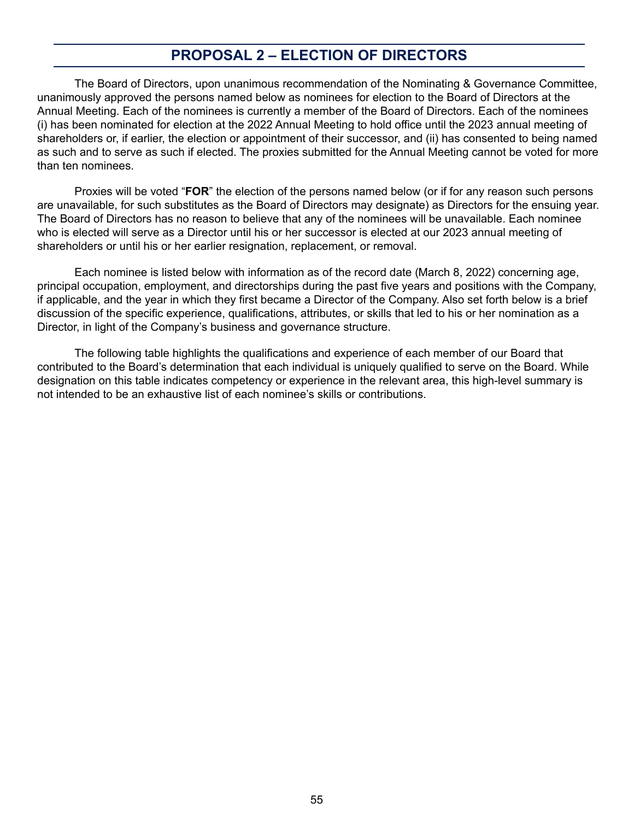# **PROPOSAL 2 – ELECTION OF DIRECTORS**

The Board of Directors, upon unanimous recommendation of the Nominating & Governance Committee, unanimously approved the persons named below as nominees for election to the Board of Directors at the Annual Meeting. Each of the nominees is currently a member of the Board of Directors. Each of the nominees (i) has been nominated for election at the 2022 Annual Meeting to hold office until the 2023 annual meeting of shareholders or, if earlier, the election or appointment of their successor, and (ii) has consented to being named as such and to serve as such if elected. The proxies submitted for the Annual Meeting cannot be voted for more than ten nominees.

Proxies will be voted "**FOR**" the election of the persons named below (or if for any reason such persons are unavailable, for such substitutes as the Board of Directors may designate) as Directors for the ensuing year. The Board of Directors has no reason to believe that any of the nominees will be unavailable. Each nominee who is elected will serve as a Director until his or her successor is elected at our 2023 annual meeting of shareholders or until his or her earlier resignation, replacement, or removal.

Each nominee is listed below with information as of the record date (March 8, 2022) concerning age, principal occupation, employment, and directorships during the past five years and positions with the Company, if applicable, and the year in which they first became a Director of the Company. Also set forth below is a brief discussion of the specific experience, qualifications, attributes, or skills that led to his or her nomination as a Director, in light of the Company's business and governance structure.

The following table highlights the qualifications and experience of each member of our Board that contributed to the Board's determination that each individual is uniquely qualified to serve on the Board. While designation on this table indicates competency or experience in the relevant area, this high-level summary is not intended to be an exhaustive list of each nominee's skills or contributions.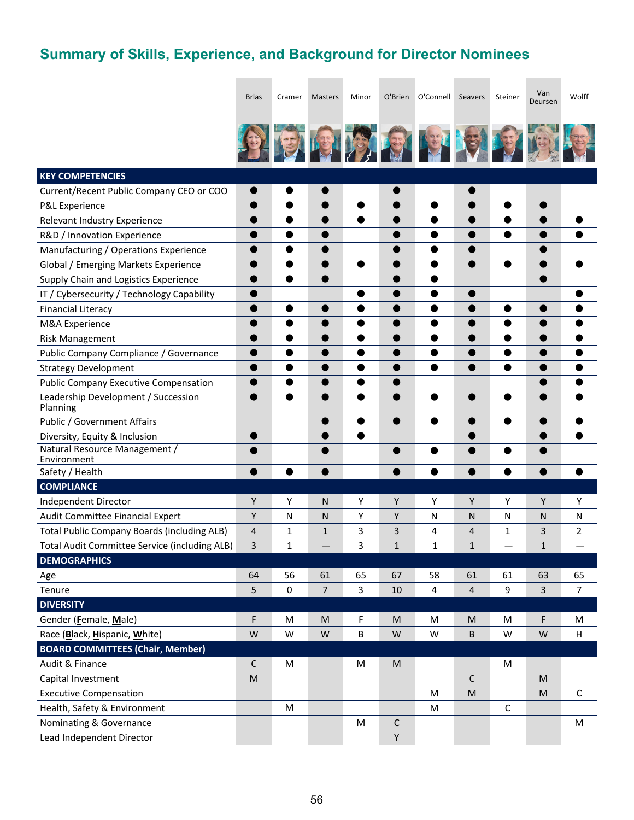# **Summary of Skills, Experience, and Background for Director Nominees**

|                                                      | <b>Brlas</b> | Cramer       | Masters        | Minor     | O'Brien      | O'Connell      | Seavers        | Steiner     | Van<br>Deursen | Wolff          |
|------------------------------------------------------|--------------|--------------|----------------|-----------|--------------|----------------|----------------|-------------|----------------|----------------|
|                                                      |              |              |                |           |              |                |                |             |                |                |
|                                                      |              |              |                |           |              |                |                |             |                |                |
|                                                      |              |              |                |           | 第1313434     |                |                |             |                |                |
|                                                      |              |              |                |           |              |                |                |             |                |                |
| <b>KEY COMPETENCIES</b>                              |              |              |                |           |              |                |                |             |                |                |
| Current/Recent Public Company CEO or COO             | ●            |              |                |           | C            |                |                |             |                |                |
| P&L Experience                                       | 0            | ●            | $\blacksquare$ | $\bullet$ |              | $\bullet$      |                | ●           |                |                |
| Relevant Industry Experience                         |              | ●            | $\bullet$      | $\bullet$ |              |                |                |             |                |                |
| R&D / Innovation Experience                          |              |              | O              |           |              | ●              |                | ●           |                |                |
| Manufacturing / Operations Experience                | 0            |              | O              |           |              | 0              |                |             |                |                |
| Global / Emerging Markets Experience                 |              |              |                |           |              |                |                |             |                |                |
| Supply Chain and Logistics Experience                | 0            |              | $\bullet$      |           |              | 0              |                |             |                |                |
| IT / Cybersecurity / Technology Capability           | ●            |              |                | ●         |              | ●              |                |             |                |                |
| <b>Financial Literacy</b>                            |              | ●            | O              |           |              | e              |                | 0           |                |                |
| M&A Experience                                       |              |              | 0              | 0         | o            | 0              |                | 0           |                |                |
| <b>Risk Management</b>                               |              |              |                | ●         |              |                |                |             |                |                |
| Public Company Compliance / Governance               | 0            |              | O              | 0         | Œ            | ●              |                | ●           |                |                |
| <b>Strategy Development</b>                          | ●            | ●            | 0              | ●         | ●            | $\bullet$      | $\bullet$      | $\bullet$   | ●              | ●              |
| <b>Public Company Executive Compensation</b>         |              |              |                | C         |              |                |                |             |                |                |
| Leadership Development / Succession<br>Planning      | ●            |              |                | ●         |              | ●              |                | O           |                |                |
| Public / Government Affairs                          |              |              | O              | $\bullet$ | $\bullet$    | $\bullet$      |                | $\bullet$   |                |                |
| Diversity, Equity & Inclusion                        | $\bullet$    |              | ●              | ●         |              |                |                |             |                | 0              |
| Natural Resource Management /                        |              |              |                |           |              |                |                |             |                |                |
| Environment<br>Safety / Health                       | $\bullet$    | $\bullet$    | $\bullet$      |           | $\bullet$    | $\bullet$      | $\bullet$      | $\bullet$   | $\bullet$      | $\bullet$      |
| <b>COMPLIANCE</b>                                    |              |              |                |           |              |                |                |             |                |                |
| Independent Director                                 | Υ            | Υ            | N              | Υ         | Υ            | Υ              | Υ              | Υ           | Υ              | Υ              |
| Audit Committee Financial Expert                     | Y            | $\mathsf{N}$ | N              | Υ         | Υ            | ${\sf N}$      | ${\sf N}$      | N           | N              | N              |
| <b>Total Public Company Boards (including ALB)</b>   | 4            | 1            | $\mathbf 1$    | 3         | $\mathsf 3$  | 4              | 4              | 1           | 3              | 2              |
| <b>Total Audit Committee Service (including ALB)</b> | 3            | 1            |                | 3         | $\mathbf{1}$ | 1              | $\mathbf{1}$   |             | $\mathbf{1}$   |                |
| <b>DEMOGRAPHICS</b>                                  |              |              |                |           |              |                |                |             |                |                |
| Age                                                  | 64           | 56           | 61             | 65        | 67           | 58             | 61             | 61          | 63             | 65             |
| Tenure                                               | 5            | $\mathbf 0$  | $\overline{7}$ | 3         | 10           | $\overline{4}$ | $\overline{4}$ | 9           | 3              | $\overline{7}$ |
| <b>DIVERSITY</b>                                     |              |              |                |           |              |                |                |             |                |                |
| Gender (Female, Male)                                | F            | M            | M              | F         | M            | M              | M              | M           | F              | M              |
| Race (Black, Hispanic, White)                        | W            | W            | W              | B         | W            | W              | $\sf B$        | W           | W              | H              |
| <b>BOARD COMMITTEES (Chair, Member)</b>              |              |              |                |           |              |                |                |             |                |                |
| Audit & Finance                                      | С            | M            |                | M         | ${\sf M}$    |                |                | M           |                |                |
| Capital Investment                                   | M            |              |                |           |              |                | C              |             | M              |                |
| <b>Executive Compensation</b>                        |              |              |                |           |              | M              | M              |             | ${\sf M}$      | $\mathsf C$    |
| Health, Safety & Environment                         |              | M            |                |           |              | M              |                | $\mathsf C$ |                |                |
| Nominating & Governance                              |              |              |                | M         | $\mathsf C$  |                |                |             |                | M              |
| Lead Independent Director                            |              |              |                |           | Υ            |                |                |             |                |                |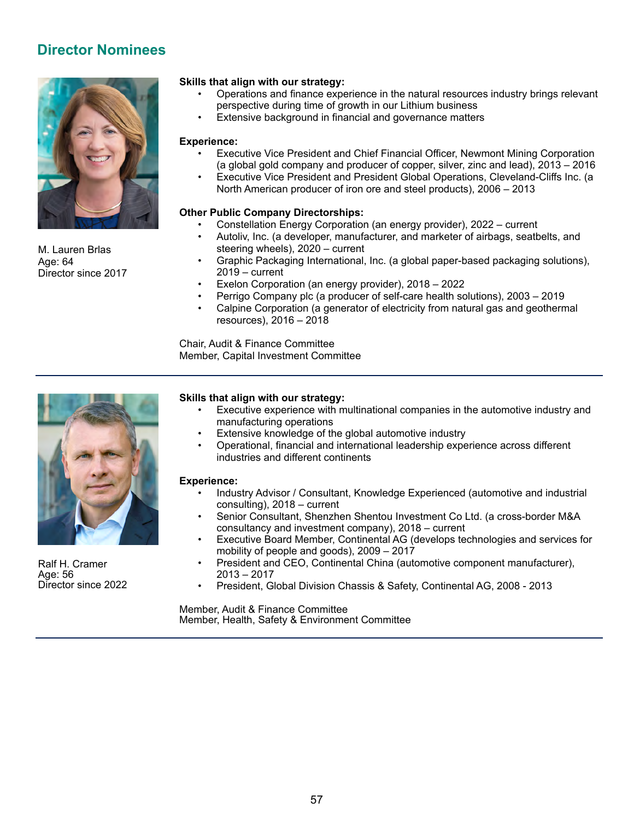# **Director Nominees**



M. Lauren Brlas Age: 64 Director since 2017

#### **Skills that align with our strategy:**

- Operations and finance experience in the natural resources industry brings relevant perspective during time of growth in our Lithium business
- Extensive background in financial and governance matters

#### **Experience:**

- Executive Vice President and Chief Financial Officer, Newmont Mining Corporation (a global gold company and producer of copper, silver, zinc and lead), 2013 – 2016
- Executive Vice President and President Global Operations, Cleveland-Cliffs Inc. (a North American producer of iron ore and steel products), 2006 – 2013

#### **Other Public Company Directorships:**

- Constellation Energy Corporation (an energy provider), 2022 current
- Autoliv, Inc. (a developer, manufacturer, and marketer of airbags, seatbelts, and steering wheels), 2020 – current
- Graphic Packaging International, Inc. (a global paper-based packaging solutions), 2019 – current
- Exelon Corporation (an energy provider), 2018 2022
- Perrigo Company plc (a producer of self-care health solutions), 2003 2019
- Calpine Corporation (a generator of electricity from natural gas and geothermal resources), 2016 – 2018

Chair, Audit & Finance Committee Member, Capital Investment Committee



Ralf H. Cramer Age: 56 Director since 2022

#### **Skills that align with our strategy:**

- Executive experience with multinational companies in the automotive industry and manufacturing operations
- Extensive knowledge of the global automotive industry
- Operational, financial and international leadership experience across different industries and different continents

#### **Experience:**

- Industry Advisor / Consultant, Knowledge Experienced (automotive and industrial consulting), 2018 – current
- Senior Consultant, Shenzhen Shentou Investment Co Ltd. (a cross-border M&A consultancy and investment company), 2018 – current
- Executive Board Member, Continental AG (develops technologies and services for mobility of people and goods), 2009 – 2017
- President and CEO, Continental China (automotive component manufacturer), 2013 – 2017
- President, Global Division Chassis & Safety, Continental AG, 2008 2013

Member, Audit & Finance Committee Member, Health, Safety & Environment Committee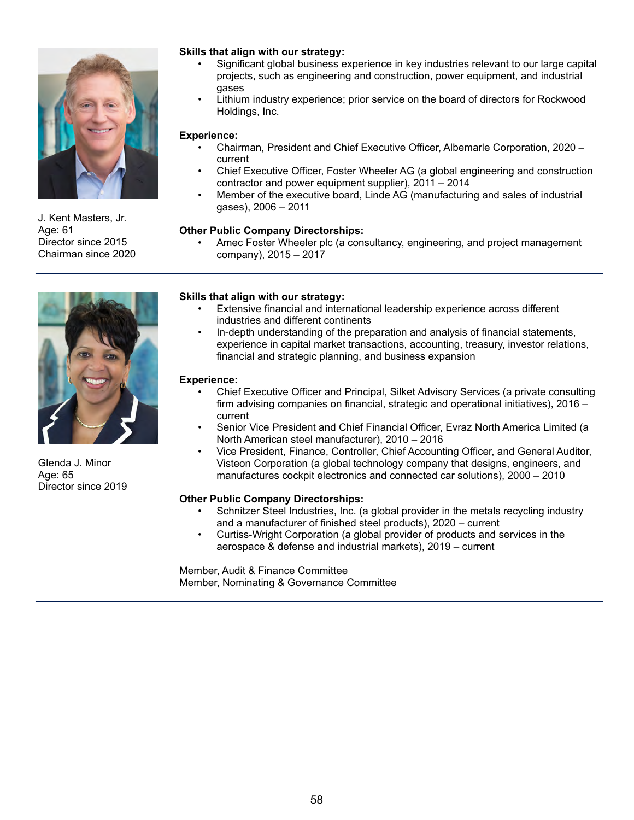

J. Kent Masters, Jr. Age: 61 Director since 2015 Chairman since 2020

### **Skills that align with our strategy:**

- Significant global business experience in key industries relevant to our large capital projects, such as engineering and construction, power equipment, and industrial gases
- Lithium industry experience; prior service on the board of directors for Rockwood Holdings, Inc.

#### **Experience:**

- Chairman, President and Chief Executive Officer, Albemarle Corporation, 2020 current
- Chief Executive Officer, Foster Wheeler AG (a global engineering and construction contractor and power equipment supplier), 2011 – 2014
- Member of the executive board, Linde AG (manufacturing and sales of industrial gases), 2006 – 2011

#### **Other Public Company Directorships:**

• Amec Foster Wheeler plc (a consultancy, engineering, and project management company), 2015 – 2017



Glenda J. Minor Age: 65 Director since 2019

#### **Skills that align with our strategy:**

- Extensive financial and international leadership experience across different industries and different continents
- In-depth understanding of the preparation and analysis of financial statements, experience in capital market transactions, accounting, treasury, investor relations, financial and strategic planning, and business expansion

#### **Experience:**

- Chief Executive Officer and Principal, Silket Advisory Services (a private consulting firm advising companies on financial, strategic and operational initiatives), 2016 – current
- Senior Vice President and Chief Financial Officer, Evraz North America Limited (a North American steel manufacturer), 2010 – 2016
- Vice President, Finance, Controller, Chief Accounting Officer, and General Auditor, Visteon Corporation (a global technology company that designs, engineers, and manufactures cockpit electronics and connected car solutions), 2000 – 2010

### **Other Public Company Directorships:**

- Schnitzer Steel Industries, Inc. (a global provider in the metals recycling industry and a manufacturer of finished steel products), 2020 – current
- Curtiss-Wright Corporation (a global provider of products and services in the aerospace & defense and industrial markets), 2019 – current

Member, Audit & Finance Committee Member, Nominating & Governance Committee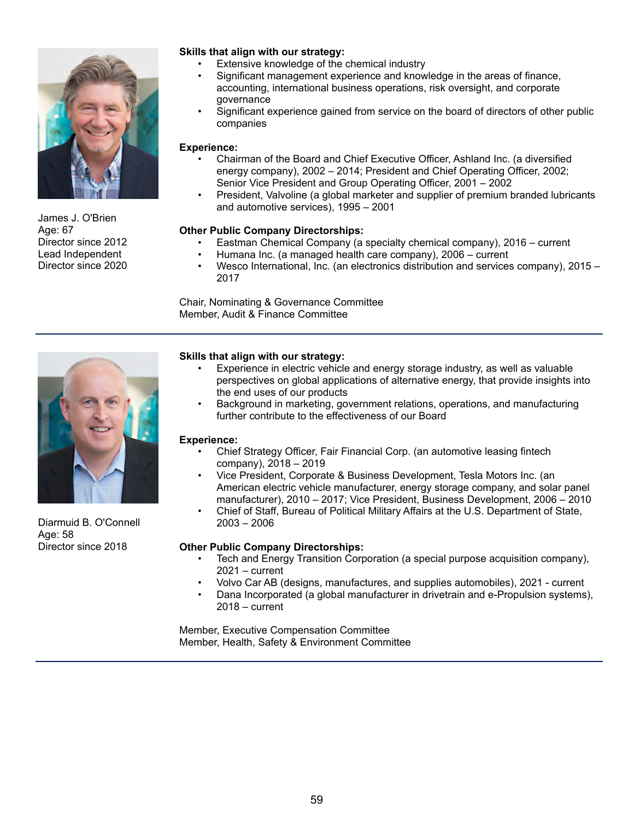

James J. O'Brien Age: 67 Director since 2012 Lead Independent Director since 2020

### **Skills that align with our strategy:**

- Extensive knowledge of the chemical industry
- Significant management experience and knowledge in the areas of finance, accounting, international business operations, risk oversight, and corporate governance
- Significant experience gained from service on the board of directors of other public companies

#### **Experience:**

- Chairman of the Board and Chief Executive Officer, Ashland Inc. (a diversified energy company), 2002 – 2014; President and Chief Operating Officer, 2002; Senior Vice President and Group Operating Officer, 2001 – 2002
- President, Valvoline (a global marketer and supplier of premium branded lubricants and automotive services), 1995 – 2001

#### **Other Public Company Directorships:**

- Eastman Chemical Company (a specialty chemical company), 2016 current
- Humana Inc. (a managed health care company), 2006 current
- Wesco International, Inc. (an electronics distribution and services company), 2015 2017

Chair, Nominating & Governance Committee Member, Audit & Finance Committee



Diarmuid B. O'Connell Age: 58 Director since 2018

#### **Skills that align with our strategy:**

- Experience in electric vehicle and energy storage industry, as well as valuable perspectives on global applications of alternative energy, that provide insights into the end uses of our products
- Background in marketing, government relations, operations, and manufacturing further contribute to the effectiveness of our Board

#### **Experience:**

- Chief Strategy Officer, Fair Financial Corp. (an automotive leasing fintech company), 2018 – 2019
- Vice President, Corporate & Business Development, Tesla Motors Inc. (an American electric vehicle manufacturer, energy storage company, and solar panel manufacturer), 2010 – 2017; Vice President, Business Development, 2006 – 2010
	- Chief of Staff, Bureau of Political Military Affairs at the U.S. Department of State, 2003 – 2006

#### **Other Public Company Directorships:**

- Tech and Energy Transition Corporation (a special purpose acquisition company), 2021 – current
- Volvo Car AB (designs, manufactures, and supplies automobiles), 2021 current
	- Dana Incorporated (a global manufacturer in drivetrain and e-Propulsion systems), 2018 – current

Member, Executive Compensation Committee Member, Health, Safety & Environment Committee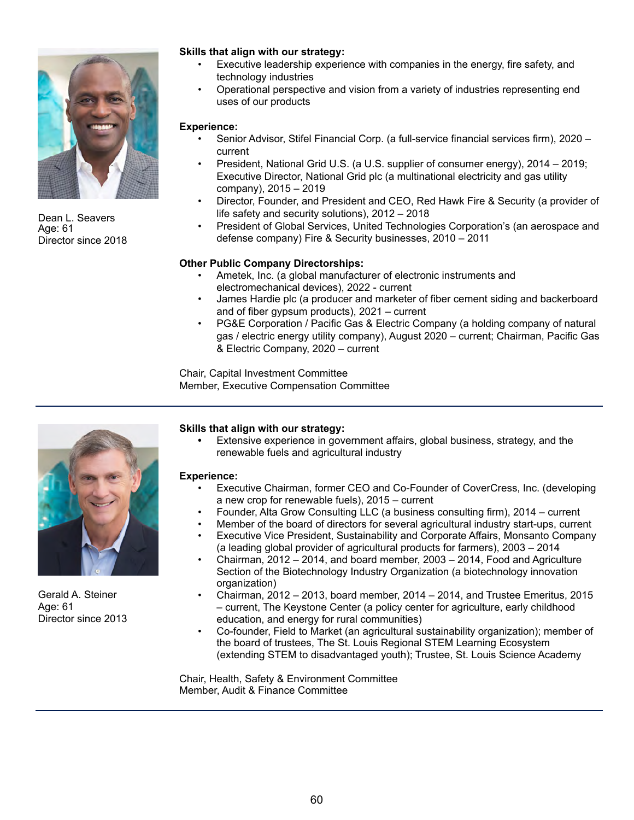

Dean L. Seavers Age: 61 Director since 2018

### **Skills that align with our strategy:**

- Executive leadership experience with companies in the energy, fire safety, and technology industries
- Operational perspective and vision from a variety of industries representing end uses of our products

#### **Experience:**

- Senior Advisor, Stifel Financial Corp. (a full-service financial services firm), 2020 current
- President, National Grid U.S. (a U.S. supplier of consumer energy), 2014 2019; Executive Director, National Grid plc (a multinational electricity and gas utility company), 2015 – 2019
- Director, Founder, and President and CEO, Red Hawk Fire & Security (a provider of life safety and security solutions), 2012 – 2018
- President of Global Services, United Technologies Corporation's (an aerospace and defense company) Fire & Security businesses, 2010 – 2011

### **Other Public Company Directorships:**

- Ametek, Inc. (a global manufacturer of electronic instruments and electromechanical devices), 2022 - current
- James Hardie plc (a producer and marketer of fiber cement siding and backerboard and of fiber gypsum products), 2021 – current
- PG&E Corporation / Pacific Gas & Electric Company (a holding company of natural gas / electric energy utility company), August 2020 – current; Chairman, Pacific Gas & Electric Company, 2020 – current

Chair, Capital Investment Committee Member, Executive Compensation Committee



Gerald A. Steiner Age: 61 Director since 2013

#### **Skills that align with our strategy:**

**•** Extensive experience in government affairs, global business, strategy, and the renewable fuels and agricultural industry

#### **Experience:**

- Executive Chairman, former CEO and Co-Founder of CoverCress, Inc. (developing a new crop for renewable fuels), 2015 – current
- Founder, Alta Grow Consulting LLC (a business consulting firm), 2014 current
- Member of the board of directors for several agricultural industry start-ups, current
- Executive Vice President, Sustainability and Corporate Affairs, Monsanto Company (a leading global provider of agricultural products for farmers), 2003 – 2014
- Chairman, 2012 2014, and board member, 2003 2014, Food and Agriculture Section of the Biotechnology Industry Organization (a biotechnology innovation organization)
- Chairman, 2012 2013, board member, 2014 2014, and Trustee Emeritus, 2015 – current, The Keystone Center (a policy center for agriculture, early childhood education, and energy for rural communities)
- Co-founder, Field to Market (an agricultural sustainability organization); member of the board of trustees, The St. Louis Regional STEM Learning Ecosystem (extending STEM to disadvantaged youth); Trustee, St. Louis Science Academy

Chair, Health, Safety & Environment Committee Member, Audit & Finance Committee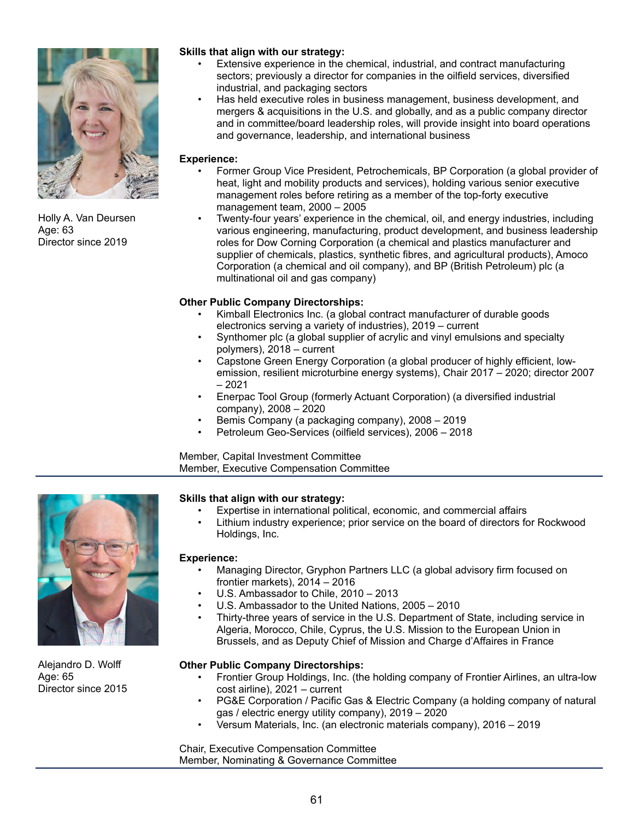

Holly A. Van Deursen Age: 63 Director since 2019

### **Skills that align with our strategy:**

- Extensive experience in the chemical, industrial, and contract manufacturing sectors; previously a director for companies in the oilfield services, diversified industrial, and packaging sectors
- Has held executive roles in business management, business development, and mergers & acquisitions in the U.S. and globally, and as a public company director and in committee/board leadership roles, will provide insight into board operations and governance, leadership, and international business

### **Experience:**

- Former Group Vice President, Petrochemicals, BP Corporation (a global provider of heat, light and mobility products and services), holding various senior executive management roles before retiring as a member of the top-forty executive management team, 2000 – 2005
- Twenty-four years' experience in the chemical, oil, and energy industries, including various engineering, manufacturing, product development, and business leadership roles for Dow Corning Corporation (a chemical and plastics manufacturer and supplier of chemicals, plastics, synthetic fibres, and agricultural products), Amoco Corporation (a chemical and oil company), and BP (British Petroleum) plc (a multinational oil and gas company)

## **Other Public Company Directorships:**

- Kimball Electronics Inc. (a global contract manufacturer of durable goods electronics serving a variety of industries), 2019 – current
- Synthomer plc (a global supplier of acrylic and vinyl emulsions and specialty polymers), 2018 – current
- Capstone Green Energy Corporation (a global producer of highly efficient, lowemission, resilient microturbine energy systems), Chair 2017 – 2020; director 2007 – 2021
- Enerpac Tool Group (formerly Actuant Corporation) (a diversified industrial company), 2008 – 2020
- Bemis Company (a packaging company), 2008 2019
- Petroleum Geo-Services (oilfield services), 2006 2018

Member, Capital Investment Committee Member, Executive Compensation Committee



Alejandro D. Wolff Age: 65 Director since 2015

### **Skills that align with our strategy:**

- Expertise in international political, economic, and commercial affairs
- Lithium industry experience; prior service on the board of directors for Rockwood Holdings, Inc.

#### **Experience:**

- Managing Director, Gryphon Partners LLC (a global advisory firm focused on frontier markets), 2014 – 2016
- U.S. Ambassador to Chile, 2010 2013
- U.S. Ambassador to the United Nations, 2005 2010
- Thirty-three years of service in the U.S. Department of State, including service in Algeria, Morocco, Chile, Cyprus, the U.S. Mission to the European Union in Brussels, and as Deputy Chief of Mission and Charge d'Affaires in France

### **Other Public Company Directorships:**

- Frontier Group Holdings, Inc. (the holding company of Frontier Airlines, an ultra-low cost airline), 2021 – current
- PG&E Corporation / Pacific Gas & Electric Company (a holding company of natural gas / electric energy utility company), 2019 – 2020
- Versum Materials, Inc. (an electronic materials company), 2016 2019

Chair, Executive Compensation Committee Member, Nominating & Governance Committee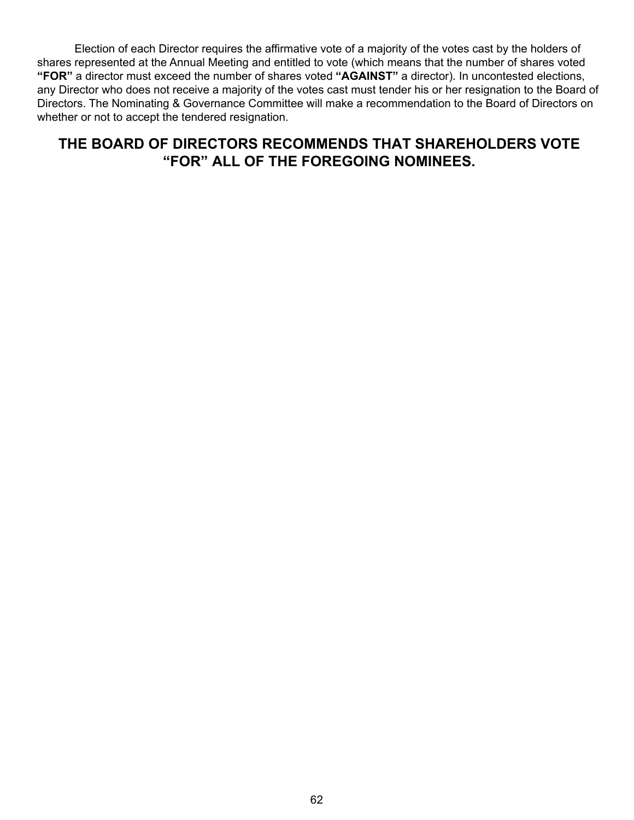Election of each Director requires the affirmative vote of a majority of the votes cast by the holders of shares represented at the Annual Meeting and entitled to vote (which means that the number of shares voted **"FOR"** a director must exceed the number of shares voted **"AGAINST"** a director). In uncontested elections, any Director who does not receive a majority of the votes cast must tender his or her resignation to the Board of Directors. The Nominating & Governance Committee will make a recommendation to the Board of Directors on whether or not to accept the tendered resignation.

# **THE BOARD OF DIRECTORS RECOMMENDS THAT SHAREHOLDERS VOTE "FOR" ALL OF THE FOREGOING NOMINEES.**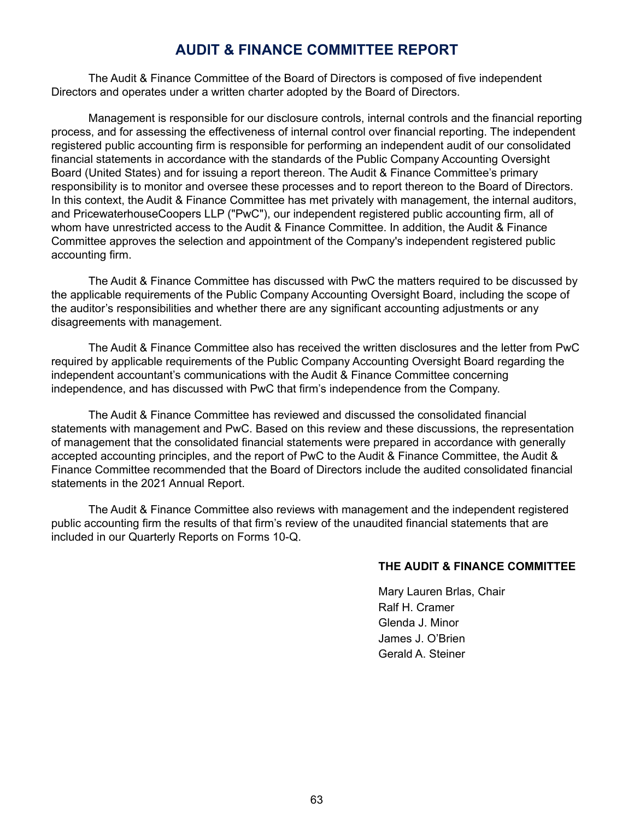## **AUDIT & FINANCE COMMITTEE REPORT**

The Audit & Finance Committee of the Board of Directors is composed of five independent Directors and operates under a written charter adopted by the Board of Directors.

Management is responsible for our disclosure controls, internal controls and the financial reporting process, and for assessing the effectiveness of internal control over financial reporting. The independent registered public accounting firm is responsible for performing an independent audit of our consolidated financial statements in accordance with the standards of the Public Company Accounting Oversight Board (United States) and for issuing a report thereon. The Audit & Finance Committee's primary responsibility is to monitor and oversee these processes and to report thereon to the Board of Directors. In this context, the Audit & Finance Committee has met privately with management, the internal auditors, and PricewaterhouseCoopers LLP ("PwC"), our independent registered public accounting firm, all of whom have unrestricted access to the Audit & Finance Committee. In addition, the Audit & Finance Committee approves the selection and appointment of the Company's independent registered public accounting firm.

The Audit & Finance Committee has discussed with PwC the matters required to be discussed by the applicable requirements of the Public Company Accounting Oversight Board, including the scope of the auditor's responsibilities and whether there are any significant accounting adjustments or any disagreements with management.

The Audit & Finance Committee also has received the written disclosures and the letter from PwC required by applicable requirements of the Public Company Accounting Oversight Board regarding the independent accountant's communications with the Audit & Finance Committee concerning independence, and has discussed with PwC that firm's independence from the Company.

The Audit & Finance Committee has reviewed and discussed the consolidated financial statements with management and PwC. Based on this review and these discussions, the representation of management that the consolidated financial statements were prepared in accordance with generally accepted accounting principles, and the report of PwC to the Audit & Finance Committee, the Audit & Finance Committee recommended that the Board of Directors include the audited consolidated financial statements in the 2021 Annual Report.

The Audit & Finance Committee also reviews with management and the independent registered public accounting firm the results of that firm's review of the unaudited financial statements that are included in our Quarterly Reports on Forms 10-Q.

### **THE AUDIT & FINANCE COMMITTEE**

Mary Lauren Brlas, Chair Ralf H. Cramer Glenda J. Minor James J. O'Brien Gerald A. Steiner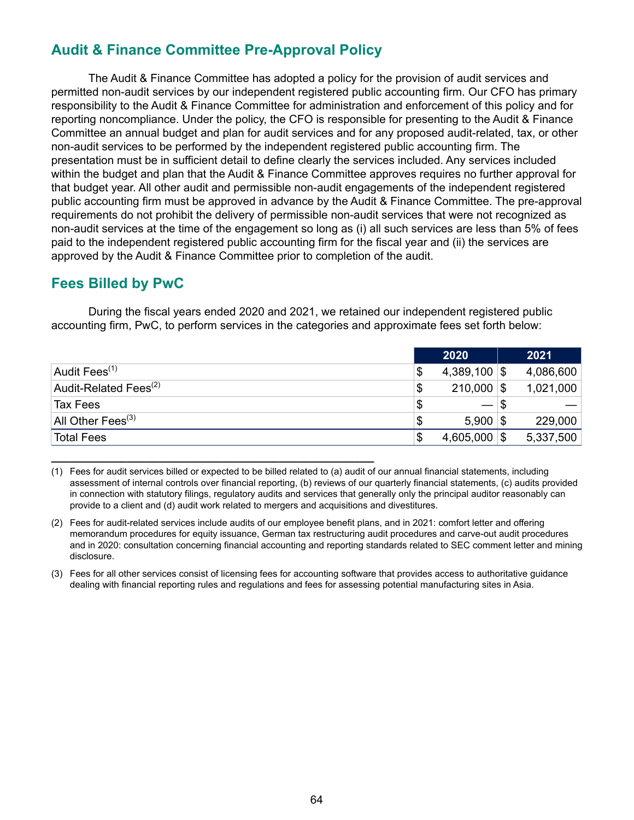# **Audit & Finance Committee Pre-Approval Policy**

**\_\_\_\_\_\_\_\_\_\_\_\_\_\_\_\_\_\_\_\_\_\_\_\_\_\_\_\_\_\_\_\_\_\_\_\_\_\_\_\_\_\_\_\_\_\_\_\_\_\_\_**

The Audit & Finance Committee has adopted a policy for the provision of audit services and permitted non-audit services by our independent registered public accounting firm. Our CFO has primary responsibility to the Audit & Finance Committee for administration and enforcement of this policy and for reporting noncompliance. Under the policy, the CFO is responsible for presenting to the Audit & Finance Committee an annual budget and plan for audit services and for any proposed audit-related, tax, or other non-audit services to be performed by the independent registered public accounting firm. The presentation must be in sufficient detail to define clearly the services included. Any services included within the budget and plan that the Audit & Finance Committee approves requires no further approval for that budget year. All other audit and permissible non-audit engagements of the independent registered public accounting firm must be approved in advance by the Audit & Finance Committee. The pre-approval requirements do not prohibit the delivery of permissible non-audit services that were not recognized as non-audit services at the time of the engagement so long as (i) all such services are less than 5% of fees paid to the independent registered public accounting firm for the fiscal year and (ii) the services are approved by the Audit & Finance Committee prior to completion of the audit.

# **Fees Billed by PwC**

During the fiscal years ended 2020 and 2021, we retained our independent registered public accounting firm, PwC, to perform services in the categories and approximate fees set forth below:

|                                   |    | 2020           | 2021      |
|-----------------------------------|----|----------------|-----------|
| Audit Fees <sup>(1)</sup>         | \$ | $4,389,100$ \$ | 4,086,600 |
| Audit-Related Fees <sup>(2)</sup> | \$ | $210,000$ \$   | 1,021,000 |
| Tax Fees                          | \$ | $-1$           |           |
| All Other Fees $^{(3)}$           | S  | $5,900$ \\$    | 229,000   |
| <b>Total Fees</b>                 | S  | $4,605,000$ \$ | 5,337,500 |

<sup>(1)</sup> Fees for audit services billed or expected to be billed related to (a) audit of our annual financial statements, including assessment of internal controls over financial reporting, (b) reviews of our quarterly financial statements, (c) audits provided in connection with statutory filings, regulatory audits and services that generally only the principal auditor reasonably can provide to a client and (d) audit work related to mergers and acquisitions and divestitures.

<sup>(2)</sup> Fees for audit-related services include audits of our employee benefit plans, and in 2021: comfort letter and offering memorandum procedures for equity issuance, German tax restructuring audit procedures and carve-out audit procedures and in 2020: consultation concerning financial accounting and reporting standards related to SEC comment letter and mining disclosure.

<sup>(3)</sup> Fees for all other services consist of licensing fees for accounting software that provides access to authoritative guidance dealing with financial reporting rules and regulations and fees for assessing potential manufacturing sites in Asia.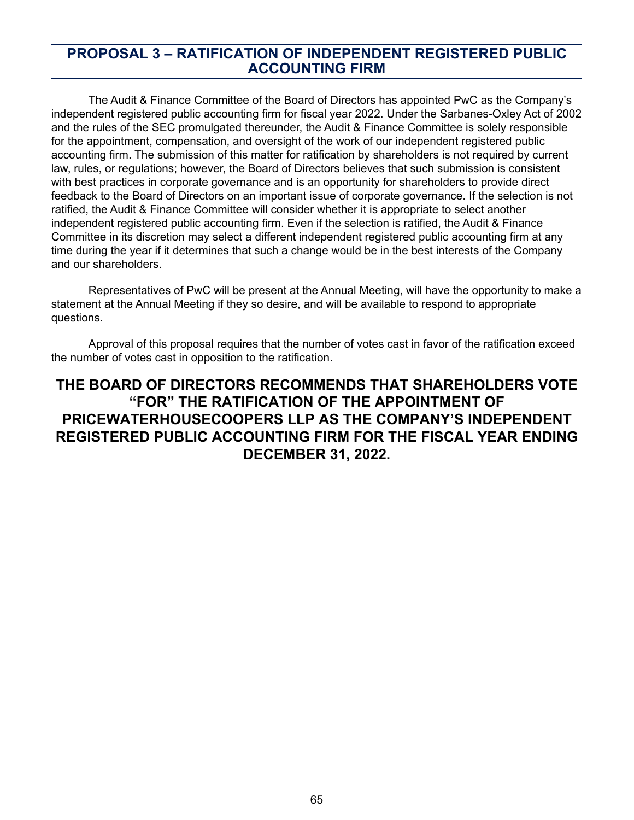## **PROPOSAL 3 – RATIFICATION OF INDEPENDENT REGISTERED PUBLIC ACCOUNTING FIRM**

The Audit & Finance Committee of the Board of Directors has appointed PwC as the Company's independent registered public accounting firm for fiscal year 2022. Under the Sarbanes-Oxley Act of 2002 and the rules of the SEC promulgated thereunder, the Audit & Finance Committee is solely responsible for the appointment, compensation, and oversight of the work of our independent registered public accounting firm. The submission of this matter for ratification by shareholders is not required by current law, rules, or regulations; however, the Board of Directors believes that such submission is consistent with best practices in corporate governance and is an opportunity for shareholders to provide direct feedback to the Board of Directors on an important issue of corporate governance. If the selection is not ratified, the Audit & Finance Committee will consider whether it is appropriate to select another independent registered public accounting firm. Even if the selection is ratified, the Audit & Finance Committee in its discretion may select a different independent registered public accounting firm at any time during the year if it determines that such a change would be in the best interests of the Company and our shareholders.

Representatives of PwC will be present at the Annual Meeting, will have the opportunity to make a statement at the Annual Meeting if they so desire, and will be available to respond to appropriate questions.

Approval of this proposal requires that the number of votes cast in favor of the ratification exceed the number of votes cast in opposition to the ratification.

# **THE BOARD OF DIRECTORS RECOMMENDS THAT SHAREHOLDERS VOTE "FOR" THE RATIFICATION OF THE APPOINTMENT OF PRICEWATERHOUSECOOPERS LLP AS THE COMPANY'S INDEPENDENT REGISTERED PUBLIC ACCOUNTING FIRM FOR THE FISCAL YEAR ENDING DECEMBER 31, 2022.**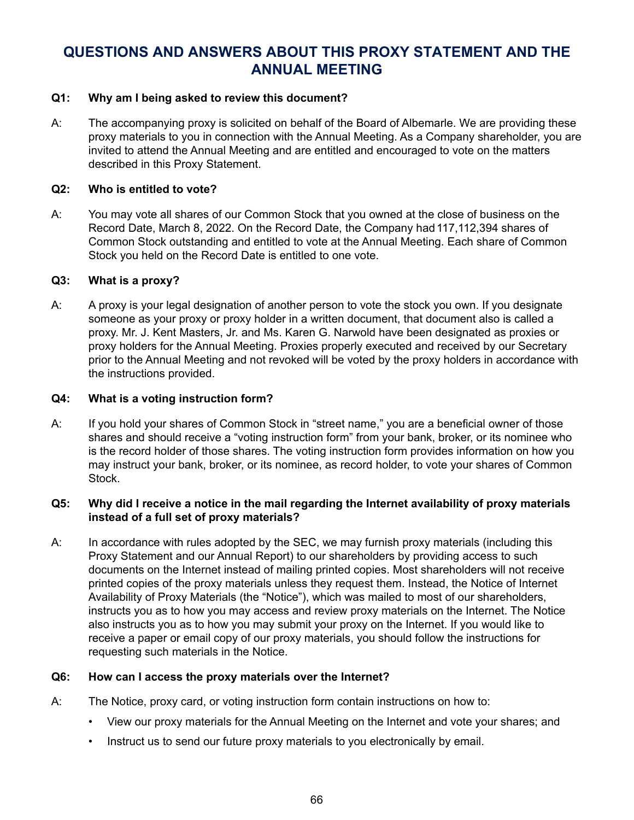# **QUESTIONS AND ANSWERS ABOUT THIS PROXY STATEMENT AND THE ANNUAL MEETING**

## **Q1: Why am I being asked to review this document?**

A: The accompanying proxy is solicited on behalf of the Board of Albemarle. We are providing these proxy materials to you in connection with the Annual Meeting. As a Company shareholder, you are invited to attend the Annual Meeting and are entitled and encouraged to vote on the matters described in this Proxy Statement.

### **Q2: Who is entitled to vote?**

A: You may vote all shares of our Common Stock that you owned at the close of business on the Record Date, March 8, 2022. On the Record Date, the Company had 117, 112, 394 shares of Common Stock outstanding and entitled to vote at the Annual Meeting. Each share of Common Stock you held on the Record Date is entitled to one vote.

### **Q3: What is a proxy?**

A: A proxy is your legal designation of another person to vote the stock you own. If you designate someone as your proxy or proxy holder in a written document, that document also is called a proxy. Mr. J. Kent Masters, Jr. and Ms. Karen G. Narwold have been designated as proxies or proxy holders for the Annual Meeting. Proxies properly executed and received by our Secretary prior to the Annual Meeting and not revoked will be voted by the proxy holders in accordance with the instructions provided.

### **Q4: What is a voting instruction form?**

A: If you hold your shares of Common Stock in "street name," you are a beneficial owner of those shares and should receive a "voting instruction form" from your bank, broker, or its nominee who is the record holder of those shares. The voting instruction form provides information on how you may instruct your bank, broker, or its nominee, as record holder, to vote your shares of Common Stock.

### **Q5: Why did I receive a notice in the mail regarding the Internet availability of proxy materials instead of a full set of proxy materials?**

A: In accordance with rules adopted by the SEC, we may furnish proxy materials (including this Proxy Statement and our Annual Report) to our shareholders by providing access to such documents on the Internet instead of mailing printed copies. Most shareholders will not receive printed copies of the proxy materials unless they request them. Instead, the Notice of Internet Availability of Proxy Materials (the "Notice"), which was mailed to most of our shareholders, instructs you as to how you may access and review proxy materials on the Internet. The Notice also instructs you as to how you may submit your proxy on the Internet. If you would like to receive a paper or email copy of our proxy materials, you should follow the instructions for requesting such materials in the Notice.

### **Q6: How can I access the proxy materials over the Internet?**

- A: The Notice, proxy card, or voting instruction form contain instructions on how to:
	- View our proxy materials for the Annual Meeting on the Internet and vote your shares; and
	- Instruct us to send our future proxy materials to you electronically by email.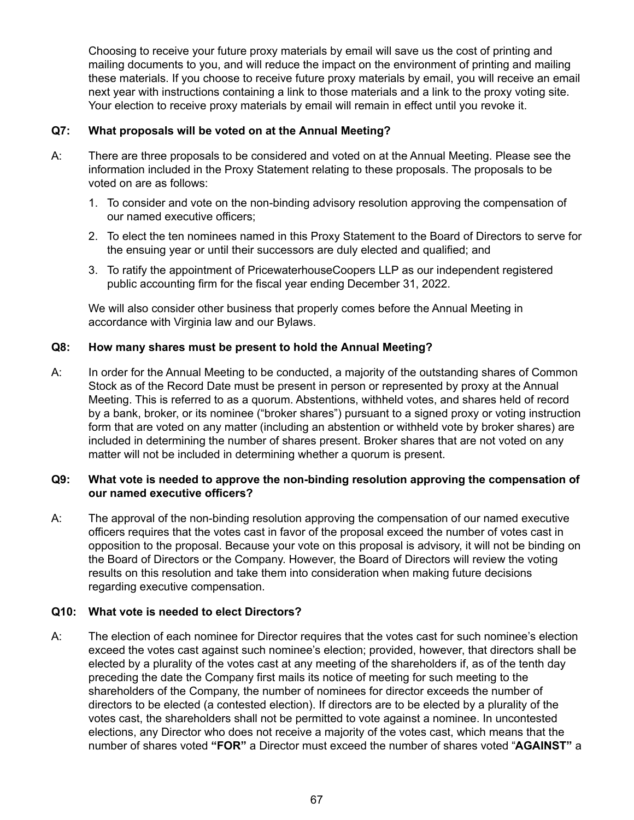Choosing to receive your future proxy materials by email will save us the cost of printing and mailing documents to you, and will reduce the impact on the environment of printing and mailing these materials. If you choose to receive future proxy materials by email, you will receive an email next year with instructions containing a link to those materials and a link to the proxy voting site. Your election to receive proxy materials by email will remain in effect until you revoke it.

## **Q7: What proposals will be voted on at the Annual Meeting?**

- A: There are three proposals to be considered and voted on at the Annual Meeting. Please see the information included in the Proxy Statement relating to these proposals. The proposals to be voted on are as follows:
	- 1. To consider and vote on the non-binding advisory resolution approving the compensation of our named executive officers;
	- 2. To elect the ten nominees named in this Proxy Statement to the Board of Directors to serve for the ensuing year or until their successors are duly elected and qualified; and
	- 3. To ratify the appointment of PricewaterhouseCoopers LLP as our independent registered public accounting firm for the fiscal year ending December 31, 2022.

We will also consider other business that properly comes before the Annual Meeting in accordance with Virginia law and our Bylaws.

### **Q8: How many shares must be present to hold the Annual Meeting?**

A: In order for the Annual Meeting to be conducted, a majority of the outstanding shares of Common Stock as of the Record Date must be present in person or represented by proxy at the Annual Meeting. This is referred to as a quorum. Abstentions, withheld votes, and shares held of record by a bank, broker, or its nominee ("broker shares") pursuant to a signed proxy or voting instruction form that are voted on any matter (including an abstention or withheld vote by broker shares) are included in determining the number of shares present. Broker shares that are not voted on any matter will not be included in determining whether a quorum is present.

### **Q9: What vote is needed to approve the non-binding resolution approving the compensation of our named executive officers?**

A: The approval of the non-binding resolution approving the compensation of our named executive officers requires that the votes cast in favor of the proposal exceed the number of votes cast in opposition to the proposal. Because your vote on this proposal is advisory, it will not be binding on the Board of Directors or the Company. However, the Board of Directors will review the voting results on this resolution and take them into consideration when making future decisions regarding executive compensation.

## **Q10: What vote is needed to elect Directors?**

A: The election of each nominee for Director requires that the votes cast for such nominee's election exceed the votes cast against such nominee's election; provided, however, that directors shall be elected by a plurality of the votes cast at any meeting of the shareholders if, as of the tenth day preceding the date the Company first mails its notice of meeting for such meeting to the shareholders of the Company, the number of nominees for director exceeds the number of directors to be elected (a contested election). If directors are to be elected by a plurality of the votes cast, the shareholders shall not be permitted to vote against a nominee. In uncontested elections, any Director who does not receive a majority of the votes cast, which means that the number of shares voted **"FOR"** a Director must exceed the number of shares voted "**AGAINST"** a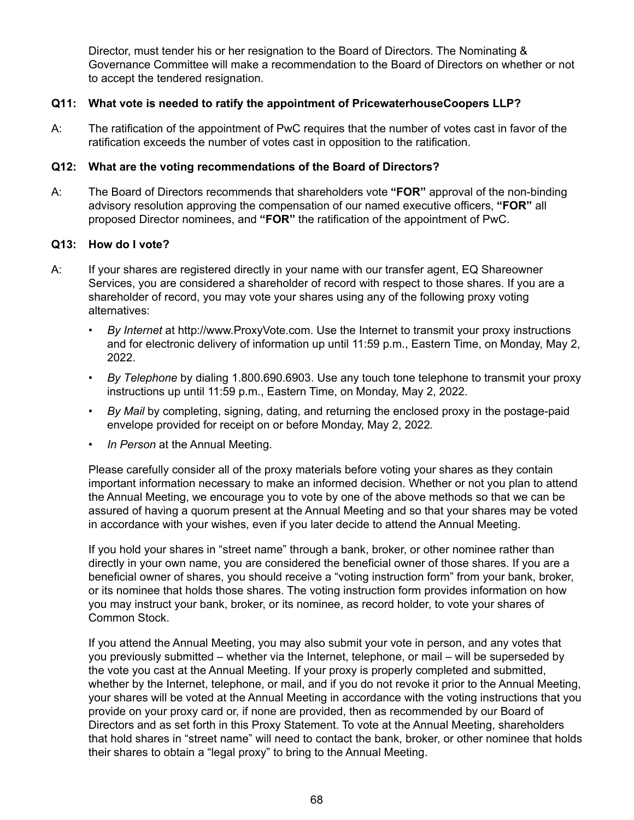Director, must tender his or her resignation to the Board of Directors. The Nominating & Governance Committee will make a recommendation to the Board of Directors on whether or not to accept the tendered resignation.

## **Q11: What vote is needed to ratify the appointment of PricewaterhouseCoopers LLP?**

A: The ratification of the appointment of PwC requires that the number of votes cast in favor of the ratification exceeds the number of votes cast in opposition to the ratification.

## **Q12: What are the voting recommendations of the Board of Directors?**

A: The Board of Directors recommends that shareholders vote **"FOR"** approval of the non-binding advisory resolution approving the compensation of our named executive officers, **"FOR"** all proposed Director nominees, and **"FOR"** the ratification of the appointment of PwC.

### **Q13: How do I vote?**

- A: If your shares are registered directly in your name with our transfer agent, EQ Shareowner Services, you are considered a shareholder of record with respect to those shares. If you are a shareholder of record, you may vote your shares using any of the following proxy voting alternatives:
	- *By Internet* at http://www.ProxyVote.com. Use the Internet to transmit your proxy instructions and for electronic delivery of information up until 11:59 p.m., Eastern Time, on Monday, May 2, 2022.
	- *By Telephone* by dialing 1.800.690.6903. Use any touch tone telephone to transmit your proxy instructions up until 11:59 p.m., Eastern Time, on Monday, May 2, 2022.
	- *By Mail* by completing, signing, dating, and returning the enclosed proxy in the postage-paid envelope provided for receipt on or before Monday, May 2, 2022*.*
	- *In Person* at the Annual Meeting.

Please carefully consider all of the proxy materials before voting your shares as they contain important information necessary to make an informed decision. Whether or not you plan to attend the Annual Meeting, we encourage you to vote by one of the above methods so that we can be assured of having a quorum present at the Annual Meeting and so that your shares may be voted in accordance with your wishes, even if you later decide to attend the Annual Meeting.

If you hold your shares in "street name" through a bank, broker, or other nominee rather than directly in your own name, you are considered the beneficial owner of those shares. If you are a beneficial owner of shares, you should receive a "voting instruction form" from your bank, broker, or its nominee that holds those shares. The voting instruction form provides information on how you may instruct your bank, broker, or its nominee, as record holder, to vote your shares of Common Stock.

If you attend the Annual Meeting, you may also submit your vote in person, and any votes that you previously submitted – whether via the Internet, telephone, or mail – will be superseded by the vote you cast at the Annual Meeting. If your proxy is properly completed and submitted, whether by the Internet, telephone, or mail, and if you do not revoke it prior to the Annual Meeting, your shares will be voted at the Annual Meeting in accordance with the voting instructions that you provide on your proxy card or, if none are provided, then as recommended by our Board of Directors and as set forth in this Proxy Statement. To vote at the Annual Meeting, shareholders that hold shares in "street name" will need to contact the bank, broker, or other nominee that holds their shares to obtain a "legal proxy" to bring to the Annual Meeting.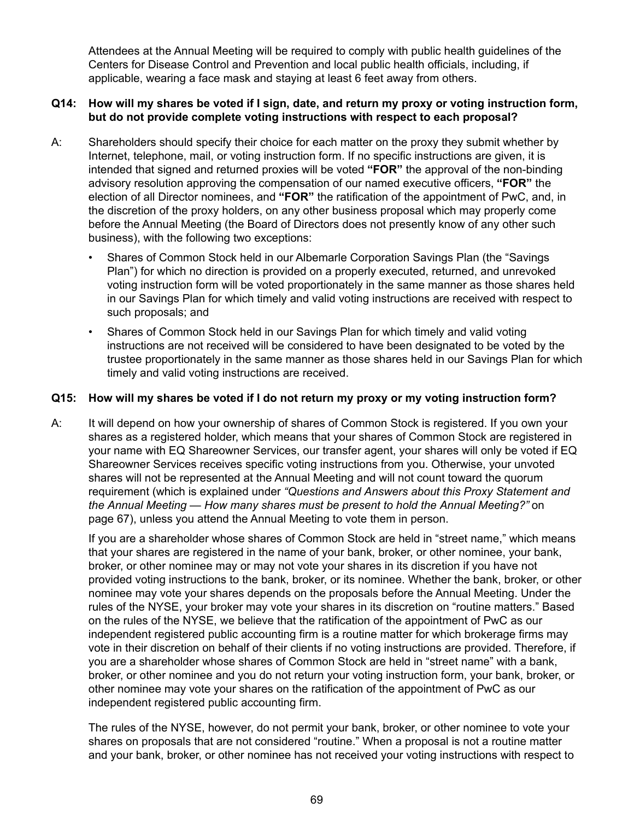Attendees at the Annual Meeting will be required to comply with public health guidelines of the Centers for Disease Control and Prevention and local public health officials, including, if applicable, wearing a face mask and staying at least 6 feet away from others.

## **Q14: How will my shares be voted if I sign, date, and return my proxy or voting instruction form, but do not provide complete voting instructions with respect to each proposal?**

- A: Shareholders should specify their choice for each matter on the proxy they submit whether by Internet, telephone, mail, or voting instruction form. If no specific instructions are given, it is intended that signed and returned proxies will be voted **"FOR"** the approval of the non-binding advisory resolution approving the compensation of our named executive officers, **"FOR"** the election of all Director nominees, and **"FOR"** the ratification of the appointment of PwC, and, in the discretion of the proxy holders, on any other business proposal which may properly come before the Annual Meeting (the Board of Directors does not presently know of any other such business), with the following two exceptions:
	- Shares of Common Stock held in our Albemarle Corporation Savings Plan (the "Savings Plan") for which no direction is provided on a properly executed, returned, and unrevoked voting instruction form will be voted proportionately in the same manner as those shares held in our Savings Plan for which timely and valid voting instructions are received with respect to such proposals; and
	- Shares of Common Stock held in our Savings Plan for which timely and valid voting instructions are not received will be considered to have been designated to be voted by the trustee proportionately in the same manner as those shares held in our Savings Plan for which timely and valid voting instructions are received.

### **Q15: How will my shares be voted if I do not return my proxy or my voting instruction form?**

A: It will depend on how your ownership of shares of Common Stock is registered. If you own your shares as a registered holder, which means that your shares of Common Stock are registered in your name with EQ Shareowner Services, our transfer agent, your shares will only be voted if EQ Shareowner Services receives specific voting instructions from you. Otherwise, your unvoted shares will not be represented at the Annual Meeting and will not count toward the quorum requirement (which is explained under *"Questions and Answers about this Proxy Statement and the Annual Meeting — How many shares must be present to hold the Annual Meeting?"* on page 67), unless you attend the Annual Meeting to vote them in person.

If you are a shareholder whose shares of Common Stock are held in "street name," which means that your shares are registered in the name of your bank, broker, or other nominee, your bank, broker, or other nominee may or may not vote your shares in its discretion if you have not provided voting instructions to the bank, broker, or its nominee. Whether the bank, broker, or other nominee may vote your shares depends on the proposals before the Annual Meeting. Under the rules of the NYSE, your broker may vote your shares in its discretion on "routine matters." Based on the rules of the NYSE, we believe that the ratification of the appointment of PwC as our independent registered public accounting firm is a routine matter for which brokerage firms may vote in their discretion on behalf of their clients if no voting instructions are provided. Therefore, if you are a shareholder whose shares of Common Stock are held in "street name" with a bank, broker, or other nominee and you do not return your voting instruction form, your bank, broker, or other nominee may vote your shares on the ratification of the appointment of PwC as our independent registered public accounting firm.

The rules of the NYSE, however, do not permit your bank, broker, or other nominee to vote your shares on proposals that are not considered "routine." When a proposal is not a routine matter and your bank, broker, or other nominee has not received your voting instructions with respect to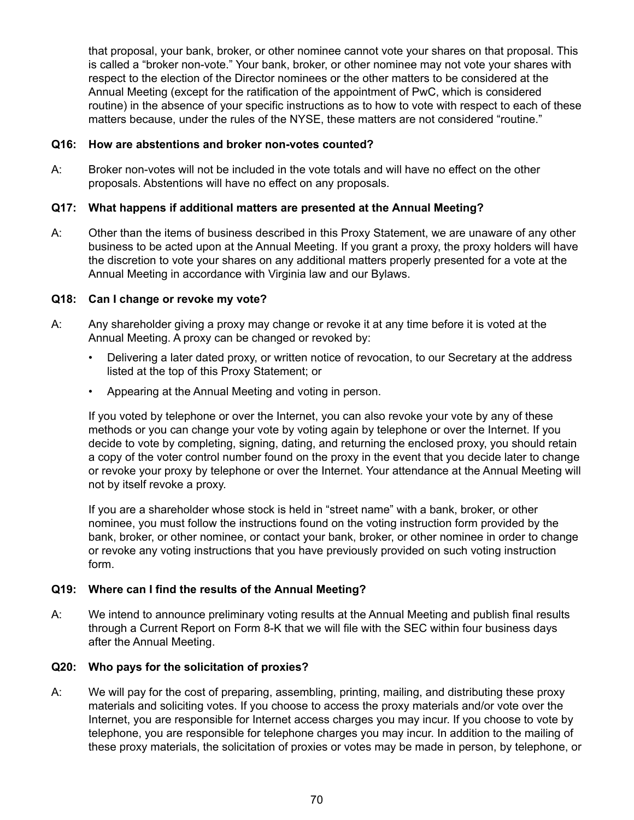that proposal, your bank, broker, or other nominee cannot vote your shares on that proposal. This is called a "broker non-vote." Your bank, broker, or other nominee may not vote your shares with respect to the election of the Director nominees or the other matters to be considered at the Annual Meeting (except for the ratification of the appointment of PwC, which is considered routine) in the absence of your specific instructions as to how to vote with respect to each of these matters because, under the rules of the NYSE, these matters are not considered "routine."

#### **Q16: How are abstentions and broker non-votes counted?**

A: Broker non-votes will not be included in the vote totals and will have no effect on the other proposals. Abstentions will have no effect on any proposals.

#### **Q17: What happens if additional matters are presented at the Annual Meeting?**

A: Other than the items of business described in this Proxy Statement, we are unaware of any other business to be acted upon at the Annual Meeting. If you grant a proxy, the proxy holders will have the discretion to vote your shares on any additional matters properly presented for a vote at the Annual Meeting in accordance with Virginia law and our Bylaws.

#### **Q18: Can I change or revoke my vote?**

- A: Any shareholder giving a proxy may change or revoke it at any time before it is voted at the Annual Meeting. A proxy can be changed or revoked by:
	- Delivering a later dated proxy, or written notice of revocation, to our Secretary at the address listed at the top of this Proxy Statement; or
	- Appearing at the Annual Meeting and voting in person.

If you voted by telephone or over the Internet, you can also revoke your vote by any of these methods or you can change your vote by voting again by telephone or over the Internet. If you decide to vote by completing, signing, dating, and returning the enclosed proxy, you should retain a copy of the voter control number found on the proxy in the event that you decide later to change or revoke your proxy by telephone or over the Internet. Your attendance at the Annual Meeting will not by itself revoke a proxy.

If you are a shareholder whose stock is held in "street name" with a bank, broker, or other nominee, you must follow the instructions found on the voting instruction form provided by the bank, broker, or other nominee, or contact your bank, broker, or other nominee in order to change or revoke any voting instructions that you have previously provided on such voting instruction form.

#### **Q19: Where can I find the results of the Annual Meeting?**

A: We intend to announce preliminary voting results at the Annual Meeting and publish final results through a Current Report on Form 8-K that we will file with the SEC within four business days after the Annual Meeting.

#### **Q20: Who pays for the solicitation of proxies?**

A: We will pay for the cost of preparing, assembling, printing, mailing, and distributing these proxy materials and soliciting votes. If you choose to access the proxy materials and/or vote over the Internet, you are responsible for Internet access charges you may incur. If you choose to vote by telephone, you are responsible for telephone charges you may incur. In addition to the mailing of these proxy materials, the solicitation of proxies or votes may be made in person, by telephone, or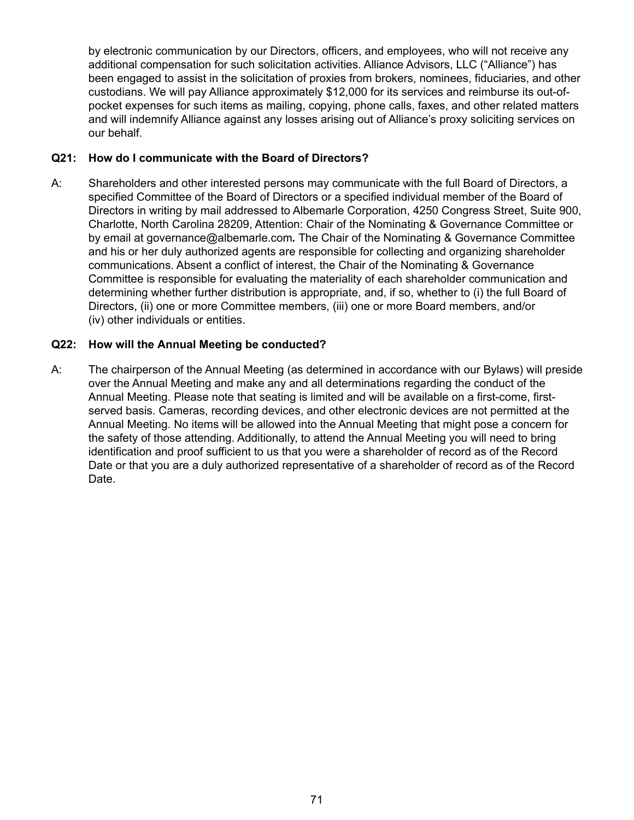by electronic communication by our Directors, officers, and employees, who will not receive any additional compensation for such solicitation activities. Alliance Advisors, LLC ("Alliance") has been engaged to assist in the solicitation of proxies from brokers, nominees, fiduciaries, and other custodians. We will pay Alliance approximately \$12,000 for its services and reimburse its out-ofpocket expenses for such items as mailing, copying, phone calls, faxes, and other related matters and will indemnify Alliance against any losses arising out of Alliance's proxy soliciting services on our behalf.

#### **Q21: How do I communicate with the Board of Directors?**

A: Shareholders and other interested persons may communicate with the full Board of Directors, a specified Committee of the Board of Directors or a specified individual member of the Board of Directors in writing by mail addressed to Albemarle Corporation, 4250 Congress Street, Suite 900, Charlotte, North Carolina 28209, Attention: Chair of the Nominating & Governance Committee or by email at governance@albemarle.com*.* The Chair of the Nominating & Governance Committee and his or her duly authorized agents are responsible for collecting and organizing shareholder communications. Absent a conflict of interest, the Chair of the Nominating & Governance Committee is responsible for evaluating the materiality of each shareholder communication and determining whether further distribution is appropriate, and, if so, whether to (i) the full Board of Directors, (ii) one or more Committee members, (iii) one or more Board members, and/or (iv) other individuals or entities.

#### **Q22: How will the Annual Meeting be conducted?**

A: The chairperson of the Annual Meeting (as determined in accordance with our Bylaws) will preside over the Annual Meeting and make any and all determinations regarding the conduct of the Annual Meeting. Please note that seating is limited and will be available on a first-come, firstserved basis. Cameras, recording devices, and other electronic devices are not permitted at the Annual Meeting. No items will be allowed into the Annual Meeting that might pose a concern for the safety of those attending. Additionally, to attend the Annual Meeting you will need to bring identification and proof sufficient to us that you were a shareholder of record as of the Record Date or that you are a duly authorized representative of a shareholder of record as of the Record Date.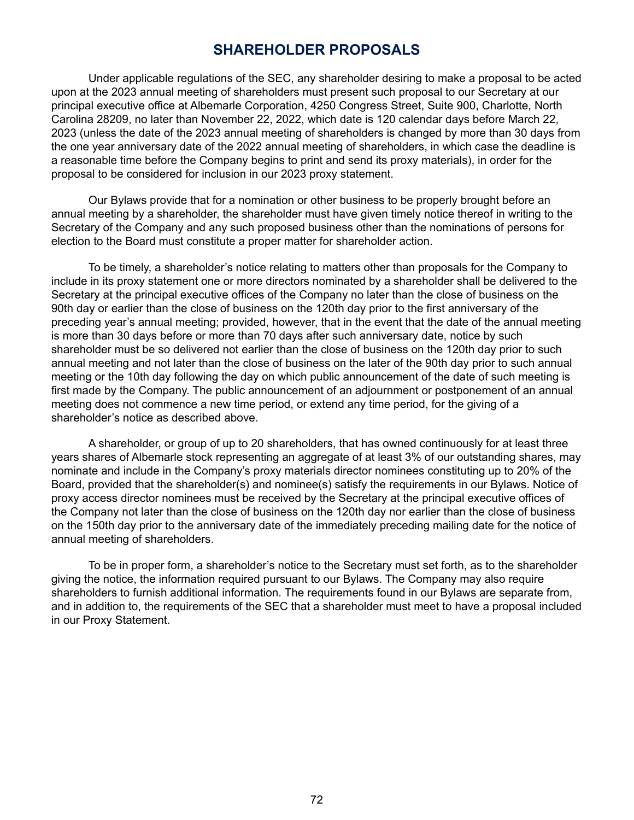## **SHAREHOLDER PROPOSALS**

Under applicable regulations of the SEC, any shareholder desiring to make a proposal to be acted upon at the 2023 annual meeting of shareholders must present such proposal to our Secretary at our principal executive office at Albemarle Corporation, 4250 Congress Street, Suite 900, Charlotte, North Carolina 28209, no later than November 22, 2022, which date is 120 calendar days before March 22, 2023 (unless the date of the 2023 annual meeting of shareholders is changed by more than 30 days from the one year anniversary date of the 2022 annual meeting of shareholders, in which case the deadline is a reasonable time before the Company begins to print and send its proxy materials), in order for the proposal to be considered for inclusion in our 2023 proxy statement.

Our Bylaws provide that for a nomination or other business to be properly brought before an annual meeting by a shareholder, the shareholder must have given timely notice thereof in writing to the Secretary of the Company and any such proposed business other than the nominations of persons for election to the Board must constitute a proper matter for shareholder action.

To be timely, a shareholder's notice relating to matters other than proposals for the Company to include in its proxy statement one or more directors nominated by a shareholder shall be delivered to the Secretary at the principal executive offices of the Company no later than the close of business on the 90th day or earlier than the close of business on the 120th day prior to the first anniversary of the preceding year's annual meeting; provided, however, that in the event that the date of the annual meeting is more than 30 days before or more than 70 days after such anniversary date, notice by such shareholder must be so delivered not earlier than the close of business on the 120th day prior to such annual meeting and not later than the close of business on the later of the 90th day prior to such annual meeting or the 10th day following the day on which public announcement of the date of such meeting is first made by the Company. The public announcement of an adjournment or postponement of an annual meeting does not commence a new time period, or extend any time period, for the giving of a shareholder's notice as described above.

A shareholder, or group of up to 20 shareholders, that has owned continuously for at least three years shares of Albemarle stock representing an aggregate of at least 3% of our outstanding shares, may nominate and include in the Company's proxy materials director nominees constituting up to 20% of the Board, provided that the shareholder(s) and nominee(s) satisfy the requirements in our Bylaws. Notice of proxy access director nominees must be received by the Secretary at the principal executive offices of the Company not later than the close of business on the 120th day nor earlier than the close of business on the 150th day prior to the anniversary date of the immediately preceding mailing date for the notice of annual meeting of shareholders.

To be in proper form, a shareholder's notice to the Secretary must set forth, as to the shareholder giving the notice, the information required pursuant to our Bylaws. The Company may also require shareholders to furnish additional information. The requirements found in our Bylaws are separate from, and in addition to, the requirements of the SEC that a shareholder must meet to have a proposal included in our Proxy Statement.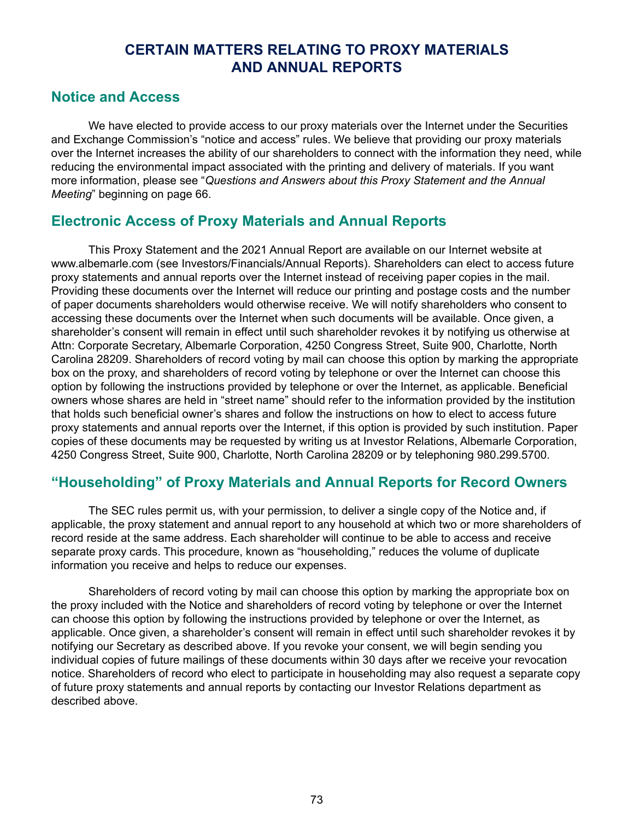# **CERTAIN MATTERS RELATING TO PROXY MATERIALS AND ANNUAL REPORTS**

## **Notice and Access**

We have elected to provide access to our proxy materials over the Internet under the Securities and Exchange Commission's "notice and access" rules. We believe that providing our proxy materials over the Internet increases the ability of our shareholders to connect with the information they need, while reducing the environmental impact associated with the printing and delivery of materials. If you want more information, please see "*Questions and Answers about this Proxy Statement and the Annual Meeting*" beginning on page 66.

## **Electronic Access of Proxy Materials and Annual Reports**

This Proxy Statement and the 2021 Annual Report are available on our Internet website at www.albemarle.com (see Investors/Financials/Annual Reports). Shareholders can elect to access future proxy statements and annual reports over the Internet instead of receiving paper copies in the mail. Providing these documents over the Internet will reduce our printing and postage costs and the number of paper documents shareholders would otherwise receive. We will notify shareholders who consent to accessing these documents over the Internet when such documents will be available. Once given, a shareholder's consent will remain in effect until such shareholder revokes it by notifying us otherwise at Attn: Corporate Secretary, Albemarle Corporation, 4250 Congress Street, Suite 900, Charlotte, North Carolina 28209. Shareholders of record voting by mail can choose this option by marking the appropriate box on the proxy, and shareholders of record voting by telephone or over the Internet can choose this option by following the instructions provided by telephone or over the Internet, as applicable. Beneficial owners whose shares are held in "street name" should refer to the information provided by the institution that holds such beneficial owner's shares and follow the instructions on how to elect to access future proxy statements and annual reports over the Internet, if this option is provided by such institution. Paper copies of these documents may be requested by writing us at Investor Relations, Albemarle Corporation, 4250 Congress Street, Suite 900, Charlotte, North Carolina 28209 or by telephoning 980.299.5700.

# **"Householding" of Proxy Materials and Annual Reports for Record Owners**

The SEC rules permit us, with your permission, to deliver a single copy of the Notice and, if applicable, the proxy statement and annual report to any household at which two or more shareholders of record reside at the same address. Each shareholder will continue to be able to access and receive separate proxy cards. This procedure, known as "householding," reduces the volume of duplicate information you receive and helps to reduce our expenses.

Shareholders of record voting by mail can choose this option by marking the appropriate box on the proxy included with the Notice and shareholders of record voting by telephone or over the Internet can choose this option by following the instructions provided by telephone or over the Internet, as applicable. Once given, a shareholder's consent will remain in effect until such shareholder revokes it by notifying our Secretary as described above. If you revoke your consent, we will begin sending you individual copies of future mailings of these documents within 30 days after we receive your revocation notice. Shareholders of record who elect to participate in householding may also request a separate copy of future proxy statements and annual reports by contacting our Investor Relations department as described above.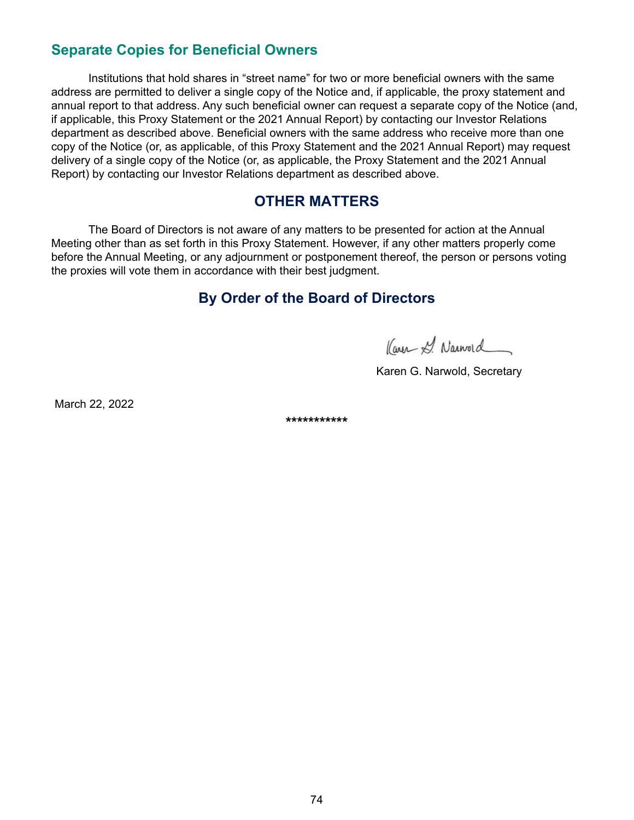# **Separate Copies for Beneficial Owners**

Institutions that hold shares in "street name" for two or more beneficial owners with the same address are permitted to deliver a single copy of the Notice and, if applicable, the proxy statement and annual report to that address. Any such beneficial owner can request a separate copy of the Notice (and, if applicable, this Proxy Statement or the 2021 Annual Report) by contacting our Investor Relations department as described above. Beneficial owners with the same address who receive more than one copy of the Notice (or, as applicable, of this Proxy Statement and the 2021 Annual Report) may request delivery of a single copy of the Notice (or, as applicable, the Proxy Statement and the 2021 Annual Report) by contacting our Investor Relations department as described above.

## **OTHER MATTERS**

The Board of Directors is not aware of any matters to be presented for action at the Annual Meeting other than as set forth in this Proxy Statement. However, if any other matters properly come before the Annual Meeting, or any adjournment or postponement thereof, the person or persons voting the proxies will vote them in accordance with their best judgment.

## **By Order of the Board of Directors**

Kayn & Narword

Karen G. Narwold, Secretary

March 22, 2022

**\*\*\*\*\*\*\*\*\*\*\***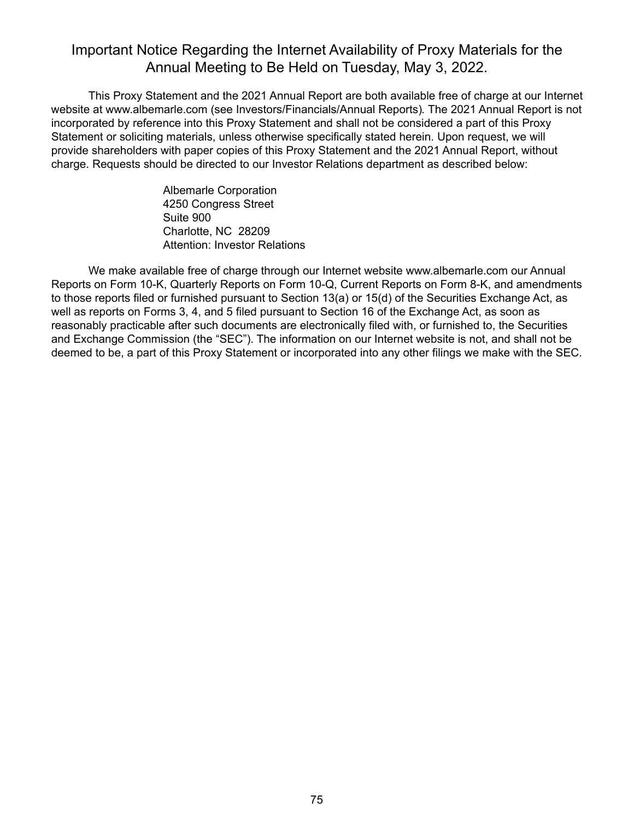## Important Notice Regarding the Internet Availability of Proxy Materials for the Annual Meeting to Be Held on Tuesday, May 3, 2022.

This Proxy Statement and the 2021 Annual Report are both available free of charge at our Internet website at www.albemarle.com (see Investors/Financials/Annual Reports)*.* The 2021 Annual Report is not incorporated by reference into this Proxy Statement and shall not be considered a part of this Proxy Statement or soliciting materials, unless otherwise specifically stated herein. Upon request, we will provide shareholders with paper copies of this Proxy Statement and the 2021 Annual Report, without charge. Requests should be directed to our Investor Relations department as described below:

> Albemarle Corporation 4250 Congress Street Suite 900 Charlotte, NC 28209 Attention: Investor Relations

We make available free of charge through our Internet website www.albemarle.com our Annual Reports on Form 10-K, Quarterly Reports on Form 10-Q, Current Reports on Form 8-K, and amendments to those reports filed or furnished pursuant to Section 13(a) or 15(d) of the Securities Exchange Act, as well as reports on Forms 3, 4, and 5 filed pursuant to Section 16 of the Exchange Act, as soon as reasonably practicable after such documents are electronically filed with, or furnished to, the Securities and Exchange Commission (the "SEC"). The information on our Internet website is not, and shall not be deemed to be, a part of this Proxy Statement or incorporated into any other filings we make with the SEC.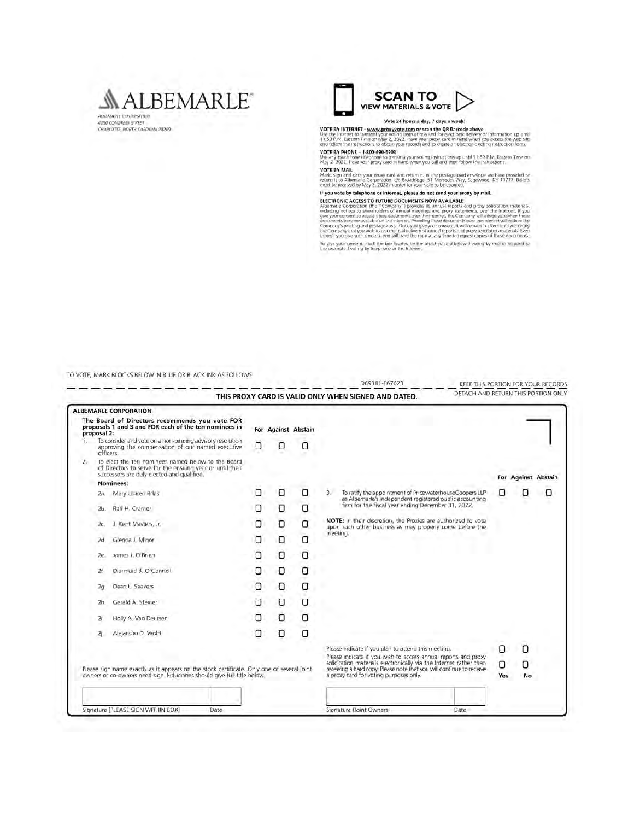#### **MALBEMARLE** AUREMARLE CORRORATION

**4250 CONGRESS STREET**<br>CHARLOTTE, NORTH CAROLINA 20209



VOTE BY INTERNET - www.proxyvote.com or scan the QR Barcode above<br>Use the internet to kansent your wolfing instructions and for destrooid steller profit information up until<br>11.59 FM. Eastern Time on May 2, 2022. Have your

VOTE BY PHONE - 1-800-690-6903<br>Use any fouch tone telephone to transmit your voting inshuetters up until 11:59 £ M. Eastern Time on<br>May 2, 2022. Hove your broay card in trand when you call and then follow the instructions.

The VARIAL COMPANY of the Second and return it, in the postage paid envelope we have provided of Mark sign and date your growy card and return it, in the postage paid envelope we have provided of Mark return it to Alberton

#### If you vote by telephone or Internet, please do not send your proxy by mail.

If you want of ACCESS TO EUTURE DOCUMENTS NOW AVAILABLE<br>ELECTRONIC ACCESS TO EUTURE DOCUMENTS NOW AVAILABLE<br>Theoretic corporation (the "Company") is possible in a multil reports and proxy solicitation materials, and<br>under

To give your consent, mad: the box located on the attached card below if voring by mail or respond to the prompts if voting by telephone or the Internet.

TO VOTE MARK BLOCKS BELOW IN BLUE OR BLACK INK AS COLLOWS

|                                                                                                                                                                        |     | <b>ALBEMARLE CORPORATION</b>                                                                                                                                  |   |                     |                                                                                                                                            |                                                                                                                                                                                                                                                                                                                         |   |                     |   |
|------------------------------------------------------------------------------------------------------------------------------------------------------------------------|-----|---------------------------------------------------------------------------------------------------------------------------------------------------------------|---|---------------------|--------------------------------------------------------------------------------------------------------------------------------------------|-------------------------------------------------------------------------------------------------------------------------------------------------------------------------------------------------------------------------------------------------------------------------------------------------------------------------|---|---------------------|---|
| The Board of Directors recommends you vote FOR<br>proposals 1 and 3 and FOR each of the ten nominees in<br>proposal 2:                                                 |     |                                                                                                                                                               |   | For Against Abstain |                                                                                                                                            |                                                                                                                                                                                                                                                                                                                         |   |                     |   |
|                                                                                                                                                                        |     | To consider and vote on a non-binding advisory resolution<br>approving the compensation of our named executive<br>officers                                    |   | Ω                   | Ω                                                                                                                                          |                                                                                                                                                                                                                                                                                                                         |   |                     |   |
| $Z_{\rm r}$                                                                                                                                                            |     | To elect the ten nominees named below to the Board<br>of Directors to serve for the ensuing year or until their<br>successors are duly elected and qualified. |   |                     |                                                                                                                                            |                                                                                                                                                                                                                                                                                                                         |   | For Against Abstain |   |
|                                                                                                                                                                        |     | Nominees:                                                                                                                                                     |   |                     |                                                                                                                                            |                                                                                                                                                                                                                                                                                                                         |   |                     |   |
|                                                                                                                                                                        | Za. | Mary Lauren Brias                                                                                                                                             | Ω | ο                   | 0                                                                                                                                          | To ratify the appointment of PricewaterhouseCoopers LLP<br>э.<br>as Albemarle's independent registered public accounting<br>firm for the fiscal year ending December 31, 2022.<br>NOTE: In their discretion, the Proxies are authorized to vote<br>upon such other business as may properly come before the<br>meeting. | Π | Π                   | о |
|                                                                                                                                                                        | 2b. | Ralf H. Cramer                                                                                                                                                | О | о                   | ο                                                                                                                                          |                                                                                                                                                                                                                                                                                                                         |   |                     |   |
|                                                                                                                                                                        | ZC. | Kent Masters, Jr.<br>3                                                                                                                                        | 0 | O                   | О                                                                                                                                          |                                                                                                                                                                                                                                                                                                                         |   |                     |   |
|                                                                                                                                                                        | 2d. | Glenda J. Minor                                                                                                                                               | O | O                   | O                                                                                                                                          |                                                                                                                                                                                                                                                                                                                         |   |                     |   |
|                                                                                                                                                                        | 2e. | James J. O'Brien                                                                                                                                              | O | O                   | O                                                                                                                                          |                                                                                                                                                                                                                                                                                                                         |   |                     |   |
|                                                                                                                                                                        | Zł  | Diarmuid B. O'Connell                                                                                                                                         | O | ο                   | $\Omega$                                                                                                                                   |                                                                                                                                                                                                                                                                                                                         |   |                     |   |
|                                                                                                                                                                        | 2α. | Dean L. Seavers                                                                                                                                               | O | O                   | O                                                                                                                                          |                                                                                                                                                                                                                                                                                                                         |   |                     |   |
|                                                                                                                                                                        | 2h. | Gerald A: Steiner                                                                                                                                             | O | O                   | $\Box$                                                                                                                                     |                                                                                                                                                                                                                                                                                                                         |   |                     |   |
|                                                                                                                                                                        | 21  | Holly A. Van Deursen                                                                                                                                          | О | О                   | ο                                                                                                                                          |                                                                                                                                                                                                                                                                                                                         |   |                     |   |
|                                                                                                                                                                        | 2ì. | Alejandro D. Wolff                                                                                                                                            | O | O                   | Ω                                                                                                                                          |                                                                                                                                                                                                                                                                                                                         |   |                     |   |
|                                                                                                                                                                        |     |                                                                                                                                                               |   |                     |                                                                                                                                            | Please indicate if you plan to attend this meeting.<br>Please indicate if you wish to access annual reports and proxy                                                                                                                                                                                                   | 0 | O                   |   |
|                                                                                                                                                                        |     |                                                                                                                                                               |   |                     | solicitation materials electronically via the Internet rather than<br>receiving a hard copy. Please note that you will continue to receive | Ο                                                                                                                                                                                                                                                                                                                       | О |                     |   |
| Please sign name exactly as it appears on the stock certificate. Only one of several joint<br>owners or co-owners need sign. Fiduciaries should give full title below. |     |                                                                                                                                                               |   |                     |                                                                                                                                            | a proxy card for voting purposes only.                                                                                                                                                                                                                                                                                  |   | No<br>Yes           |   |